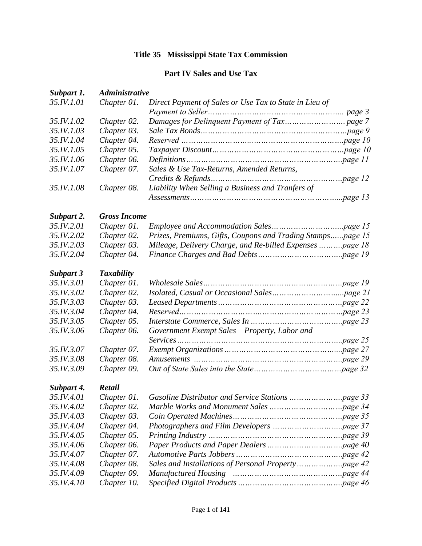# **Title 35 Mississippi State Tax Commission**

## **Part IV Sales and Use Tax**

| Subpart 1. | <b>Administrative</b> |                                                             |  |
|------------|-----------------------|-------------------------------------------------------------|--|
| 35.IV.1.01 | Chapter 01.           | Direct Payment of Sales or Use Tax to State in Lieu of      |  |
|            |                       |                                                             |  |
| 35.IV.1.02 | Chapter 02.           |                                                             |  |
| 35.IV.1.03 | Chapter 03.           |                                                             |  |
| 35.IV.1.04 | Chapter 04.           |                                                             |  |
| 35.IV.1.05 | Chapter 05.           |                                                             |  |
| 35.IV.1.06 | Chapter 06.           |                                                             |  |
| 35.IV.1.07 | Chapter 07.           | Sales & Use Tax-Returns, Amended Returns,                   |  |
|            |                       |                                                             |  |
| 35.IV.1.08 | Chapter 08.           | Liability When Selling a Business and Tranfers of           |  |
|            |                       |                                                             |  |
| Subpart 2. | <b>Gross Income</b>   |                                                             |  |
| 35.IV.2.01 | Chapter 01.           |                                                             |  |
| 35.IV.2.02 | Chapter 02.           | Prizes, Premiums, Gifts, Coupons and Trading Stampspage 15  |  |
| 35.IV.2.03 | Chapter 03.           | Mileage, Delivery Charge, and Re-billed Expenses    page 18 |  |
| 35.IV.2.04 | Chapter 04.           |                                                             |  |
| Subpart 3  | <b>Taxability</b>     |                                                             |  |
| 35.IV.3.01 | Chapter 01.           |                                                             |  |
| 35.IV.3.02 | Chapter 02.           |                                                             |  |
| 35.IV.3.03 | Chapter 03.           |                                                             |  |
| 35.IV.3.04 | Chapter 04.           |                                                             |  |
| 35.IV.3.05 | Chapter 05.           |                                                             |  |
| 35.IV.3.06 | Chapter 06.           | Government Exempt Sales - Property, Labor and               |  |
|            |                       |                                                             |  |
| 35.IV.3.07 | Chapter 07.           |                                                             |  |
| 35.IV.3.08 | Chapter 08.           |                                                             |  |
| 35.IV.3.09 | Chapter 09.           |                                                             |  |
| Subpart 4. | <b>Retail</b>         |                                                             |  |
| 35.IV.4.01 |                       |                                                             |  |
| 35.IV.4.02 | Chapter 02.           |                                                             |  |
| 35.IV.4.03 | Chapter 03.           |                                                             |  |
| 35.IV.4.04 | Chapter 04.           |                                                             |  |
| 35.IV.4.05 | Chapter 05.           |                                                             |  |
| 35.IV.4.06 | Chapter 06.           |                                                             |  |
| 35.IV.4.07 | Chapter 07.           |                                                             |  |
| 35.IV.4.08 | Chapter 08.           |                                                             |  |
| 35.IV.4.09 | Chapter 09.           | <b>Manufactured Housing</b>                                 |  |
| 35.IV.4.10 | Chapter 10.           |                                                             |  |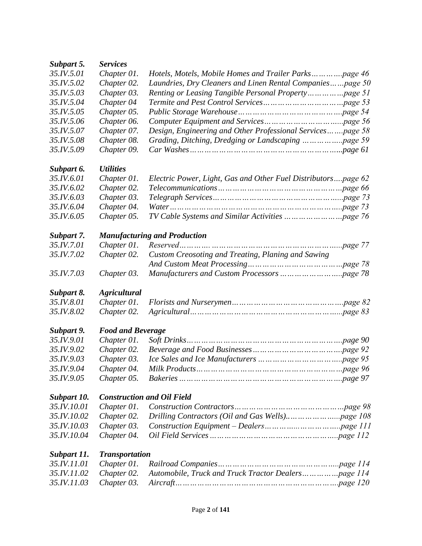| Subpart 5.  | <b>Services</b>                   |                                                               |  |
|-------------|-----------------------------------|---------------------------------------------------------------|--|
| 35.IV.5.01  | Chapter 01.                       | Hotels, Motels, Mobile Homes and Trailer Parkspage 46         |  |
| 35.IV.5.02  | Chapter 02.                       | Laundries, Dry Cleaners and Linen Rental Companiespage 50     |  |
| 35.IV.5.03  | Chapter 03.                       |                                                               |  |
| 35.IV.5.04  | Chapter 04                        |                                                               |  |
| 35.IV.5.05  | Chapter 05.                       |                                                               |  |
| 35.IV.5.06  | Chapter 06.                       |                                                               |  |
| 35.IV.5.07  | Chapter 07.                       | Design, Engineering and Other Professional Servicespage 58    |  |
| 35.IV.5.08  | Chapter 08.                       |                                                               |  |
| 35.IV.5.09  | Chapter 09.                       |                                                               |  |
| Subpart 6.  | <i><b>Utilities</b></i>           |                                                               |  |
| 35.IV.6.01  | Chapter 01.                       | Electric Power, Light, Gas and Other Fuel Distributorspage 62 |  |
| 35.IV.6.02  | Chapter 02.                       |                                                               |  |
| 35.IV.6.03  | Chapter 03.                       |                                                               |  |
| 35.IV.6.04  | Chapter 04.                       |                                                               |  |
| 35.IV.6.05  | Chapter 05.                       |                                                               |  |
| Subpart 7.  |                                   | <b>Manufacturing and Production</b>                           |  |
| 35.IV.7.01  | Chapter 01.                       |                                                               |  |
| 35.IV.7.02  | Chapter 02.                       | Custom Creosoting and Treating, Planing and Sawing            |  |
| 35.IV.7.03  | Chapter 03.                       |                                                               |  |
| Subpart 8.  | <b>Agricultural</b>               |                                                               |  |
| 35.IV.8.01  | Chapter 01.                       |                                                               |  |
| 35.IV.8.02  | Chapter 02.                       |                                                               |  |
| Subpart 9.  | <b>Food and Beverage</b>          |                                                               |  |
| 35.IV.9.01  | Chapter 01.                       |                                                               |  |
| 35.IV.9.02  | Chapter 02.                       |                                                               |  |
| 35.IV.9.03  | Chapter 03.                       |                                                               |  |
| 35.IV.9.04  | Chapter 04.                       |                                                               |  |
| 35.IV.9.05  | Chapter 05.                       |                                                               |  |
| Subpart 10. | <b>Construction and Oil Field</b> |                                                               |  |
| 35.IV.10.01 | Chapter 01.                       |                                                               |  |
| 35.IV.10.02 | Chapter 02.                       |                                                               |  |
| 35.IV.10.03 | Chapter 03.                       |                                                               |  |
| 35.IV.10.04 | Chapter 04.                       |                                                               |  |
| Subpart 11. | <b>Transportation</b>             |                                                               |  |
| 35.IV.11.01 | Chapter 01.                       |                                                               |  |
| 35.IV.11.02 | Chapter 02.                       |                                                               |  |
| 35.IV.11.03 | Chapter 03.                       |                                                               |  |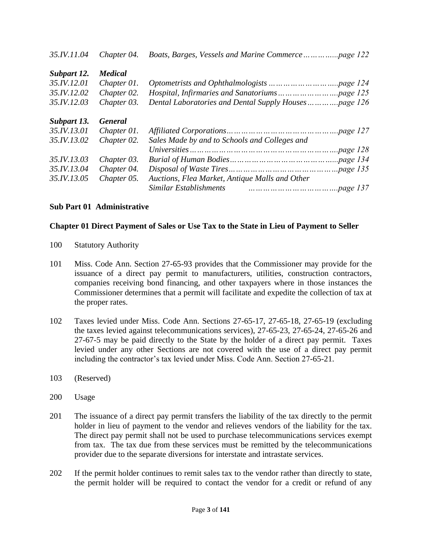| 35.IV.11.04 | Chapter 04.    |                                                |
|-------------|----------------|------------------------------------------------|
| Subpart 12. | <b>Medical</b> |                                                |
| 35.IV.12.01 | Chapter 01.    |                                                |
| 35.IV.12.02 | Chapter 02.    |                                                |
| 35.IV.12.03 | Chapter 03.    |                                                |
| Subpart 13. | <b>General</b> |                                                |
| 35.IV.13.01 | Chapter 01.    |                                                |
| 35.IV.13.02 | Chapter 02.    | Sales Made by and to Schools and Colleges and  |
|             |                |                                                |
| 35.IV.13.03 | Chapter 03.    |                                                |
| 35.IV.13.04 | Chapter 04.    |                                                |
| 35.IV.13.05 | Chapter 05.    | Auctions, Flea Market, Antique Malls and Other |
|             |                | Similar Establishments                         |

### **Sub Part 01 Administrative**

#### **Chapter 01 Direct Payment of Sales or Use Tax to the State in Lieu of Payment to Seller**

- 100 Statutory Authority
- 101 Miss. Code Ann. Section 27-65-93 provides that the Commissioner may provide for the issuance of a direct pay permit to manufacturers, utilities, construction contractors, companies receiving bond financing, and other taxpayers where in those instances the Commissioner determines that a permit will facilitate and expedite the collection of tax at the proper rates.
- 102 Taxes levied under Miss. Code Ann. Sections 27-65-17, 27-65-18, 27-65-19 (excluding the taxes levied against telecommunications services), 27-65-23, 27-65-24, 27-65-26 and 27-67-5 may be paid directly to the State by the holder of a direct pay permit. Taxes levied under any other Sections are not covered with the use of a direct pay permit including the contractor's tax levied under Miss. Code Ann. Section 27-65-21.
- 103 (Reserved)
- 200 Usage
- 201 The issuance of a direct pay permit transfers the liability of the tax directly to the permit holder in lieu of payment to the vendor and relieves vendors of the liability for the tax. The direct pay permit shall not be used to purchase telecommunications services exempt from tax. The tax due from these services must be remitted by the telecommunications provider due to the separate diversions for interstate and intrastate services.
- 202 If the permit holder continues to remit sales tax to the vendor rather than directly to state, the permit holder will be required to contact the vendor for a credit or refund of any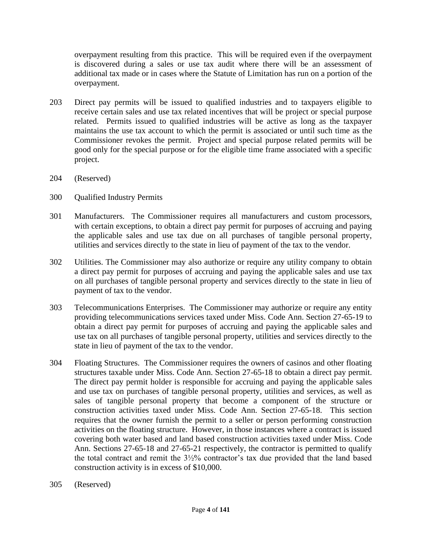overpayment resulting from this practice. This will be required even if the overpayment is discovered during a sales or use tax audit where there will be an assessment of additional tax made or in cases where the Statute of Limitation has run on a portion of the overpayment.

- 203 Direct pay permits will be issued to qualified industries and to taxpayers eligible to receive certain sales and use tax related incentives that will be project or special purpose related. Permits issued to qualified industries will be active as long as the taxpayer maintains the use tax account to which the permit is associated or until such time as the Commissioner revokes the permit. Project and special purpose related permits will be good only for the special purpose or for the eligible time frame associated with a specific project.
- 204 (Reserved)
- 300 Qualified Industry Permits
- 301 Manufacturers. The Commissioner requires all manufacturers and custom processors, with certain exceptions, to obtain a direct pay permit for purposes of accruing and paying the applicable sales and use tax due on all purchases of tangible personal property, utilities and services directly to the state in lieu of payment of the tax to the vendor.
- 302 Utilities. The Commissioner may also authorize or require any utility company to obtain a direct pay permit for purposes of accruing and paying the applicable sales and use tax on all purchases of tangible personal property and services directly to the state in lieu of payment of tax to the vendor.
- 303 Telecommunications Enterprises. The Commissioner may authorize or require any entity providing telecommunications services taxed under Miss. Code Ann. Section 27-65-19 to obtain a direct pay permit for purposes of accruing and paying the applicable sales and use tax on all purchases of tangible personal property, utilities and services directly to the state in lieu of payment of the tax to the vendor.
- 304 Floating Structures. The Commissioner requires the owners of casinos and other floating structures taxable under Miss. Code Ann. Section 27-65-18 to obtain a direct pay permit. The direct pay permit holder is responsible for accruing and paying the applicable sales and use tax on purchases of tangible personal property, utilities and services, as well as sales of tangible personal property that become a component of the structure or construction activities taxed under Miss. Code Ann. Section 27-65-18. This section requires that the owner furnish the permit to a seller or person performing construction activities on the floating structure. However, in those instances where a contract is issued covering both water based and land based construction activities taxed under Miss. Code Ann. Sections 27-65-18 and 27-65-21 respectively, the contractor is permitted to qualify the total contract and remit the 3½% contractor's tax due provided that the land based construction activity is in excess of \$10,000.
- 305 (Reserved)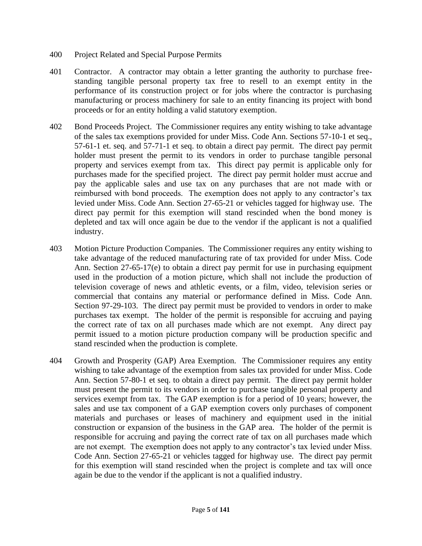- 400 Project Related and Special Purpose Permits
- 401 Contractor. A contractor may obtain a letter granting the authority to purchase freestanding tangible personal property tax free to resell to an exempt entity in the performance of its construction project or for jobs where the contractor is purchasing manufacturing or process machinery for sale to an entity financing its project with bond proceeds or for an entity holding a valid statutory exemption.
- 402 Bond Proceeds Project. The Commissioner requires any entity wishing to take advantage of the sales tax exemptions provided for under Miss. Code Ann. Sections 57-10-1 et seq., 57-61-1 et. seq. and 57-71-1 et seq. to obtain a direct pay permit. The direct pay permit holder must present the permit to its vendors in order to purchase tangible personal property and services exempt from tax. This direct pay permit is applicable only for purchases made for the specified project. The direct pay permit holder must accrue and pay the applicable sales and use tax on any purchases that are not made with or reimbursed with bond proceeds. The exemption does not apply to any contractor's tax levied under Miss. Code Ann. Section 27-65-21 or vehicles tagged for highway use. The direct pay permit for this exemption will stand rescinded when the bond money is depleted and tax will once again be due to the vendor if the applicant is not a qualified industry.
- 403 Motion Picture Production Companies. The Commissioner requires any entity wishing to take advantage of the reduced manufacturing rate of tax provided for under Miss. Code Ann. Section 27-65-17(e) to obtain a direct pay permit for use in purchasing equipment used in the production of a motion picture, which shall not include the production of television coverage of news and athletic events, or a film, video, television series or commercial that contains any material or performance defined in Miss. Code Ann. Section 97-29-103. The direct pay permit must be provided to vendors in order to make purchases tax exempt. The holder of the permit is responsible for accruing and paying the correct rate of tax on all purchases made which are not exempt. Any direct pay permit issued to a motion picture production company will be production specific and stand rescinded when the production is complete.
- 404 Growth and Prosperity (GAP) Area Exemption. The Commissioner requires any entity wishing to take advantage of the exemption from sales tax provided for under Miss. Code Ann. Section 57-80-1 et seq. to obtain a direct pay permit. The direct pay permit holder must present the permit to its vendors in order to purchase tangible personal property and services exempt from tax. The GAP exemption is for a period of 10 years; however, the sales and use tax component of a GAP exemption covers only purchases of component materials and purchases or leases of machinery and equipment used in the initial construction or expansion of the business in the GAP area. The holder of the permit is responsible for accruing and paying the correct rate of tax on all purchases made which are not exempt. The exemption does not apply to any contractor's tax levied under Miss. Code Ann. Section 27-65-21 or vehicles tagged for highway use. The direct pay permit for this exemption will stand rescinded when the project is complete and tax will once again be due to the vendor if the applicant is not a qualified industry.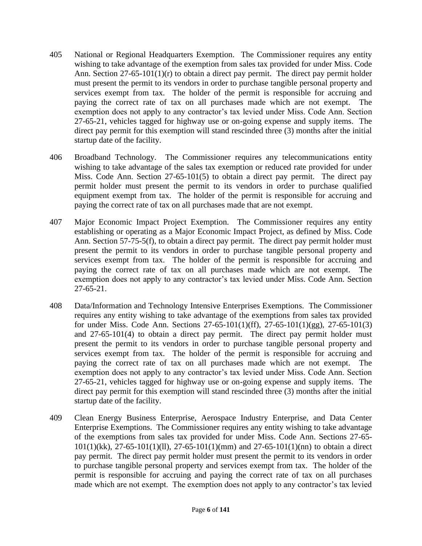- 405 National or Regional Headquarters Exemption. The Commissioner requires any entity wishing to take advantage of the exemption from sales tax provided for under Miss. Code Ann. Section  $27-65-101(1)(r)$  to obtain a direct pay permit. The direct pay permit holder must present the permit to its vendors in order to purchase tangible personal property and services exempt from tax. The holder of the permit is responsible for accruing and paying the correct rate of tax on all purchases made which are not exempt. The exemption does not apply to any contractor's tax levied under Miss. Code Ann. Section 27-65-21, vehicles tagged for highway use or on-going expense and supply items. The direct pay permit for this exemption will stand rescinded three (3) months after the initial startup date of the facility.
- 406 Broadband Technology. The Commissioner requires any telecommunications entity wishing to take advantage of the sales tax exemption or reduced rate provided for under Miss. Code Ann. Section 27-65-101(5) to obtain a direct pay permit. The direct pay permit holder must present the permit to its vendors in order to purchase qualified equipment exempt from tax. The holder of the permit is responsible for accruing and paying the correct rate of tax on all purchases made that are not exempt.
- 407 Major Economic Impact Project Exemption. The Commissioner requires any entity establishing or operating as a Major Economic Impact Project, as defined by Miss. Code Ann. Section 57-75-5(f), to obtain a direct pay permit. The direct pay permit holder must present the permit to its vendors in order to purchase tangible personal property and services exempt from tax. The holder of the permit is responsible for accruing and paying the correct rate of tax on all purchases made which are not exempt. The exemption does not apply to any contractor's tax levied under Miss. Code Ann. Section 27-65-21.
- 408 Data/Information and Technology Intensive Enterprises Exemptions. The Commissioner requires any entity wishing to take advantage of the exemptions from sales tax provided for under Miss. Code Ann. Sections 27-65-101(1)(ff), 27-65-101(1)(gg), 27-65-101(3) and 27-65-101(4) to obtain a direct pay permit. The direct pay permit holder must present the permit to its vendors in order to purchase tangible personal property and services exempt from tax. The holder of the permit is responsible for accruing and paying the correct rate of tax on all purchases made which are not exempt. The exemption does not apply to any contractor's tax levied under Miss. Code Ann. Section 27-65-21, vehicles tagged for highway use or on-going expense and supply items. The direct pay permit for this exemption will stand rescinded three (3) months after the initial startup date of the facility.
- 409 Clean Energy Business Enterprise, Aerospace Industry Enterprise, and Data Center Enterprise Exemptions. The Commissioner requires any entity wishing to take advantage of the exemptions from sales tax provided for under Miss. Code Ann. Sections 27-65- 101(1)(kk), 27-65-101(1)(ll), 27-65-101(1)(mm) and 27-65-101(1)(nn) to obtain a direct pay permit. The direct pay permit holder must present the permit to its vendors in order to purchase tangible personal property and services exempt from tax. The holder of the permit is responsible for accruing and paying the correct rate of tax on all purchases made which are not exempt. The exemption does not apply to any contractor's tax levied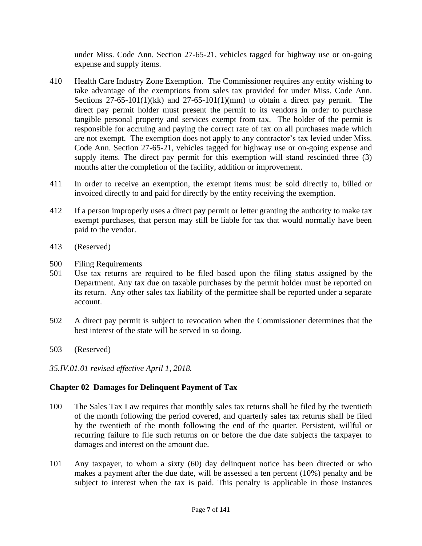under Miss. Code Ann. Section 27-65-21, vehicles tagged for highway use or on-going expense and supply items.

- 410 Health Care Industry Zone Exemption. The Commissioner requires any entity wishing to take advantage of the exemptions from sales tax provided for under Miss. Code Ann. Sections  $27-65-101(1)(kk)$  and  $27-65-101(1)(mm)$  to obtain a direct pay permit. The direct pay permit holder must present the permit to its vendors in order to purchase tangible personal property and services exempt from tax. The holder of the permit is responsible for accruing and paying the correct rate of tax on all purchases made which are not exempt. The exemption does not apply to any contractor's tax levied under Miss. Code Ann. Section 27-65-21, vehicles tagged for highway use or on-going expense and supply items. The direct pay permit for this exemption will stand rescinded three (3) months after the completion of the facility, addition or improvement.
- 411 In order to receive an exemption, the exempt items must be sold directly to, billed or invoiced directly to and paid for directly by the entity receiving the exemption.
- 412 If a person improperly uses a direct pay permit or letter granting the authority to make tax exempt purchases, that person may still be liable for tax that would normally have been paid to the vendor.
- 413 (Reserved)
- 500 Filing Requirements
- 501 Use tax returns are required to be filed based upon the filing status assigned by the Department. Any tax due on taxable purchases by the permit holder must be reported on its return. Any other sales tax liability of the permittee shall be reported under a separate account.
- 502 A direct pay permit is subject to revocation when the Commissioner determines that the best interest of the state will be served in so doing.
- 503 (Reserved)
- *35.IV.01.01 revised effective April 1, 2018.*

## **Chapter 02 Damages for Delinquent Payment of Tax**

- 100 The Sales Tax Law requires that monthly sales tax returns shall be filed by the twentieth of the month following the period covered, and quarterly sales tax returns shall be filed by the twentieth of the month following the end of the quarter. Persistent, willful or recurring failure to file such returns on or before the due date subjects the taxpayer to damages and interest on the amount due.
- 101 Any taxpayer, to whom a sixty (60) day delinquent notice has been directed or who makes a payment after the due date, will be assessed a ten percent (10%) penalty and be subject to interest when the tax is paid. This penalty is applicable in those instances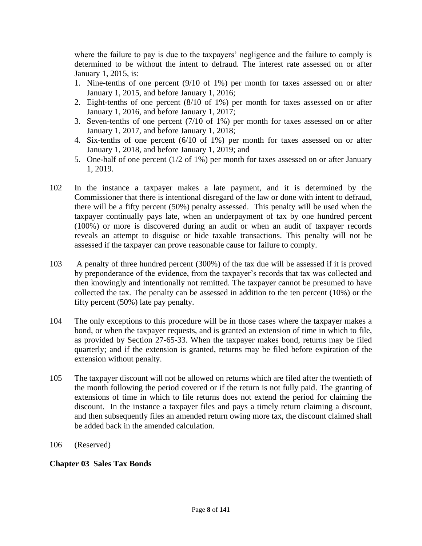where the failure to pay is due to the taxpayers' negligence and the failure to comply is determined to be without the intent to defraud. The interest rate assessed on or after January 1, 2015, is:

- 1. Nine-tenths of one percent (9/10 of 1%) per month for taxes assessed on or after January 1, 2015, and before January 1, 2016;
- 2. Eight-tenths of one percent (8/10 of 1%) per month for taxes assessed on or after January 1, 2016, and before January 1, 2017;
- 3. Seven-tenths of one percent (7/10 of 1%) per month for taxes assessed on or after January 1, 2017, and before January 1, 2018;
- 4. Six-tenths of one percent (6/10 of 1%) per month for taxes assessed on or after January 1, 2018, and before January 1, 2019; and
- 5. One-half of one percent (1/2 of 1%) per month for taxes assessed on or after January 1, 2019.
- 102 In the instance a taxpayer makes a late payment, and it is determined by the Commissioner that there is intentional disregard of the law or done with intent to defraud, there will be a fifty percent (50%) penalty assessed. This penalty will be used when the taxpayer continually pays late, when an underpayment of tax by one hundred percent (100%) or more is discovered during an audit or when an audit of taxpayer records reveals an attempt to disguise or hide taxable transactions. This penalty will not be assessed if the taxpayer can prove reasonable cause for failure to comply.
- 103 A penalty of three hundred percent (300%) of the tax due will be assessed if it is proved by preponderance of the evidence, from the taxpayer's records that tax was collected and then knowingly and intentionally not remitted. The taxpayer cannot be presumed to have collected the tax. The penalty can be assessed in addition to the ten percent (10%) or the fifty percent (50%) late pay penalty.
- 104 The only exceptions to this procedure will be in those cases where the taxpayer makes a bond, or when the taxpayer requests, and is granted an extension of time in which to file, as provided by Section 27-65-33. When the taxpayer makes bond, returns may be filed quarterly; and if the extension is granted, returns may be filed before expiration of the extension without penalty.
- 105 The taxpayer discount will not be allowed on returns which are filed after the twentieth of the month following the period covered or if the return is not fully paid. The granting of extensions of time in which to file returns does not extend the period for claiming the discount. In the instance a taxpayer files and pays a timely return claiming a discount, and then subsequently files an amended return owing more tax, the discount claimed shall be added back in the amended calculation.
- 106 (Reserved)

### **Chapter 03 Sales Tax Bonds**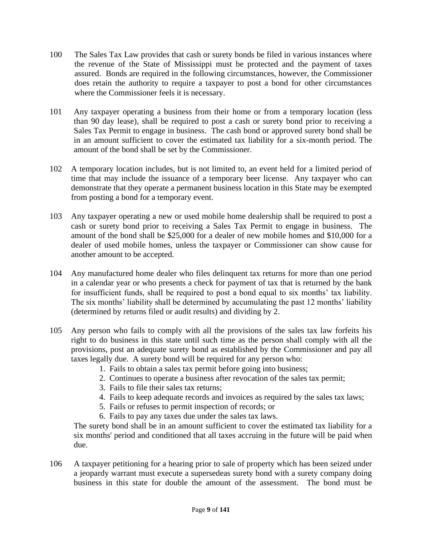- 100 The Sales Tax Law provides that cash or surety bonds be filed in various instances where the revenue of the State of Mississippi must be protected and the payment of taxes assured. Bonds are required in the following circumstances, however, the Commissioner does retain the authority to require a taxpayer to post a bond for other circumstances where the Commissioner feels it is necessary.
- 101 Any taxpayer operating a business from their home or from a temporary location (less than 90 day lease), shall be required to post a cash or surety bond prior to receiving a Sales Tax Permit to engage in business. The cash bond or approved surety bond shall be in an amount sufficient to cover the estimated tax liability for a six-month period. The amount of the bond shall be set by the Commissioner.
- 102 A temporary location includes, but is not limited to, an event held for a limited period of time that may include the issuance of a temporary beer license. Any taxpayer who can demonstrate that they operate a permanent business location in this State may be exempted from posting a bond for a temporary event.
- 103 Any taxpayer operating a new or used mobile home dealership shall be required to post a cash or surety bond prior to receiving a Sales Tax Permit to engage in business. The amount of the bond shall be \$25,000 for a dealer of new mobile homes and \$10,000 for a dealer of used mobile homes, unless the taxpayer or Commissioner can show cause for another amount to be accepted.
- 104 Any manufactured home dealer who files delinquent tax returns for more than one period in a calendar year or who presents a check for payment of tax that is returned by the bank for insufficient funds, shall be required to post a bond equal to six months' tax liability. The six months' liability shall be determined by accumulating the past 12 months' liability (determined by returns filed or audit results) and dividing by 2.
- 105 Any person who fails to comply with all the provisions of the sales tax law forfeits his right to do business in this state until such time as the person shall comply with all the provisions, post an adequate surety bond as established by the Commissioner and pay all taxes legally due. A surety bond will be required for any person who:
	- 1. Fails to obtain a sales tax permit before going into business;
	- 2. Continues to operate a business after revocation of the sales tax permit;
	- 3. Fails to file their sales tax returns;
	- 4. Fails to keep adequate records and invoices as required by the sales tax laws;
	- 5. Fails or refuses to permit inspection of records; or
	- 6. Fails to pay any taxes due under the sales tax laws.

The surety bond shall be in an amount sufficient to cover the estimated tax liability for a six months' period and conditioned that all taxes accruing in the future will be paid when due.

106 A taxpayer petitioning for a hearing prior to sale of property which has been seized under a jeopardy warrant must execute a supersedeas surety bond with a surety company doing business in this state for double the amount of the assessment. The bond must be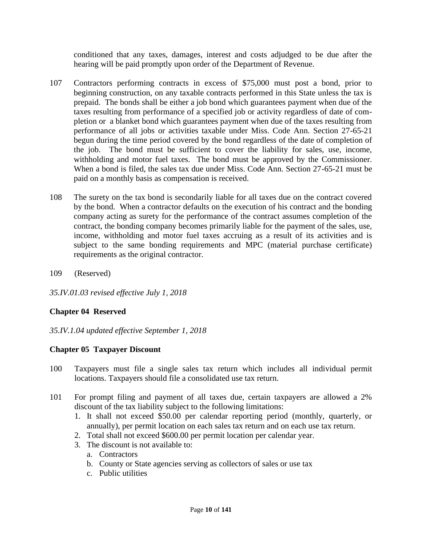conditioned that any taxes, damages, interest and costs adjudged to be due after the hearing will be paid promptly upon order of the Department of Revenue.

- 107 Contractors performing contracts in excess of \$75,000 must post a bond, prior to beginning construction, on any taxable contracts performed in this State unless the tax is prepaid. The bonds shall be either a job bond which guarantees payment when due of the taxes resulting from performance of a specified job or activity regardless of date of completion or a blanket bond which guarantees payment when due of the taxes resulting from performance of all jobs or activities taxable under Miss. Code Ann. Section 27-65-21 begun during the time period covered by the bond regardless of the date of completion of the job. The bond must be sufficient to cover the liability for sales, use, income, withholding and motor fuel taxes. The bond must be approved by the Commissioner. When a bond is filed, the sales tax due under Miss. Code Ann. Section 27-65-21 must be paid on a monthly basis as compensation is received.
- 108 The surety on the tax bond is secondarily liable for all taxes due on the contract covered by the bond. When a contractor defaults on the execution of his contract and the bonding company acting as surety for the performance of the contract assumes completion of the contract, the bonding company becomes primarily liable for the payment of the sales, use, income, withholding and motor fuel taxes accruing as a result of its activities and is subject to the same bonding requirements and MPC (material purchase certificate) requirements as the original contractor.
- 109 (Reserved)
- *35.IV.01.03 revised effective July 1, 2018*

### **Chapter 04 Reserved**

*35.IV.1.04 updated effective September 1, 2018*

### **Chapter 05 Taxpayer Discount**

- 100 Taxpayers must file a single sales tax return which includes all individual permit locations. Taxpayers should file a consolidated use tax return.
- 101 For prompt filing and payment of all taxes due, certain taxpayers are allowed a 2% discount of the tax liability subject to the following limitations:
	- 1. It shall not exceed \$50.00 per calendar reporting period (monthly, quarterly, or annually), per permit location on each sales tax return and on each use tax return.
	- 2. Total shall not exceed \$600.00 per permit location per calendar year.
	- 3. The discount is not available to:
		- a. Contractors
		- b. County or State agencies serving as collectors of sales or use tax
		- c. Public utilities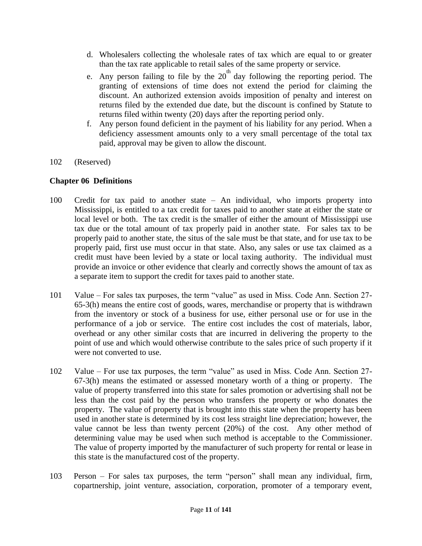- d. Wholesalers collecting the wholesale rates of tax which are equal to or greater than the tax rate applicable to retail sales of the same property or service.
- e. Any person failing to file by the  $20<sup>th</sup>$  day following the reporting period. The granting of extensions of time does not extend the period for claiming the discount. An authorized extension avoids imposition of penalty and interest on returns filed by the extended due date, but the discount is confined by Statute to returns filed within twenty (20) days after the reporting period only.
- f. Any person found deficient in the payment of his liability for any period. When a deficiency assessment amounts only to a very small percentage of the total tax paid, approval may be given to allow the discount.
- 102 (Reserved)

### **Chapter 06 Definitions**

- 100 Credit for tax paid to another state An individual, who imports property into Mississippi, is entitled to a tax credit for taxes paid to another state at either the state or local level or both. The tax credit is the smaller of either the amount of Mississippi use tax due or the total amount of tax properly paid in another state. For sales tax to be properly paid to another state, the situs of the sale must be that state, and for use tax to be properly paid, first use must occur in that state. Also, any sales or use tax claimed as a credit must have been levied by a state or local taxing authority. The individual must provide an invoice or other evidence that clearly and correctly shows the amount of tax as a separate item to support the credit for taxes paid to another state.
- 101 Value For sales tax purposes, the term "value" as used in Miss. Code Ann. Section 27- 65-3(h) means the entire cost of goods, wares, merchandise or property that is withdrawn from the inventory or stock of a business for use, either personal use or for use in the performance of a job or service. The entire cost includes the cost of materials, labor, overhead or any other similar costs that are incurred in delivering the property to the point of use and which would otherwise contribute to the sales price of such property if it were not converted to use.
- 102 Value For use tax purposes, the term "value" as used in Miss. Code Ann. Section 27- 67-3(h) means the estimated or assessed monetary worth of a thing or property. The value of property transferred into this state for sales promotion or advertising shall not be less than the cost paid by the person who transfers the property or who donates the property. The value of property that is brought into this state when the property has been used in another state is determined by its cost less straight line depreciation; however, the value cannot be less than twenty percent (20%) of the cost. Any other method of determining value may be used when such method is acceptable to the Commissioner. The value of property imported by the manufacturer of such property for rental or lease in this state is the manufactured cost of the property.
- 103 Person For sales tax purposes, the term "person" shall mean any individual, firm, copartnership, joint venture, association, corporation, promoter of a temporary event,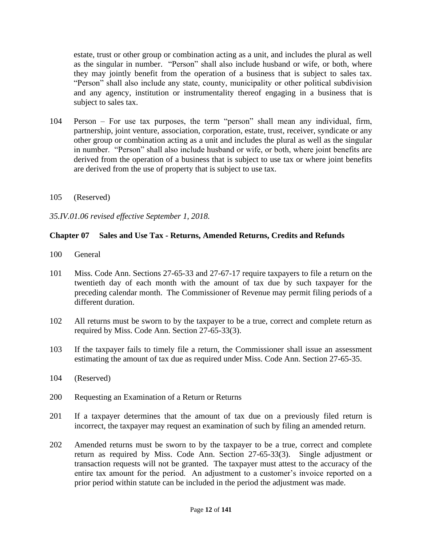estate, trust or other group or combination acting as a unit, and includes the plural as well as the singular in number. "Person" shall also include husband or wife, or both, where they may jointly benefit from the operation of a business that is subject to sales tax. "Person" shall also include any state, county, municipality or other political subdivision and any agency, institution or instrumentality thereof engaging in a business that is subject to sales tax.

- 104 Person For use tax purposes, the term "person" shall mean any individual, firm, partnership, joint venture, association, corporation, estate, trust, receiver, syndicate or any other group or combination acting as a unit and includes the plural as well as the singular in number. "Person" shall also include husband or wife, or both, where joint benefits are derived from the operation of a business that is subject to use tax or where joint benefits are derived from the use of property that is subject to use tax.
- 105 (Reserved)

*35.IV.01.06 revised effective September 1, 2018.*

### **Chapter 07 Sales and Use Tax - Returns, Amended Returns, Credits and Refunds**

- 100 General
- 101 Miss. Code Ann. Sections 27-65-33 and 27-67-17 require taxpayers to file a return on the twentieth day of each month with the amount of tax due by such taxpayer for the preceding calendar month. The Commissioner of Revenue may permit filing periods of a different duration.
- 102 All returns must be sworn to by the taxpayer to be a true, correct and complete return as required by Miss. Code Ann. Section 27-65-33(3).
- 103 If the taxpayer fails to timely file a return, the Commissioner shall issue an assessment estimating the amount of tax due as required under Miss. Code Ann. Section 27-65-35.
- 104 (Reserved)
- 200 Requesting an Examination of a Return or Returns
- 201 If a taxpayer determines that the amount of tax due on a previously filed return is incorrect, the taxpayer may request an examination of such by filing an amended return.
- 202 Amended returns must be sworn to by the taxpayer to be a true, correct and complete return as required by Miss. Code Ann. Section 27-65-33(3). Single adjustment or transaction requests will not be granted. The taxpayer must attest to the accuracy of the entire tax amount for the period. An adjustment to a customer's invoice reported on a prior period within statute can be included in the period the adjustment was made.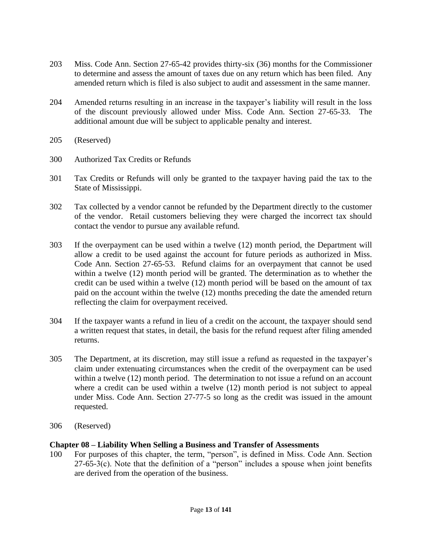- 203 Miss. Code Ann. Section 27-65-42 provides thirty-six (36) months for the Commissioner to determine and assess the amount of taxes due on any return which has been filed. Any amended return which is filed is also subject to audit and assessment in the same manner.
- 204 Amended returns resulting in an increase in the taxpayer's liability will result in the loss of the discount previously allowed under Miss. Code Ann. Section 27-65-33. The additional amount due will be subject to applicable penalty and interest.
- 205 (Reserved)
- 300 Authorized Tax Credits or Refunds
- 301 Tax Credits or Refunds will only be granted to the taxpayer having paid the tax to the State of Mississippi.
- 302 Tax collected by a vendor cannot be refunded by the Department directly to the customer of the vendor. Retail customers believing they were charged the incorrect tax should contact the vendor to pursue any available refund.
- 303 If the overpayment can be used within a twelve (12) month period, the Department will allow a credit to be used against the account for future periods as authorized in Miss. Code Ann. Section 27-65-53. Refund claims for an overpayment that cannot be used within a twelve (12) month period will be granted. The determination as to whether the credit can be used within a twelve (12) month period will be based on the amount of tax paid on the account within the twelve (12) months preceding the date the amended return reflecting the claim for overpayment received.
- 304 If the taxpayer wants a refund in lieu of a credit on the account, the taxpayer should send a written request that states, in detail, the basis for the refund request after filing amended returns.
- 305 The Department, at its discretion, may still issue a refund as requested in the taxpayer's claim under extenuating circumstances when the credit of the overpayment can be used within a twelve (12) month period. The determination to not issue a refund on an account where a credit can be used within a twelve (12) month period is not subject to appeal under Miss. Code Ann. Section 27-77-5 so long as the credit was issued in the amount requested.
- 306 (Reserved)

#### **Chapter 08 – Liability When Selling a Business and Transfer of Assessments**

100 For purposes of this chapter, the term, "person", is defined in Miss. Code Ann. Section  $27-65-3(c)$ . Note that the definition of a "person" includes a spouse when joint benefits are derived from the operation of the business.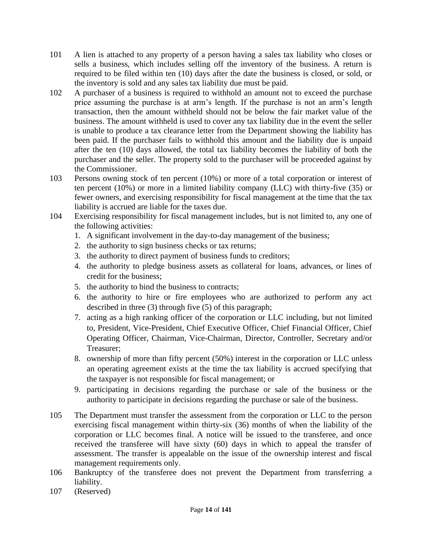- 101 A lien is attached to any property of a person having a sales tax liability who closes or sells a business, which includes selling off the inventory of the business. A return is required to be filed within ten (10) days after the date the business is closed, or sold, or the inventory is sold and any sales tax liability due must be paid.
- 102 A purchaser of a business is required to withhold an amount not to exceed the purchase price assuming the purchase is at arm's length. If the purchase is not an arm's length transaction, then the amount withheld should not be below the fair market value of the business. The amount withheld is used to cover any tax liability due in the event the seller is unable to produce a tax clearance letter from the Department showing the liability has been paid. If the purchaser fails to withhold this amount and the liability due is unpaid after the ten (10) days allowed, the total tax liability becomes the liability of both the purchaser and the seller. The property sold to the purchaser will be proceeded against by the Commissioner.
- 103 Persons owning stock of ten percent (10%) or more of a total corporation or interest of ten percent (10%) or more in a limited liability company (LLC) with thirty-five (35) or fewer owners, and exercising responsibility for fiscal management at the time that the tax liability is accrued are liable for the taxes due.
- 104 Exercising responsibility for fiscal management includes, but is not limited to, any one of the following activities:
	- 1. A significant involvement in the day-to-day management of the business;
	- 2. the authority to sign business checks or tax returns;
	- 3. the authority to direct payment of business funds to creditors;
	- 4. the authority to pledge business assets as collateral for loans, advances, or lines of credit for the business;
	- 5. the authority to bind the business to contracts;
	- 6. the authority to hire or fire employees who are authorized to perform any act described in three (3) through five (5) of this paragraph;
	- 7. acting as a high ranking officer of the corporation or LLC including, but not limited to, President, Vice-President, Chief Executive Officer, Chief Financial Officer, Chief Operating Officer, Chairman, Vice-Chairman, Director, Controller, Secretary and/or Treasurer;
	- 8. ownership of more than fifty percent (50%) interest in the corporation or LLC unless an operating agreement exists at the time the tax liability is accrued specifying that the taxpayer is not responsible for fiscal management; or
	- 9. participating in decisions regarding the purchase or sale of the business or the authority to participate in decisions regarding the purchase or sale of the business.
- 105 The Department must transfer the assessment from the corporation or LLC to the person exercising fiscal management within thirty-six (36) months of when the liability of the corporation or LLC becomes final. A notice will be issued to the transferee, and once received the transferee will have sixty (60) days in which to appeal the transfer of assessment. The transfer is appealable on the issue of the ownership interest and fiscal management requirements only.
- 106 Bankruptcy of the transferee does not prevent the Department from transferring a liability.
- 107 (Reserved)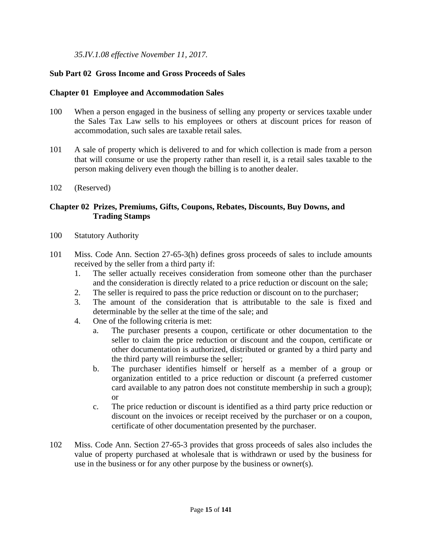*35.IV.1.08 effective November 11, 2017.*

### **Sub Part 02 Gross Income and Gross Proceeds of Sales**

#### **Chapter 01 Employee and Accommodation Sales**

- 100 When a person engaged in the business of selling any property or services taxable under the Sales Tax Law sells to his employees or others at discount prices for reason of accommodation, such sales are taxable retail sales.
- 101 A sale of property which is delivered to and for which collection is made from a person that will consume or use the property rather than resell it, is a retail sales taxable to the person making delivery even though the billing is to another dealer.
- 102 (Reserved)

### **Chapter 02 Prizes, Premiums, Gifts, Coupons, Rebates, Discounts, Buy Downs, and Trading Stamps**

- 100 Statutory Authority
- 101 Miss. Code Ann. Section 27-65-3(h) defines gross proceeds of sales to include amounts received by the seller from a third party if:
	- 1. The seller actually receives consideration from someone other than the purchaser and the consideration is directly related to a price reduction or discount on the sale;
	- 2. The seller is required to pass the price reduction or discount on to the purchaser;
	- 3. The amount of the consideration that is attributable to the sale is fixed and determinable by the seller at the time of the sale; and
	- 4. One of the following criteria is met:
		- a. The purchaser presents a coupon, certificate or other documentation to the seller to claim the price reduction or discount and the coupon, certificate or other documentation is authorized, distributed or granted by a third party and the third party will reimburse the seller;
		- b. The purchaser identifies himself or herself as a member of a group or organization entitled to a price reduction or discount (a preferred customer card available to any patron does not constitute membership in such a group); or
		- c. The price reduction or discount is identified as a third party price reduction or discount on the invoices or receipt received by the purchaser or on a coupon, certificate of other documentation presented by the purchaser.
- 102 Miss. Code Ann. Section 27-65-3 provides that gross proceeds of sales also includes the value of property purchased at wholesale that is withdrawn or used by the business for use in the business or for any other purpose by the business or owner(s).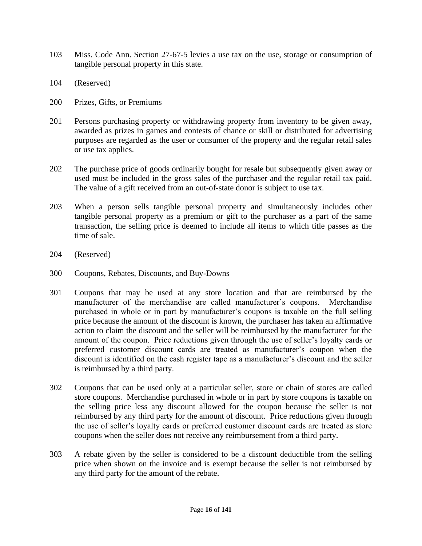- 103 Miss. Code Ann. Section 27-67-5 levies a use tax on the use, storage or consumption of tangible personal property in this state.
- 104 (Reserved)
- 200 Prizes, Gifts, or Premiums
- 201 Persons purchasing property or withdrawing property from inventory to be given away, awarded as prizes in games and contests of chance or skill or distributed for advertising purposes are regarded as the user or consumer of the property and the regular retail sales or use tax applies.
- 202 The purchase price of goods ordinarily bought for resale but subsequently given away or used must be included in the gross sales of the purchaser and the regular retail tax paid. The value of a gift received from an out-of-state donor is subject to use tax.
- 203 When a person sells tangible personal property and simultaneously includes other tangible personal property as a premium or gift to the purchaser as a part of the same transaction, the selling price is deemed to include all items to which title passes as the time of sale.
- 204 (Reserved)
- 300 Coupons, Rebates, Discounts, and Buy-Downs
- 301 Coupons that may be used at any store location and that are reimbursed by the manufacturer of the merchandise are called manufacturer's coupons. Merchandise purchased in whole or in part by manufacturer's coupons is taxable on the full selling price because the amount of the discount is known, the purchaser has taken an affirmative action to claim the discount and the seller will be reimbursed by the manufacturer for the amount of the coupon. Price reductions given through the use of seller's loyalty cards or preferred customer discount cards are treated as manufacturer's coupon when the discount is identified on the cash register tape as a manufacturer's discount and the seller is reimbursed by a third party.
- 302 Coupons that can be used only at a particular seller, store or chain of stores are called store coupons. Merchandise purchased in whole or in part by store coupons is taxable on the selling price less any discount allowed for the coupon because the seller is not reimbursed by any third party for the amount of discount. Price reductions given through the use of seller's loyalty cards or preferred customer discount cards are treated as store coupons when the seller does not receive any reimbursement from a third party.
- 303 A rebate given by the seller is considered to be a discount deductible from the selling price when shown on the invoice and is exempt because the seller is not reimbursed by any third party for the amount of the rebate.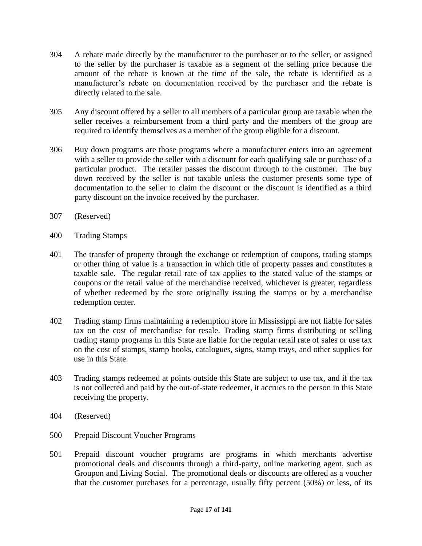- 304 A rebate made directly by the manufacturer to the purchaser or to the seller, or assigned to the seller by the purchaser is taxable as a segment of the selling price because the amount of the rebate is known at the time of the sale, the rebate is identified as a manufacturer's rebate on documentation received by the purchaser and the rebate is directly related to the sale.
- 305 Any discount offered by a seller to all members of a particular group are taxable when the seller receives a reimbursement from a third party and the members of the group are required to identify themselves as a member of the group eligible for a discount.
- 306 Buy down programs are those programs where a manufacturer enters into an agreement with a seller to provide the seller with a discount for each qualifying sale or purchase of a particular product. The retailer passes the discount through to the customer. The buy down received by the seller is not taxable unless the customer presents some type of documentation to the seller to claim the discount or the discount is identified as a third party discount on the invoice received by the purchaser.
- 307 (Reserved)
- 400 Trading Stamps
- 401 The transfer of property through the exchange or redemption of coupons, trading stamps or other thing of value is a transaction in which title of property passes and constitutes a taxable sale. The regular retail rate of tax applies to the stated value of the stamps or coupons or the retail value of the merchandise received, whichever is greater, regardless of whether redeemed by the store originally issuing the stamps or by a merchandise redemption center.
- 402 Trading stamp firms maintaining a redemption store in Mississippi are not liable for sales tax on the cost of merchandise for resale. Trading stamp firms distributing or selling trading stamp programs in this State are liable for the regular retail rate of sales or use tax on the cost of stamps, stamp books, catalogues, signs, stamp trays, and other supplies for use in this State.
- 403 Trading stamps redeemed at points outside this State are subject to use tax, and if the tax is not collected and paid by the out-of-state redeemer, it accrues to the person in this State receiving the property.
- 404 (Reserved)
- 500 Prepaid Discount Voucher Programs
- 501 Prepaid discount voucher programs are programs in which merchants advertise promotional deals and discounts through a third-party, online marketing agent, such as Groupon and Living Social. The promotional deals or discounts are offered as a voucher that the customer purchases for a percentage, usually fifty percent (50%) or less, of its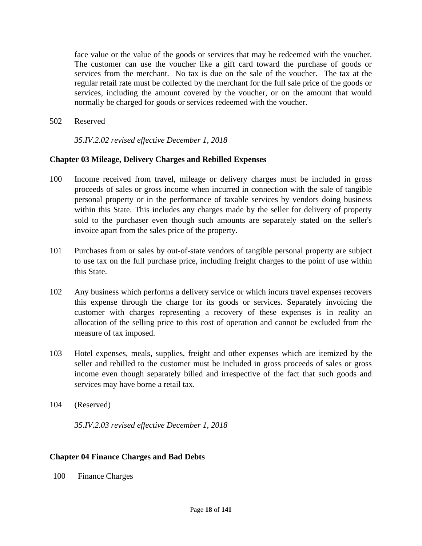face value or the value of the goods or services that may be redeemed with the voucher. The customer can use the voucher like a gift card toward the purchase of goods or services from the merchant. No tax is due on the sale of the voucher. The tax at the regular retail rate must be collected by the merchant for the full sale price of the goods or services, including the amount covered by the voucher, or on the amount that would normally be charged for goods or services redeemed with the voucher.

502 Reserved

*35.IV.2.02 revised effective December 1, 2018*

### **Chapter 03 Mileage, Delivery Charges and Rebilled Expenses**

- 100 Income received from travel, mileage or delivery charges must be included in gross proceeds of sales or gross income when incurred in connection with the sale of tangible personal property or in the performance of taxable services by vendors doing business within this State. This includes any charges made by the seller for delivery of property sold to the purchaser even though such amounts are separately stated on the seller's invoice apart from the sales price of the property.
- 101 Purchases from or sales by out-of-state vendors of tangible personal property are subject to use tax on the full purchase price, including freight charges to the point of use within this State.
- 102 Any business which performs a delivery service or which incurs travel expenses recovers this expense through the charge for its goods or services. Separately invoicing the customer with charges representing a recovery of these expenses is in reality an allocation of the selling price to this cost of operation and cannot be excluded from the measure of tax imposed.
- 103 Hotel expenses, meals, supplies, freight and other expenses which are itemized by the seller and rebilled to the customer must be included in gross proceeds of sales or gross income even though separately billed and irrespective of the fact that such goods and services may have borne a retail tax.
- 104 (Reserved)

*35.IV.2.03 revised effective December 1, 2018*

### **Chapter 04 Finance Charges and Bad Debts**

100 Finance Charges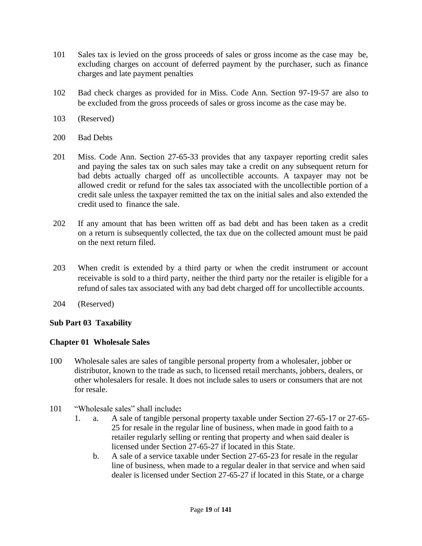- 101 Sales tax is levied on the gross proceeds of sales or gross income as the case may be, excluding charges on account of deferred payment by the purchaser, such as finance charges and late payment penalties
- 102 Bad check charges as provided for in Miss. Code Ann. Section 97-19-57 are also to be excluded from the gross proceeds of sales or gross income as the case may be.
- 103 (Reserved)
- 200 Bad Debts
- 201 Miss. Code Ann. Section 27-65-33 provides that any taxpayer reporting credit sales and paying the sales tax on such sales may take a credit on any subsequent return for bad debts actually charged off as uncollectible accounts. A taxpayer may not be allowed credit or refund for the sales tax associated with the uncollectible portion of a credit sale unless the taxpayer remitted the tax on the initial sales and also extended the credit used to finance the sale.
- 202 If any amount that has been written off as bad debt and has been taken as a credit on a return is subsequently collected, the tax due on the collected amount must be paid on the next return filed.
- 203 When credit is extended by a third party or when the credit instrument or account receivable is sold to a third party, neither the third party nor the retailer is eligible for a refund of sales tax associated with any bad debt charged off for uncollectible accounts.
- 204 (Reserved)

### **Sub Part 03 Taxability**

#### **Chapter 01 Wholesale Sales**

- 100 Wholesale sales are sales of tangible personal property from a wholesaler, jobber or distributor, known to the trade as such, to licensed retail merchants, jobbers, dealers, or other wholesalers for resale. It does not include sales to users or consumers that are not for resale.
- 101 "Wholesale sales" shall include**:**
	- 1. a. A sale of tangible personal property taxable under Section 27-65-17 or 27-65- 25 for resale in the regular line of business, when made in good faith to a retailer regularly selling or renting that property and when said dealer is licensed under Section 27-65-27 if located in this State.
		- b. A sale of a service taxable under Section 27-65-23 for resale in the regular line of business, when made to a regular dealer in that service and when said dealer is licensed under Section 27-65-27 if located in this State, or a charge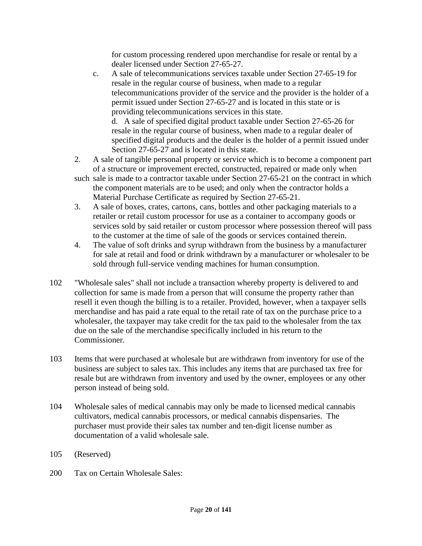for custom processing rendered upon merchandise for resale or rental by a dealer licensed under Section 27-65-27.

c. A sale of telecommunications services taxable under Section 27-65-19 for resale in the regular course of business, when made to a regular telecommunications provider of the service and the provider is the holder of a permit issued under Section 27-65-27 and is located in this state or is providing telecommunications services in this state. d. A sale of specified digital product taxable under Section 27-65-26 for

resale in the regular course of business, when made to a regular dealer of specified digital products and the dealer is the holder of a permit issued under Section 27-65-27 and is located in this state.

- 2. A sale of tangible personal property or service which is to become a component part of a structure or improvement erected, constructed, repaired or made only when
- such sale is made to a contractor taxable under Section 27-65-21 on the contract in which the component materials are to be used; and only when the contractor holds a Material Purchase Certificate as required by Section 27-65-21.
- 3. A sale of boxes, crates, cartons, cans, bottles and other packaging materials to a retailer or retail custom processor for use as a container to accompany goods or services sold by said retailer or custom processor where possession thereof will pass to the customer at the time of sale of the goods or services contained therein.
- 4. The value of soft drinks and syrup withdrawn from the business by a manufacturer for sale at retail and food or drink withdrawn by a manufacturer or wholesaler to be sold through full-service vending machines for human consumption.
- 102 "Wholesale sales" shall not include a transaction whereby property is delivered to and collection for same is made from a person that will consume the property rather than resell it even though the billing is to a retailer. Provided, however, when a taxpayer sells merchandise and has paid a rate equal to the retail rate of tax on the purchase price to a wholesaler, the taxpayer may take credit for the tax paid to the wholesaler from the tax due on the sale of the merchandise specifically included in his return to the Commissioner.
- 103 Items that were purchased at wholesale but are withdrawn from inventory for use of the business are subject to sales tax. This includes any items that are purchased tax free for resale but are withdrawn from inventory and used by the owner, employees or any other person instead of being sold.
- 104 Wholesale sales of medical cannabis may only be made to licensed medical cannabis cultivators, medical cannabis processors, or medical cannabis dispensaries. The purchaser must provide their sales tax number and ten-digit license number as documentation of a valid wholesale sale.
- 105 (Reserved)
- 200 Tax on Certain Wholesale Sales: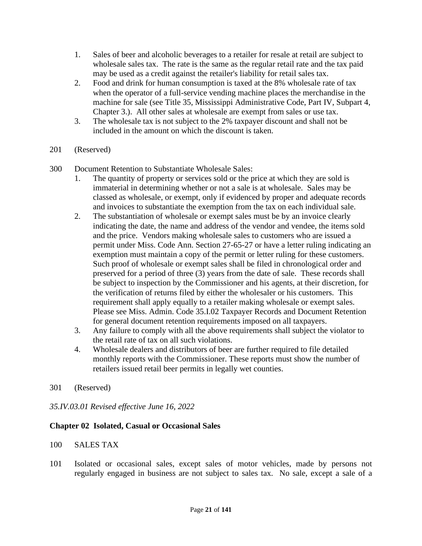- 1. Sales of beer and alcoholic beverages to a retailer for resale at retail are subject to wholesale sales tax. The rate is the same as the regular retail rate and the tax paid may be used as a credit against the retailer's liability for retail sales tax.
- 2. Food and drink for human consumption is taxed at the 8% wholesale rate of tax when the operator of a full-service vending machine places the merchandise in the machine for sale (see Title 35, Mississippi Administrative Code, Part IV, Subpart 4, Chapter 3.). All other sales at wholesale are exempt from sales or use tax.
- 3. The wholesale tax is not subject to the 2% taxpayer discount and shall not be included in the amount on which the discount is taken.
- 201 (Reserved)
- 300 Document Retention to Substantiate Wholesale Sales:
	- 1. The quantity of property or services sold or the price at which they are sold is immaterial in determining whether or not a sale is at wholesale. Sales may be classed as wholesale, or exempt, only if evidenced by proper and adequate records and invoices to substantiate the exemption from the tax on each individual sale.
	- 2. The substantiation of wholesale or exempt sales must be by an invoice clearly indicating the date, the name and address of the vendor and vendee, the items sold and the price. Vendors making wholesale sales to customers who are issued a permit under Miss. Code Ann. Section 27-65-27 or have a letter ruling indicating an exemption must maintain a copy of the permit or letter ruling for these customers. Such proof of wholesale or exempt sales shall be filed in chronological order and preserved for a period of three (3) years from the date of sale. These records shall be subject to inspection by the Commissioner and his agents, at their discretion, for the verification of returns filed by either the wholesaler or his customers. This requirement shall apply equally to a retailer making wholesale or exempt sales. Please see Miss. Admin. Code 35.I.02 Taxpayer Records and Document Retention for general document retention requirements imposed on all taxpayers.
	- 3. Any failure to comply with all the above requirements shall subject the violator to the retail rate of tax on all such violations.
	- 4. Wholesale dealers and distributors of beer are further required to file detailed monthly reports with the Commissioner. These reports must show the number of retailers issued retail beer permits in legally wet counties.
- 301 (Reserved)

#### *35.IV.03.01 Revised effective June 16, 2022*

#### **Chapter 02 Isolated, Casual or Occasional Sales**

- 100 SALES TAX
- 101 Isolated or occasional sales, except sales of motor vehicles, made by persons not regularly engaged in business are not subject to sales tax. No sale, except a sale of a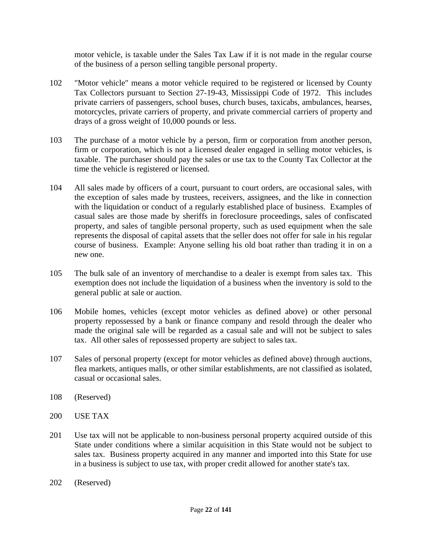motor vehicle, is taxable under the Sales Tax Law if it is not made in the regular course of the business of a person selling tangible personal property.

- 102 "Motor vehicle" means a motor vehicle required to be registered or licensed by County Tax Collectors pursuant to Section 27-19-43, Mississippi Code of 1972. This includes private carriers of passengers, school buses, church buses, taxicabs, ambulances, hearses, motorcycles, private carriers of property, and private commercial carriers of property and drays of a gross weight of 10,000 pounds or less.
- 103 The purchase of a motor vehicle by a person, firm or corporation from another person, firm or corporation, which is not a licensed dealer engaged in selling motor vehicles, is taxable. The purchaser should pay the sales or use tax to the County Tax Collector at the time the vehicle is registered or licensed.
- 104 All sales made by officers of a court, pursuant to court orders, are occasional sales, with the exception of sales made by trustees, receivers, assignees, and the like in connection with the liquidation or conduct of a regularly established place of business. Examples of casual sales are those made by sheriffs in foreclosure proceedings, sales of confiscated property, and sales of tangible personal property, such as used equipment when the sale represents the disposal of capital assets that the seller does not offer for sale in his regular course of business. Example: Anyone selling his old boat rather than trading it in on a new one.
- 105 The bulk sale of an inventory of merchandise to a dealer is exempt from sales tax. This exemption does not include the liquidation of a business when the inventory is sold to the general public at sale or auction.
- 106 Mobile homes, vehicles (except motor vehicles as defined above) or other personal property repossessed by a bank or finance company and resold through the dealer who made the original sale will be regarded as a casual sale and will not be subject to sales tax. All other sales of repossessed property are subject to sales tax.
- 107 Sales of personal property (except for motor vehicles as defined above) through auctions, flea markets, antiques malls, or other similar establishments, are not classified as isolated, casual or occasional sales.
- 108 (Reserved)
- 200 USE TAX
- 201 Use tax will not be applicable to non-business personal property acquired outside of this State under conditions where a similar acquisition in this State would not be subject to sales tax. Business property acquired in any manner and imported into this State for use in a business is subject to use tax, with proper credit allowed for another state's tax.
- 202 (Reserved)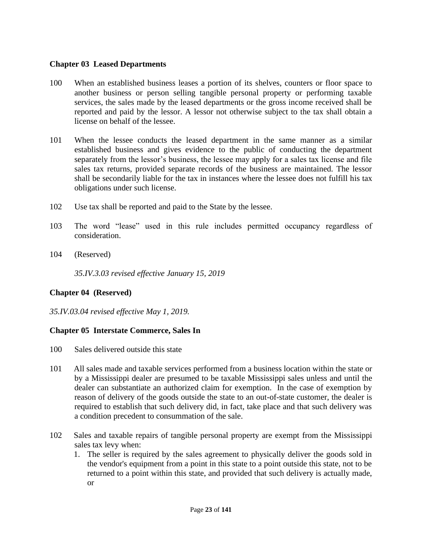### **Chapter 03 Leased Departments**

- 100 When an established business leases a portion of its shelves, counters or floor space to another business or person selling tangible personal property or performing taxable services, the sales made by the leased departments or the gross income received shall be reported and paid by the lessor. A lessor not otherwise subject to the tax shall obtain a license on behalf of the lessee.
- 101 When the lessee conducts the leased department in the same manner as a similar established business and gives evidence to the public of conducting the department separately from the lessor's business, the lessee may apply for a sales tax license and file sales tax returns, provided separate records of the business are maintained. The lessor shall be secondarily liable for the tax in instances where the lessee does not fulfill his tax obligations under such license.
- 102 Use tax shall be reported and paid to the State by the lessee.
- 103 The word "lease" used in this rule includes permitted occupancy regardless of consideration.
- 104 (Reserved)

*35.IV.3.03 revised effective January 15, 2019*

### **Chapter 04 (Reserved)**

*35.IV.03.04 revised effective May 1, 2019.*

### **Chapter 05 Interstate Commerce, Sales In**

- 100 Sales delivered outside this state
- 101 All sales made and taxable services performed from a business location within the state or by a Mississippi dealer are presumed to be taxable Mississippi sales unless and until the dealer can substantiate an authorized claim for exemption. In the case of exemption by reason of delivery of the goods outside the state to an out-of-state customer, the dealer is required to establish that such delivery did, in fact, take place and that such delivery was a condition precedent to consummation of the sale.
- 102 Sales and taxable repairs of tangible personal property are exempt from the Mississippi sales tax levy when:
	- 1. The seller is required by the sales agreement to physically deliver the goods sold in the vendor's equipment from a point in this state to a point outside this state, not to be returned to a point within this state, and provided that such delivery is actually made, or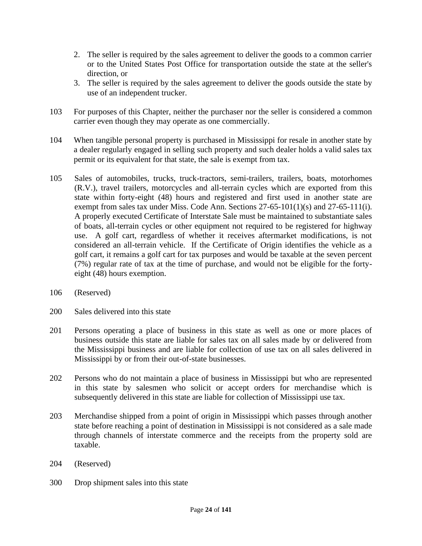- 2. The seller is required by the sales agreement to deliver the goods to a common carrier or to the United States Post Office for transportation outside the state at the seller's direction, or
- 3. The seller is required by the sales agreement to deliver the goods outside the state by use of an independent trucker.
- 103 For purposes of this Chapter, neither the purchaser nor the seller is considered a common carrier even though they may operate as one commercially.
- 104 When tangible personal property is purchased in Mississippi for resale in another state by a dealer regularly engaged in selling such property and such dealer holds a valid sales tax permit or its equivalent for that state, the sale is exempt from tax.
- 105 Sales of automobiles, trucks, truck-tractors, semi-trailers, trailers, boats, motorhomes (R.V.), travel trailers, motorcycles and all-terrain cycles which are exported from this state within forty-eight (48) hours and registered and first used in another state are exempt from sales tax under Miss. Code Ann. Sections 27-65-101(1)(s) and 27-65-111(i). A properly executed Certificate of Interstate Sale must be maintained to substantiate sales of boats, all-terrain cycles or other equipment not required to be registered for highway use. A golf cart, regardless of whether it receives aftermarket modifications, is not considered an all-terrain vehicle. If the Certificate of Origin identifies the vehicle as a golf cart, it remains a golf cart for tax purposes and would be taxable at the seven percent (7%) regular rate of tax at the time of purchase, and would not be eligible for the fortyeight (48) hours exemption.
- 106 (Reserved)
- 200 Sales delivered into this state
- 201 Persons operating a place of business in this state as well as one or more places of business outside this state are liable for sales tax on all sales made by or delivered from the Mississippi business and are liable for collection of use tax on all sales delivered in Mississippi by or from their out-of-state businesses.
- 202 Persons who do not maintain a place of business in Mississippi but who are represented in this state by salesmen who solicit or accept orders for merchandise which is subsequently delivered in this state are liable for collection of Mississippi use tax.
- 203 Merchandise shipped from a point of origin in Mississippi which passes through another state before reaching a point of destination in Mississippi is not considered as a sale made through channels of interstate commerce and the receipts from the property sold are taxable.
- 204 (Reserved)
- 300 Drop shipment sales into this state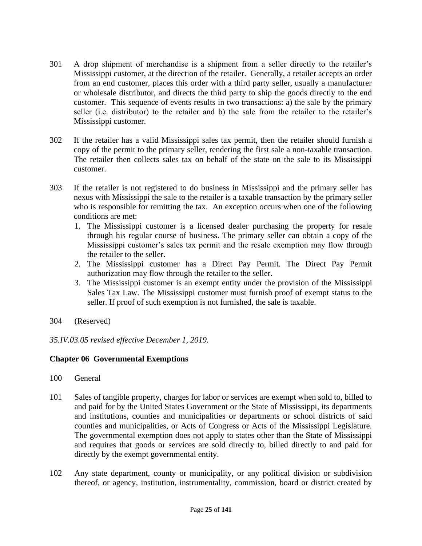- 301 A drop shipment of merchandise is a shipment from a seller directly to the retailer's Mississippi customer, at the direction of the retailer. Generally, a retailer accepts an order from an end customer, places this order with a third party seller, usually a manufacturer or wholesale distributor, and directs the third party to ship the goods directly to the end customer. This sequence of events results in two transactions: a) the sale by the primary seller (i.e. distributor) to the retailer and b) the sale from the retailer to the retailer's Mississippi customer.
- 302 If the retailer has a valid Mississippi sales tax permit, then the retailer should furnish a copy of the permit to the primary seller, rendering the first sale a non-taxable transaction. The retailer then collects sales tax on behalf of the state on the sale to its Mississippi customer.
- 303 If the retailer is not registered to do business in Mississippi and the primary seller has nexus with Mississippi the sale to the retailer is a taxable transaction by the primary seller who is responsible for remitting the tax. An exception occurs when one of the following conditions are met:
	- 1. The Mississippi customer is a licensed dealer purchasing the property for resale through his regular course of business. The primary seller can obtain a copy of the Mississippi customer's sales tax permit and the resale exemption may flow through the retailer to the seller.
	- 2. The Mississippi customer has a Direct Pay Permit. The Direct Pay Permit authorization may flow through the retailer to the seller.
	- 3. The Mississippi customer is an exempt entity under the provision of the Mississippi Sales Tax Law. The Mississippi customer must furnish proof of exempt status to the seller. If proof of such exemption is not furnished, the sale is taxable.
- 304 (Reserved)

*35.IV.03.05 revised effective December 1, 2019.*

### **Chapter 06 Governmental Exemptions**

- 100 General
- 101 Sales of tangible property, charges for labor or services are exempt when sold to, billed to and paid for by the United States Government or the State of Mississippi, its departments and institutions, counties and municipalities or departments or school districts of said counties and municipalities, or Acts of Congress or Acts of the Mississippi Legislature. The governmental exemption does not apply to states other than the State of Mississippi and requires that goods or services are sold directly to, billed directly to and paid for directly by the exempt governmental entity.
- 102 Any state department, county or municipality, or any political division or subdivision thereof, or agency, institution, instrumentality, commission, board or district created by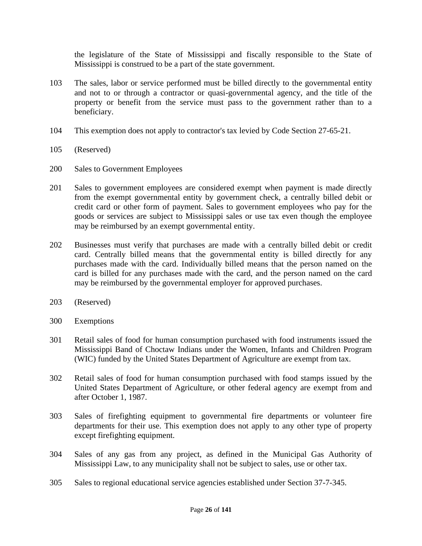the legislature of the State of Mississippi and fiscally responsible to the State of Mississippi is construed to be a part of the state government.

- 103 The sales, labor or service performed must be billed directly to the governmental entity and not to or through a contractor or quasi-governmental agency, and the title of the property or benefit from the service must pass to the government rather than to a beneficiary.
- 104 This exemption does not apply to contractor's tax levied by Code Section 27-65-21.
- 105 (Reserved)
- 200 Sales to Government Employees
- 201 Sales to government employees are considered exempt when payment is made directly from the exempt governmental entity by government check, a centrally billed debit or credit card or other form of payment. Sales to government employees who pay for the goods or services are subject to Mississippi sales or use tax even though the employee may be reimbursed by an exempt governmental entity.
- 202 Businesses must verify that purchases are made with a centrally billed debit or credit card. Centrally billed means that the governmental entity is billed directly for any purchases made with the card. Individually billed means that the person named on the card is billed for any purchases made with the card, and the person named on the card may be reimbursed by the governmental employer for approved purchases.
- 203 (Reserved)
- 300 Exemptions
- 301 Retail sales of food for human consumption purchased with food instruments issued the Mississippi Band of Choctaw Indians under the Women, Infants and Children Program (WIC) funded by the United States Department of Agriculture are exempt from tax.
- 302 Retail sales of food for human consumption purchased with food stamps issued by the United States Department of Agriculture, or other federal agency are exempt from and after October 1, 1987.
- 303 Sales of firefighting equipment to governmental fire departments or volunteer fire departments for their use. This exemption does not apply to any other type of property except firefighting equipment.
- 304 Sales of any gas from any project, as defined in the Municipal Gas Authority of Mississippi Law, to any municipality shall not be subject to sales, use or other tax.
- 305 Sales to regional educational service agencies established under Section 37-7-345.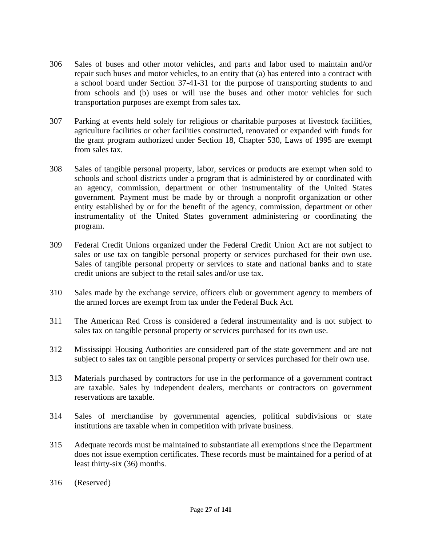- 306 Sales of buses and other motor vehicles, and parts and labor used to maintain and/or repair such buses and motor vehicles, to an entity that (a) has entered into a contract with a school board under Section 37-41-31 for the purpose of transporting students to and from schools and (b) uses or will use the buses and other motor vehicles for such transportation purposes are exempt from sales tax.
- 307 Parking at events held solely for religious or charitable purposes at livestock facilities, agriculture facilities or other facilities constructed, renovated or expanded with funds for the grant program authorized under Section 18, Chapter 530, Laws of 1995 are exempt from sales tax.
- 308 Sales of tangible personal property, labor, services or products are exempt when sold to schools and school districts under a program that is administered by or coordinated with an agency, commission, department or other instrumentality of the United States government. Payment must be made by or through a nonprofit organization or other entity established by or for the benefit of the agency, commission, department or other instrumentality of the United States government administering or coordinating the program.
- 309 Federal Credit Unions organized under the Federal Credit Union Act are not subject to sales or use tax on tangible personal property or services purchased for their own use. Sales of tangible personal property or services to state and national banks and to state credit unions are subject to the retail sales and/or use tax.
- 310 Sales made by the exchange service, officers club or government agency to members of the armed forces are exempt from tax under the Federal Buck Act.
- 311 The American Red Cross is considered a federal instrumentality and is not subject to sales tax on tangible personal property or services purchased for its own use.
- 312 Mississippi Housing Authorities are considered part of the state government and are not subject to sales tax on tangible personal property or services purchased for their own use.
- 313 Materials purchased by contractors for use in the performance of a government contract are taxable. Sales by independent dealers, merchants or contractors on government reservations are taxable.
- 314 Sales of merchandise by governmental agencies, political subdivisions or state institutions are taxable when in competition with private business.
- 315 Adequate records must be maintained to substantiate all exemptions since the Department does not issue exemption certificates. These records must be maintained for a period of at least thirty-six (36) months.
- 316 (Reserved)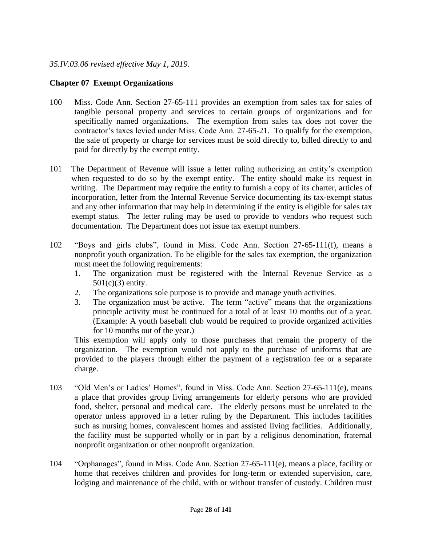### *35.IV.03.06 revised effective May 1, 2019.*

### **Chapter 07 Exempt Organizations**

- 100 Miss. Code Ann. Section 27-65-111 provides an exemption from sales tax for sales of tangible personal property and services to certain groups of organizations and for specifically named organizations. The exemption from sales tax does not cover the contractor's taxes levied under Miss. Code Ann. 27-65-21. To qualify for the exemption, the sale of property or charge for services must be sold directly to, billed directly to and paid for directly by the exempt entity.
- 101 The Department of Revenue will issue a letter ruling authorizing an entity's exemption when requested to do so by the exempt entity. The entity should make its request in writing. The Department may require the entity to furnish a copy of its charter, articles of incorporation, letter from the Internal Revenue Service documenting its tax-exempt status and any other information that may help in determining if the entity is eligible for sales tax exempt status. The letter ruling may be used to provide to vendors who request such documentation. The Department does not issue tax exempt numbers.
- 102 "Boys and girls clubs", found in Miss. Code Ann. Section 27-65-111(f), means a nonprofit youth organization. To be eligible for the sales tax exemption, the organization must meet the following requirements:
	- 1. The organization must be registered with the Internal Revenue Service as a 501(c)(3) entity.
	- 2. The organizations sole purpose is to provide and manage youth activities.
	- 3. The organization must be active. The term "active" means that the organizations principle activity must be continued for a total of at least 10 months out of a year. (Example: A youth baseball club would be required to provide organized activities for 10 months out of the year.)

This exemption will apply only to those purchases that remain the property of the organization. The exemption would not apply to the purchase of uniforms that are provided to the players through either the payment of a registration fee or a separate charge.

- 103 "Old Men's or Ladies' Homes", found in Miss. Code Ann. Section 27-65-111(e), means a place that provides group living arrangements for elderly persons who are provided food, shelter, personal and medical care. The elderly persons must be unrelated to the operator unless approved in a letter ruling by the Department. This includes facilities such as nursing homes, convalescent homes and assisted living facilities. Additionally, the facility must be supported wholly or in part by a religious denomination, fraternal nonprofit organization or other nonprofit organization.
- 104 "Orphanages", found in Miss. Code Ann. Section 27-65-111(e), means a place, facility or home that receives children and provides for long-term or extended supervision, care, lodging and maintenance of the child, with or without transfer of custody. Children must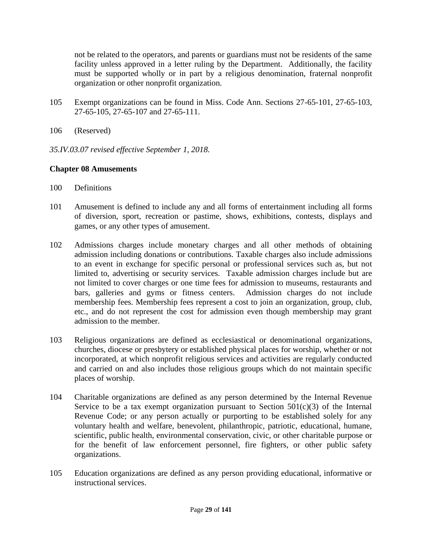not be related to the operators, and parents or guardians must not be residents of the same facility unless approved in a letter ruling by the Department. Additionally, the facility must be supported wholly or in part by a religious denomination, fraternal nonprofit organization or other nonprofit organization.

- 105 Exempt organizations can be found in Miss. Code Ann. Sections 27-65-101, 27-65-103, 27-65-105, 27-65-107 and 27-65-111.
- 106 (Reserved)
- *35.IV.03.07 revised effective September 1, 2018.*

### **Chapter 08 Amusements**

- 100 Definitions
- 101 Amusement is defined to include any and all forms of entertainment including all forms of diversion, sport, recreation or pastime, shows, exhibitions, contests, displays and games, or any other types of amusement.
- 102 Admissions charges include monetary charges and all other methods of obtaining admission including donations or contributions. Taxable charges also include admissions to an event in exchange for specific personal or professional services such as, but not limited to, advertising or security services. Taxable admission charges include but are not limited to cover charges or one time fees for admission to museums, restaurants and bars, galleries and gyms or fitness centers. Admission charges do not include membership fees. Membership fees represent a cost to join an organization, group, club, etc., and do not represent the cost for admission even though membership may grant admission to the member.
- 103 Religious organizations are defined as ecclesiastical or denominational organizations, churches, diocese or presbytery or established physical places for worship, whether or not incorporated, at which nonprofit religious services and activities are regularly conducted and carried on and also includes those religious groups which do not maintain specific places of worship.
- 104 Charitable organizations are defined as any person determined by the Internal Revenue Service to be a tax exempt organization pursuant to Section  $501(c)(3)$  of the Internal Revenue Code; or any person actually or purporting to be established solely for any voluntary health and welfare, benevolent, philanthropic, patriotic, educational, humane, scientific, public health, environmental conservation, civic, or other charitable purpose or for the benefit of law enforcement personnel, fire fighters, or other public safety organizations.
- 105 Education organizations are defined as any person providing educational, informative or instructional services.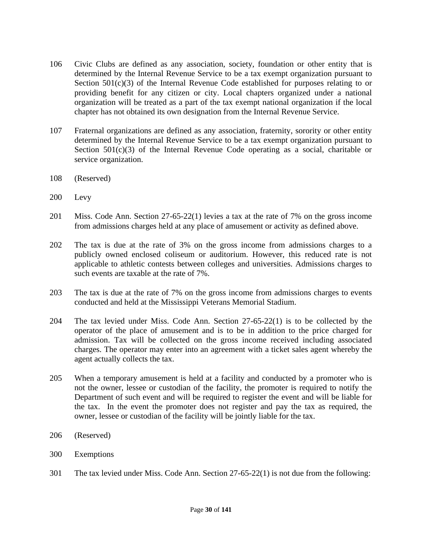- 106 Civic Clubs are defined as any association, society, foundation or other entity that is determined by the Internal Revenue Service to be a tax exempt organization pursuant to Section  $501(c)(3)$  of the Internal Revenue Code established for purposes relating to or providing benefit for any citizen or city. Local chapters organized under a national organization will be treated as a part of the tax exempt national organization if the local chapter has not obtained its own designation from the Internal Revenue Service.
- 107 Fraternal organizations are defined as any association, fraternity, sorority or other entity determined by the Internal Revenue Service to be a tax exempt organization pursuant to Section  $501(c)(3)$  of the Internal Revenue Code operating as a social, charitable or service organization.
- 108 (Reserved)
- 200 Levy
- 201 Miss. Code Ann. Section 27-65-22(1) levies a tax at the rate of 7% on the gross income from admissions charges held at any place of amusement or activity as defined above.
- 202 The tax is due at the rate of 3% on the gross income from admissions charges to a publicly owned enclosed coliseum or auditorium. However, this reduced rate is not applicable to athletic contests between colleges and universities. Admissions charges to such events are taxable at the rate of 7%.
- 203 The tax is due at the rate of 7% on the gross income from admissions charges to events conducted and held at the Mississippi Veterans Memorial Stadium.
- 204 The tax levied under Miss. Code Ann. Section 27-65-22(1) is to be collected by the operator of the place of amusement and is to be in addition to the price charged for admission. Tax will be collected on the gross income received including associated charges. The operator may enter into an agreement with a ticket sales agent whereby the agent actually collects the tax.
- 205 When a temporary amusement is held at a facility and conducted by a promoter who is not the owner, lessee or custodian of the facility, the promoter is required to notify the Department of such event and will be required to register the event and will be liable for the tax. In the event the promoter does not register and pay the tax as required, the owner, lessee or custodian of the facility will be jointly liable for the tax.
- 206 (Reserved)
- 300 Exemptions
- 301 The tax levied under Miss. Code Ann. Section 27-65-22(1) is not due from the following: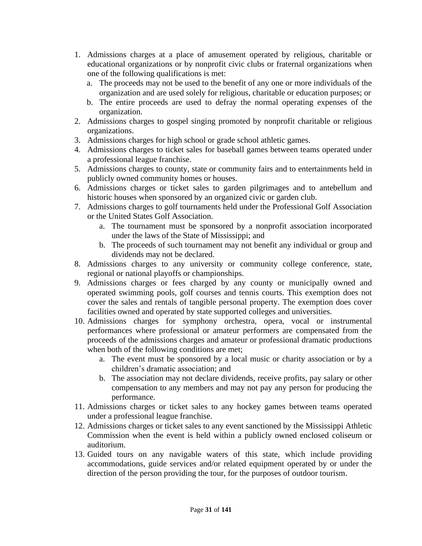- 1. Admissions charges at a place of amusement operated by religious, charitable or educational organizations or by nonprofit civic clubs or fraternal organizations when one of the following qualifications is met:
	- a. The proceeds may not be used to the benefit of any one or more individuals of the organization and are used solely for religious, charitable or education purposes; or
	- b. The entire proceeds are used to defray the normal operating expenses of the organization.
- 2. Admissions charges to gospel singing promoted by nonprofit charitable or religious organizations.
- 3. Admissions charges for high school or grade school athletic games.
- 4. Admissions charges to ticket sales for baseball games between teams operated under a professional league franchise.
- 5. Admissions charges to county, state or community fairs and to entertainments held in publicly owned community homes or houses.
- 6. Admissions charges or ticket sales to garden pilgrimages and to antebellum and historic houses when sponsored by an organized civic or garden club.
- 7. Admissions charges to golf tournaments held under the Professional Golf Association or the United States Golf Association.
	- a. The tournament must be sponsored by a nonprofit association incorporated under the laws of the State of Mississippi; and
	- b. The proceeds of such tournament may not benefit any individual or group and dividends may not be declared.
- 8. Admissions charges to any university or community college conference, state, regional or national playoffs or championships.
- 9. Admissions charges or fees charged by any county or municipally owned and operated swimming pools, golf courses and tennis courts. This exemption does not cover the sales and rentals of tangible personal property. The exemption does cover facilities owned and operated by state supported colleges and universities.
- 10. Admissions charges for symphony orchestra, opera, vocal or instrumental performances where professional or amateur performers are compensated from the proceeds of the admissions charges and amateur or professional dramatic productions when both of the following conditions are met;
	- a. The event must be sponsored by a local music or charity association or by a children's dramatic association; and
	- b. The association may not declare dividends, receive profits, pay salary or other compensation to any members and may not pay any person for producing the performance.
- 11. Admissions charges or ticket sales to any hockey games between teams operated under a professional league franchise.
- 12. Admissions charges or ticket sales to any event sanctioned by the Mississippi Athletic Commission when the event is held within a publicly owned enclosed coliseum or auditorium.
- 13. Guided tours on any navigable waters of this state, which include providing accommodations, guide services and/or related equipment operated by or under the direction of the person providing the tour, for the purposes of outdoor tourism.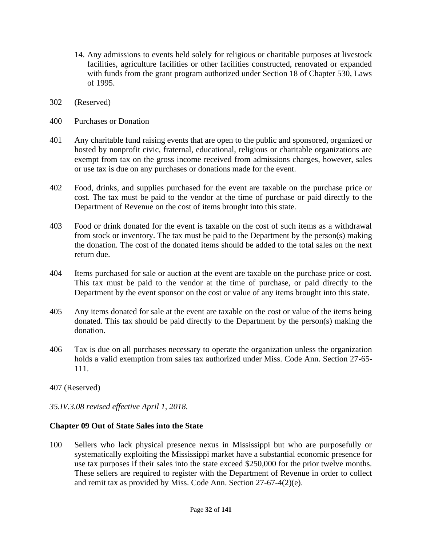- 14. Any admissions to events held solely for religious or charitable purposes at livestock facilities, agriculture facilities or other facilities constructed, renovated or expanded with funds from the grant program authorized under Section 18 of Chapter 530, Laws of 1995.
- 302 (Reserved)
- 400 Purchases or Donation
- 401 Any charitable fund raising events that are open to the public and sponsored, organized or hosted by nonprofit civic, fraternal, educational, religious or charitable organizations are exempt from tax on the gross income received from admissions charges, however, sales or use tax is due on any purchases or donations made for the event.
- 402 Food, drinks, and supplies purchased for the event are taxable on the purchase price or cost. The tax must be paid to the vendor at the time of purchase or paid directly to the Department of Revenue on the cost of items brought into this state.
- 403 Food or drink donated for the event is taxable on the cost of such items as a withdrawal from stock or inventory. The tax must be paid to the Department by the person(s) making the donation. The cost of the donated items should be added to the total sales on the next return due.
- 404 Items purchased for sale or auction at the event are taxable on the purchase price or cost. This tax must be paid to the vendor at the time of purchase, or paid directly to the Department by the event sponsor on the cost or value of any items brought into this state.
- 405 Any items donated for sale at the event are taxable on the cost or value of the items being donated. This tax should be paid directly to the Department by the person(s) making the donation.
- 406 Tax is due on all purchases necessary to operate the organization unless the organization holds a valid exemption from sales tax authorized under Miss. Code Ann. Section 27-65- 111.
- 407 (Reserved)
- *35.IV.3.08 revised effective April 1, 2018.*

#### **Chapter 09 Out of State Sales into the State**

100 Sellers who lack physical presence nexus in Mississippi but who are purposefully or systematically exploiting the Mississippi market have a substantial economic presence for use tax purposes if their sales into the state exceed \$250,000 for the prior twelve months. These sellers are required to register with the Department of Revenue in order to collect and remit tax as provided by Miss. Code Ann. Section 27-67-4(2)(e).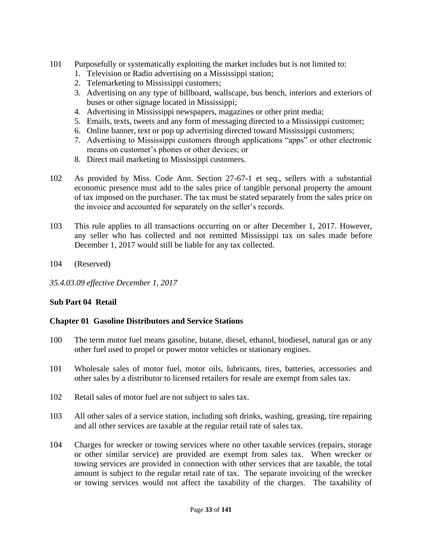- 101 Purposefully or systematically exploiting the market includes but is not limited to:
	- 1. Television or Radio advertising on a Mississippi station;
	- 2. Telemarketing to Mississippi customers;
	- 3. Advertising on any type of billboard, wallscape, bus bench, interiors and exteriors of buses or other signage located in Mississippi;
	- 4. Advertising in Mississippi newspapers, magazines or other print media;
	- 5. Emails, texts, tweets and any form of messaging directed to a Mississippi customer;
	- 6. Online banner, text or pop up advertising directed toward Mississippi customers;
	- 7. Advertising to Mississippi customers through applications "apps" or other electronic means on customer's phones or other devices; or
	- 8. Direct mail marketing to Mississippi customers.
- 102 As provided by Miss. Code Ann. Section 27-67-1 et seq., sellers with a substantial economic presence must add to the sales price of tangible personal property the amount of tax imposed on the purchaser. The tax must be stated separately from the sales price on the invoice and accounted for separately on the seller's records.
- 103 This rule applies to all transactions occurring on or after December 1, 2017. However, any seller who has collected and not remitted Mississippi tax on sales made before December 1, 2017 would still be liable for any tax collected.
- 104 (Reserved)
- *35.4.03.09 effective December 1, 2017*

#### **Sub Part 04 Retail**

#### **Chapter 01 Gasoline Distributors and Service Stations**

- 100 The term motor fuel means gasoline, butane, diesel, ethanol, biodiesel, natural gas or any other fuel used to propel or power motor vehicles or stationary engines.
- 101 Wholesale sales of motor fuel, motor oils, lubricants, tires, batteries, accessories and other sales by a distributor to licensed retailers for resale are exempt from sales tax.
- 102 Retail sales of motor fuel are not subject to sales tax.
- 103 All other sales of a service station, including soft drinks, washing, greasing, tire repairing and all other services are taxable at the regular retail rate of sales tax.
- 104 Charges for wrecker or towing services where no other taxable services (repairs, storage or other similar service) are provided are exempt from sales tax. When wrecker or towing services are provided in connection with other services that are taxable, the total amount is subject to the regular retail rate of tax. The separate invoicing of the wrecker or towing services would not affect the taxability of the charges. The taxability of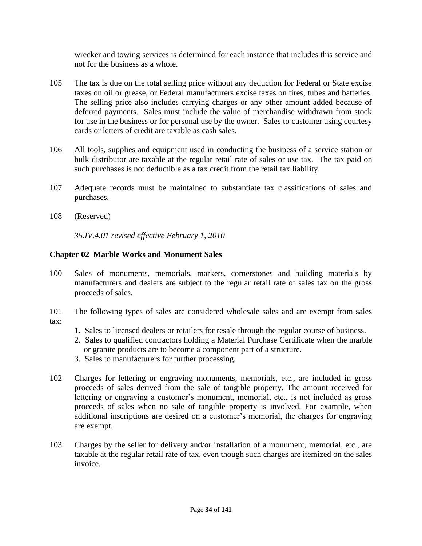wrecker and towing services is determined for each instance that includes this service and not for the business as a whole.

- 105 The tax is due on the total selling price without any deduction for Federal or State excise taxes on oil or grease, or Federal manufacturers excise taxes on tires, tubes and batteries. The selling price also includes carrying charges or any other amount added because of deferred payments. Sales must include the value of merchandise withdrawn from stock for use in the business or for personal use by the owner. Sales to customer using courtesy cards or letters of credit are taxable as cash sales.
- 106 All tools, supplies and equipment used in conducting the business of a service station or bulk distributor are taxable at the regular retail rate of sales or use tax. The tax paid on such purchases is not deductible as a tax credit from the retail tax liability.
- 107 Adequate records must be maintained to substantiate tax classifications of sales and purchases.
- 108 (Reserved)

*35.IV.4.01 revised effective February 1, 2010* 

### **Chapter 02 Marble Works and Monument Sales**

- 100 Sales of monuments, memorials, markers, cornerstones and building materials by manufacturers and dealers are subject to the regular retail rate of sales tax on the gross proceeds of sales.
- 101 The following types of sales are considered wholesale sales and are exempt from sales tax:
	- 1. Sales to licensed dealers or retailers for resale through the regular course of business.
	- 2. Sales to qualified contractors holding a Material Purchase Certificate when the marble or granite products are to become a component part of a structure.
	- 3. Sales to manufacturers for further processing.
- 102 Charges for lettering or engraving monuments, memorials, etc., are included in gross proceeds of sales derived from the sale of tangible property. The amount received for lettering or engraving a customer's monument, memorial, etc., is not included as gross proceeds of sales when no sale of tangible property is involved. For example, when additional inscriptions are desired on a customer's memorial, the charges for engraving are exempt.
- 103 Charges by the seller for delivery and/or installation of a monument, memorial, etc., are taxable at the regular retail rate of tax, even though such charges are itemized on the sales invoice.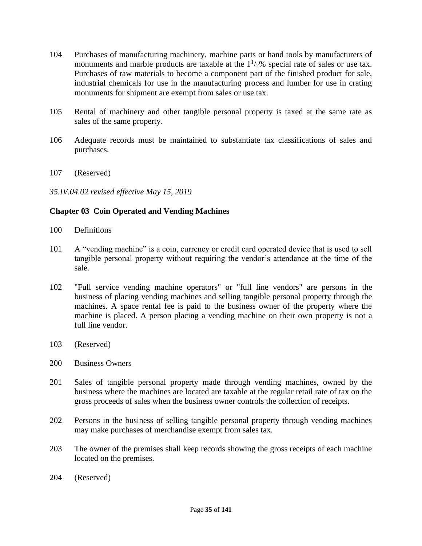- 104 Purchases of manufacturing machinery, machine parts or hand tools by manufacturers of monuments and marble products are taxable at the  $1\frac{1}{2}\%$  special rate of sales or use tax. Purchases of raw materials to become a component part of the finished product for sale, industrial chemicals for use in the manufacturing process and lumber for use in crating monuments for shipment are exempt from sales or use tax.
- 105 Rental of machinery and other tangible personal property is taxed at the same rate as sales of the same property.
- 106 Adequate records must be maintained to substantiate tax classifications of sales and purchases.
- 107 (Reserved)

### *35.IV.04.02 revised effective May 15, 2019*

### **Chapter 03 Coin Operated and Vending Machines**

- 100 Definitions
- 101 A "vending machine" is a coin, currency or credit card operated device that is used to sell tangible personal property without requiring the vendor's attendance at the time of the sale.
- 102 "Full service vending machine operators" or "full line vendors" are persons in the business of placing vending machines and selling tangible personal property through the machines. A space rental fee is paid to the business owner of the property where the machine is placed. A person placing a vending machine on their own property is not a full line vendor.
- 103 (Reserved)
- 200 Business Owners
- 201 Sales of tangible personal property made through vending machines, owned by the business where the machines are located are taxable at the regular retail rate of tax on the gross proceeds of sales when the business owner controls the collection of receipts.
- 202 Persons in the business of selling tangible personal property through vending machines may make purchases of merchandise exempt from sales tax.
- 203 The owner of the premises shall keep records showing the gross receipts of each machine located on the premises.
- 204 (Reserved)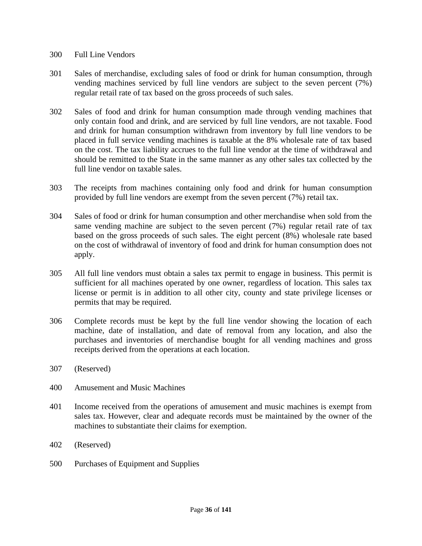- 300 Full Line Vendors
- 301 Sales of merchandise, excluding sales of food or drink for human consumption, through vending machines serviced by full line vendors are subject to the seven percent (7%) regular retail rate of tax based on the gross proceeds of such sales.
- 302 Sales of food and drink for human consumption made through vending machines that only contain food and drink, and are serviced by full line vendors, are not taxable. Food and drink for human consumption withdrawn from inventory by full line vendors to be placed in full service vending machines is taxable at the 8% wholesale rate of tax based on the cost. The tax liability accrues to the full line vendor at the time of withdrawal and should be remitted to the State in the same manner as any other sales tax collected by the full line vendor on taxable sales.
- 303 The receipts from machines containing only food and drink for human consumption provided by full line vendors are exempt from the seven percent (7%) retail tax.
- 304 Sales of food or drink for human consumption and other merchandise when sold from the same vending machine are subject to the seven percent (7%) regular retail rate of tax based on the gross proceeds of such sales. The eight percent (8%) wholesale rate based on the cost of withdrawal of inventory of food and drink for human consumption does not apply.
- 305 All full line vendors must obtain a sales tax permit to engage in business. This permit is sufficient for all machines operated by one owner, regardless of location. This sales tax license or permit is in addition to all other city, county and state privilege licenses or permits that may be required.
- 306 Complete records must be kept by the full line vendor showing the location of each machine, date of installation, and date of removal from any location, and also the purchases and inventories of merchandise bought for all vending machines and gross receipts derived from the operations at each location.
- 307 (Reserved)
- 400 Amusement and Music Machines
- 401 Income received from the operations of amusement and music machines is exempt from sales tax. However, clear and adequate records must be maintained by the owner of the machines to substantiate their claims for exemption.
- 402 (Reserved)
- 500 Purchases of Equipment and Supplies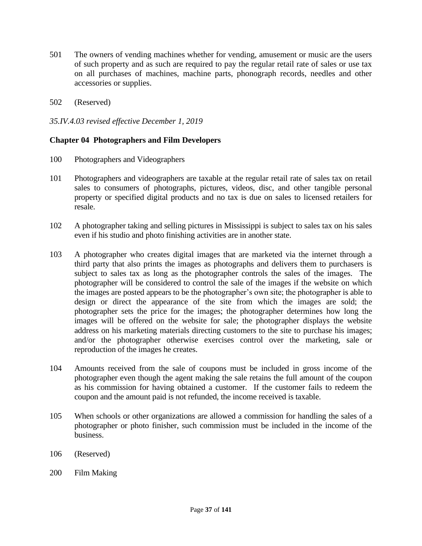- 501 The owners of vending machines whether for vending, amusement or music are the users of such property and as such are required to pay the regular retail rate of sales or use tax on all purchases of machines, machine parts, phonograph records, needles and other accessories or supplies.
- 502 (Reserved)

## *35.IV.4.03 revised effective December 1, 2019*

## **Chapter 04 Photographers and Film Developers**

- 100 Photographers and Videographers
- 101 Photographers and videographers are taxable at the regular retail rate of sales tax on retail sales to consumers of photographs, pictures, videos, disc, and other tangible personal property or specified digital products and no tax is due on sales to licensed retailers for resale.
- 102 A photographer taking and selling pictures in Mississippi is subject to sales tax on his sales even if his studio and photo finishing activities are in another state.
- 103 A photographer who creates digital images that are marketed via the internet through a third party that also prints the images as photographs and delivers them to purchasers is subject to sales tax as long as the photographer controls the sales of the images. The photographer will be considered to control the sale of the images if the website on which the images are posted appears to be the photographer's own site; the photographer is able to design or direct the appearance of the site from which the images are sold; the photographer sets the price for the images; the photographer determines how long the images will be offered on the website for sale; the photographer displays the website address on his marketing materials directing customers to the site to purchase his images; and/or the photographer otherwise exercises control over the marketing, sale or reproduction of the images he creates.
- 104 Amounts received from the sale of coupons must be included in gross income of the photographer even though the agent making the sale retains the full amount of the coupon as his commission for having obtained a customer. If the customer fails to redeem the coupon and the amount paid is not refunded, the income received is taxable.
- 105 When schools or other organizations are allowed a commission for handling the sales of a photographer or photo finisher, such commission must be included in the income of the business.
- 106 (Reserved)
- 200 Film Making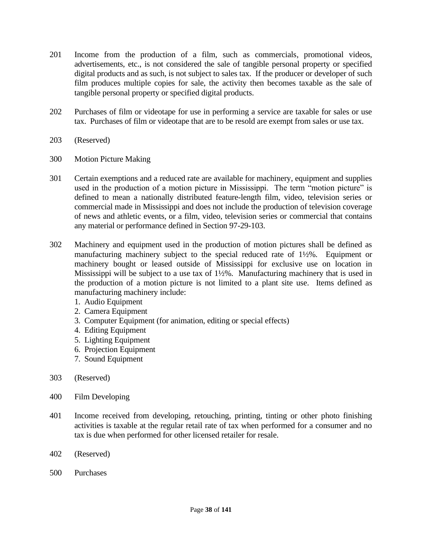- 201 Income from the production of a film, such as commercials, promotional videos, advertisements, etc., is not considered the sale of tangible personal property or specified digital products and as such, is not subject to sales tax. If the producer or developer of such film produces multiple copies for sale, the activity then becomes taxable as the sale of tangible personal property or specified digital products.
- 202 Purchases of film or videotape for use in performing a service are taxable for sales or use tax. Purchases of film or videotape that are to be resold are exempt from sales or use tax.
- 203 (Reserved)
- 300 Motion Picture Making
- 301 Certain exemptions and a reduced rate are available for machinery, equipment and supplies used in the production of a motion picture in Mississippi. The term "motion picture" is defined to mean a nationally distributed feature-length film, video, television series or commercial made in Mississippi and does not include the production of television coverage of news and athletic events, or a film, video, television series or commercial that contains any material or performance defined in Section 97-29-103.
- 302 Machinery and equipment used in the production of motion pictures shall be defined as manufacturing machinery subject to the special reduced rate of 1½%. Equipment or machinery bought or leased outside of Mississippi for exclusive use on location in Mississippi will be subject to a use tax of 1½%. Manufacturing machinery that is used in the production of a motion picture is not limited to a plant site use. Items defined as manufacturing machinery include:
	- 1. Audio Equipment
	- 2. Camera Equipment
	- 3. Computer Equipment (for animation, editing or special effects)
	- 4. Editing Equipment
	- 5. Lighting Equipment
	- 6. Projection Equipment
	- 7. Sound Equipment
- 303 (Reserved)
- 400 Film Developing
- 401 Income received from developing, retouching, printing, tinting or other photo finishing activities is taxable at the regular retail rate of tax when performed for a consumer and no tax is due when performed for other licensed retailer for resale.
- 402 (Reserved)
- 500 Purchases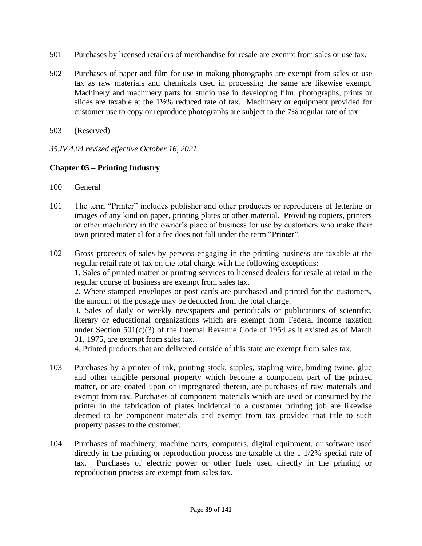- 501 Purchases by licensed retailers of merchandise for resale are exempt from sales or use tax.
- 502 Purchases of paper and film for use in making photographs are exempt from sales or use tax as raw materials and chemicals used in processing the same are likewise exempt. Machinery and machinery parts for studio use in developing film, photographs, prints or slides are taxable at the 1½% reduced rate of tax. Machinery or equipment provided for customer use to copy or reproduce photographs are subject to the 7% regular rate of tax.
- 503 (Reserved)
- *35.IV.4.04 revised effective October 16, 2021*

## **Chapter 05 – Printing Industry**

- 100 General
- 101 The term "Printer" includes publisher and other producers or reproducers of lettering or images of any kind on paper, printing plates or other material. Providing copiers, printers or other machinery in the owner's place of business for use by customers who make their own printed material for a fee does not fall under the term "Printer".
- 102 Gross proceeds of sales by persons engaging in the printing business are taxable at the regular retail rate of tax on the total charge with the following exceptions: 1. Sales of printed matter or printing services to licensed dealers for resale at retail in the

regular course of business are exempt from sales tax.

2. Where stamped envelopes or post cards are purchased and printed for the customers, the amount of the postage may be deducted from the total charge.

3. Sales of daily or weekly newspapers and periodicals or publications of scientific, literary or educational organizations which are exempt from Federal income taxation under Section 501(c)(3) of the Internal Revenue Code of 1954 as it existed as of March 31, 1975, are exempt from sales tax.

4. Printed products that are delivered outside of this state are exempt from sales tax.

- 103 Purchases by a printer of ink, printing stock, staples, stapling wire, binding twine, glue and other tangible personal property which become a component part of the printed matter, or are coated upon or impregnated therein, are purchases of raw materials and exempt from tax. Purchases of component materials which are used or consumed by the printer in the fabrication of plates incidental to a customer printing job are likewise deemed to be component materials and exempt from tax provided that title to such property passes to the customer.
- 104 Purchases of machinery, machine parts, computers, digital equipment, or software used directly in the printing or reproduction process are taxable at the 1 1/2% special rate of tax. Purchases of electric power or other fuels used directly in the printing or reproduction process are exempt from sales tax.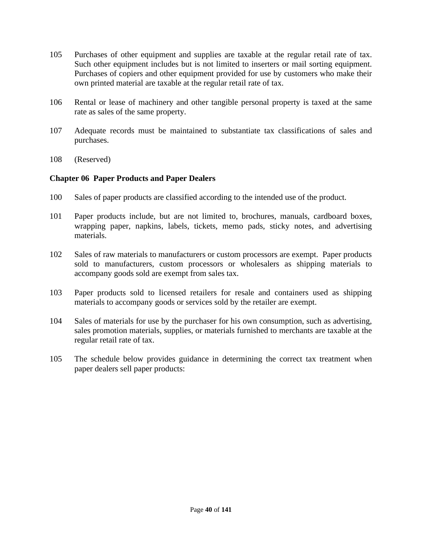- 105 Purchases of other equipment and supplies are taxable at the regular retail rate of tax. Such other equipment includes but is not limited to inserters or mail sorting equipment. Purchases of copiers and other equipment provided for use by customers who make their own printed material are taxable at the regular retail rate of tax.
- 106 Rental or lease of machinery and other tangible personal property is taxed at the same rate as sales of the same property.
- 107 Adequate records must be maintained to substantiate tax classifications of sales and purchases.
- 108 (Reserved)

# **Chapter 06 Paper Products and Paper Dealers**

- 100 Sales of paper products are classified according to the intended use of the product.
- 101 Paper products include, but are not limited to, brochures, manuals, cardboard boxes, wrapping paper, napkins, labels, tickets, memo pads, sticky notes, and advertising materials.
- 102 Sales of raw materials to manufacturers or custom processors are exempt. Paper products sold to manufacturers, custom processors or wholesalers as shipping materials to accompany goods sold are exempt from sales tax.
- 103 Paper products sold to licensed retailers for resale and containers used as shipping materials to accompany goods or services sold by the retailer are exempt.
- 104 Sales of materials for use by the purchaser for his own consumption, such as advertising, sales promotion materials, supplies, or materials furnished to merchants are taxable at the regular retail rate of tax.
- 105 The schedule below provides guidance in determining the correct tax treatment when paper dealers sell paper products: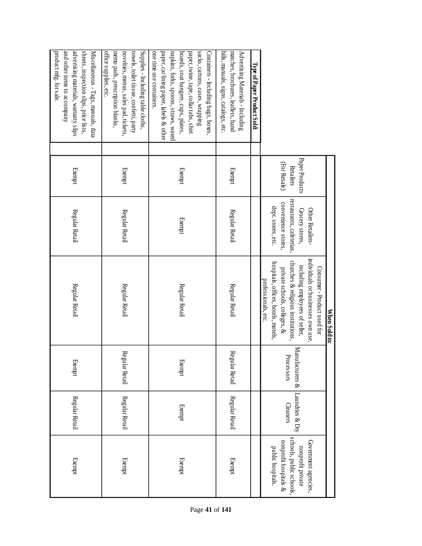|                                                                                  |                |                          | When Sold to:                       |                 |                 |                         |
|----------------------------------------------------------------------------------|----------------|--------------------------|-------------------------------------|-----------------|-----------------|-------------------------|
|                                                                                  |                |                          | Consumer - Product used for         |                 |                 |                         |
|                                                                                  |                | Other Retailers-         | individuals or businesses own use.  |                 |                 | Government agencies,    |
|                                                                                  | Paper Products | Grocery stores,          | including employees of seller,      | Manufacturers & | Laundries & Dry | nonprofit private       |
|                                                                                  | Retailers      | restaurants, cafeterias, | churches & religious institutions,  | Processors      | <b>Cleaners</b> | schools, public schools |
|                                                                                  | (For Resale)   | convenience stores,      | private schools, colleges, &        |                 |                 | nonprofit hospitals &   |
|                                                                                  |                | dept. stores, etc.       | hospitals, offices, hotels, motels, |                 |                 | public hospitals.       |
|                                                                                  |                |                          | professionals, etc.                 |                 |                 |                         |
| Type of Paper Product Sold:                                                      |                |                          |                                     |                 |                 |                         |
| Advertising Materials - Including                                                |                |                          |                                     |                 |                 |                         |
| bills, manuals, signs, catalogs, etc<br>matches, brochures, leaflets, hand       | Exempt         | Regular Retail           | Regular Retail                      | Regular Retail  | Regular Retail  | Exempt                  |
| Containers - Including bags, boxes                                               |                |                          |                                     |                 |                 |                         |
| paper, twine, tape, collar tabs, shirt<br>sacks, cartons, cases, wrapping        |                |                          |                                     |                 |                 |                         |
| boards, coat hangers, cups, plates,                                              | Exempt         | Exempt                   | Regular Retail                      | Exempt          | Exempt          | Exempt                  |
| paper, car lining paper, labels & other<br>napkins, forks, spoons, straws, waxed |                |                          |                                     |                 |                 |                         |
| one time use containers                                                          |                |                          |                                     |                 |                 |                         |
| Supplies - Including table cloths,<br>towels, toilet tissue, confetti, party     |                |                          |                                     |                 |                 |                         |
| novelties, menus, sales pad, tickets,                                            | Exempt         | Regular Retail           | Regular Retail                      | Regular Retail  | Regular Retail  | Exempt                  |
| office supplies, etc.<br>memo pads, prescription blanks.                         |                |                          |                                     |                 |                 |                         |
| Miscellaneous - Tags, manuals, data                                              |                |                          |                                     |                 |                 |                         |
| advertising materials, warranty slips<br>sheets, inspection slips, price lists,  | Exempt         | Regular Retail           | Regular Retail                      | Exempt          | Regular Retail  | Exempt                  |
| and other items to accompany                                                     |                |                          |                                     |                 |                 |                         |
| product mfg. for sale                                                            |                |                          |                                     |                 |                 |                         |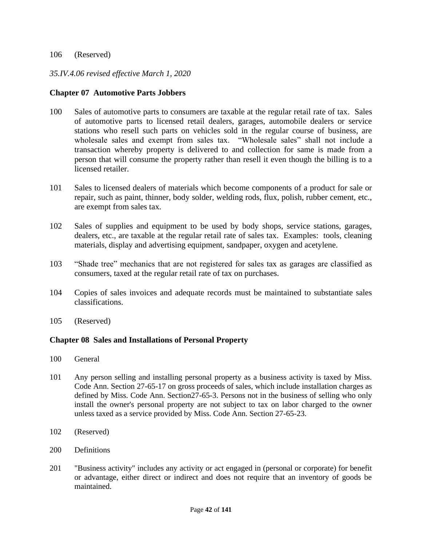#### 106 (Reserved)

## *35.IV.4.06 revised effective March 1, 2020*

#### **Chapter 07 Automotive Parts Jobbers**

- 100 Sales of automotive parts to consumers are taxable at the regular retail rate of tax. Sales of automotive parts to licensed retail dealers, garages, automobile dealers or service stations who resell such parts on vehicles sold in the regular course of business, are wholesale sales and exempt from sales tax. "Wholesale sales" shall not include a transaction whereby property is delivered to and collection for same is made from a person that will consume the property rather than resell it even though the billing is to a licensed retailer.
- 101 Sales to licensed dealers of materials which become components of a product for sale or repair, such as paint, thinner, body solder, welding rods, flux, polish, rubber cement, etc., are exempt from sales tax.
- 102 Sales of supplies and equipment to be used by body shops, service stations, garages, dealers, etc., are taxable at the regular retail rate of sales tax. Examples: tools, cleaning materials, display and advertising equipment, sandpaper, oxygen and acetylene.
- 103 "Shade tree" mechanics that are not registered for sales tax as garages are classified as consumers, taxed at the regular retail rate of tax on purchases.
- 104 Copies of sales invoices and adequate records must be maintained to substantiate sales classifications.
- 105 (Reserved)

#### **Chapter 08 Sales and Installations of Personal Property**

- 100 General
- 101 Any person selling and installing personal property as a business activity is taxed by Miss. Code Ann. Section 27-65-17 on gross proceeds of sales, which include installation charges as defined by Miss. Code Ann. Section27-65-3. Persons not in the business of selling who only install the owner's personal property are not subject to tax on labor charged to the owner unless taxed as a service provided by Miss. Code Ann. Section 27-65-23.
- 102 (Reserved)
- 200 Definitions
- 201 "Business activity" includes any activity or act engaged in (personal or corporate) for benefit or advantage, either direct or indirect and does not require that an inventory of goods be maintained.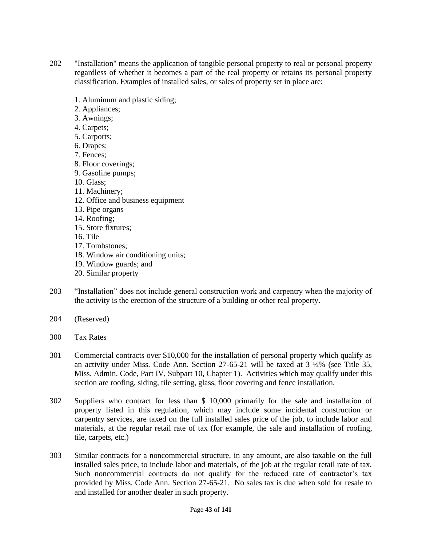- 202 "Installation" means the application of tangible personal property to real or personal property regardless of whether it becomes a part of the real property or retains its personal property classification. Examples of installed sales, or sales of property set in place are:
	- 1. Aluminum and plastic siding;
	- 2. Appliances;
	- 3. Awnings;
	- 4. Carpets;
	- 5. Carports;
	- 6. Drapes;
	- 7. Fences;
	- 8. Floor coverings;
	- 9. Gasoline pumps;
	- 10. Glass;
	- 11. Machinery;
	- 12. Office and business equipment
	- 13. Pipe organs
	- 14. Roofing;
	- 15. Store fixtures;
	- 16. Tile
	- 17. Tombstones;
	- 18. Window air conditioning units;
	- 19. Window guards; and
	- 20. Similar property
- 203 "Installation" does not include general construction work and carpentry when the majority of the activity is the erection of the structure of a building or other real property.
- 204 (Reserved)
- 300 Tax Rates
- 301 Commercial contracts over \$10,000 for the installation of personal property which qualify as an activity under Miss. Code Ann. Section 27-65-21 will be taxed at 3 ½% (see Title 35, Miss. Admin. Code, Part IV, Subpart 10, Chapter 1). Activities which may qualify under this section are roofing, siding, tile setting, glass, floor covering and fence installation.
- 302 Suppliers who contract for less than \$ 10,000 primarily for the sale and installation of property listed in this regulation, which may include some incidental construction or carpentry services, are taxed on the full installed sales price of the job, to include labor and materials, at the regular retail rate of tax (for example, the sale and installation of roofing, tile, carpets, etc.)
- 303 Similar contracts for a noncommercial structure, in any amount, are also taxable on the full installed sales price, to include labor and materials, of the job at the regular retail rate of tax. Such noncommercial contracts do not qualify for the reduced rate of contractor's tax provided by Miss. Code Ann. Section 27-65-21. No sales tax is due when sold for resale to and installed for another dealer in such property.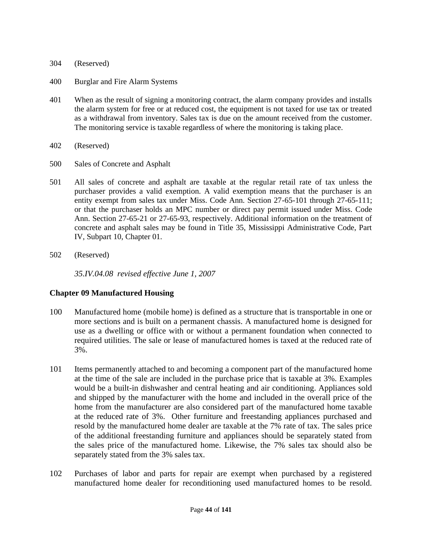- 304 (Reserved)
- 400 Burglar and Fire Alarm Systems
- 401 When as the result of signing a monitoring contract, the alarm company provides and installs the alarm system for free or at reduced cost, the equipment is not taxed for use tax or treated as a withdrawal from inventory. Sales tax is due on the amount received from the customer. The monitoring service is taxable regardless of where the monitoring is taking place.
- 402 (Reserved)
- 500 Sales of Concrete and Asphalt
- 501 All sales of concrete and asphalt are taxable at the regular retail rate of tax unless the purchaser provides a valid exemption. A valid exemption means that the purchaser is an entity exempt from sales tax under Miss. Code Ann. Section 27-65-101 through 27-65-111; or that the purchaser holds an MPC number or direct pay permit issued under Miss. Code Ann. Section 27-65-21 or 27-65-93, respectively. Additional information on the treatment of concrete and asphalt sales may be found in Title 35, Mississippi Administrative Code, Part IV, Subpart 10, Chapter 01.
- 502 (Reserved)

*35.IV.04.08 revised effective June 1, 2007*

#### **Chapter 09 Manufactured Housing**

- 100 Manufactured home (mobile home) is defined as a structure that is transportable in one or more sections and is built on a permanent chassis. A manufactured home is designed for use as a dwelling or office with or without a permanent foundation when connected to required utilities. The sale or lease of manufactured homes is taxed at the reduced rate of 3%.
- 101 Items permanently attached to and becoming a component part of the manufactured home at the time of the sale are included in the purchase price that is taxable at 3%. Examples would be a built-in dishwasher and central heating and air conditioning. Appliances sold and shipped by the manufacturer with the home and included in the overall price of the home from the manufacturer are also considered part of the manufactured home taxable at the reduced rate of 3%. Other furniture and freestanding appliances purchased and resold by the manufactured home dealer are taxable at the 7% rate of tax. The sales price of the additional freestanding furniture and appliances should be separately stated from the sales price of the manufactured home. Likewise, the 7% sales tax should also be separately stated from the 3% sales tax.
- 102 Purchases of labor and parts for repair are exempt when purchased by a registered manufactured home dealer for reconditioning used manufactured homes to be resold.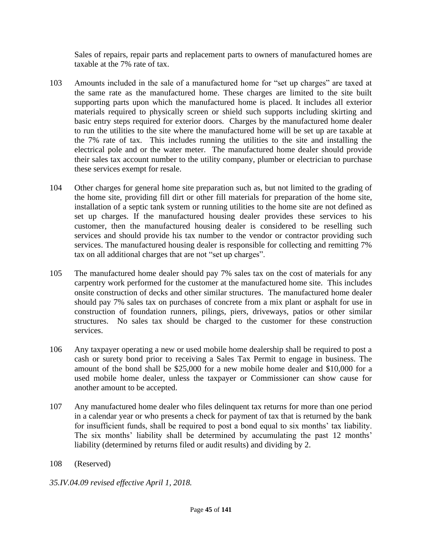Sales of repairs, repair parts and replacement parts to owners of manufactured homes are taxable at the 7% rate of tax.

- 103 Amounts included in the sale of a manufactured home for "set up charges" are taxed at the same rate as the manufactured home. These charges are limited to the site built supporting parts upon which the manufactured home is placed. It includes all exterior materials required to physically screen or shield such supports including skirting and basic entry steps required for exterior doors. Charges by the manufactured home dealer to run the utilities to the site where the manufactured home will be set up are taxable at the 7% rate of tax. This includes running the utilities to the site and installing the electrical pole and or the water meter. The manufactured home dealer should provide their sales tax account number to the utility company, plumber or electrician to purchase these services exempt for resale.
- 104 Other charges for general home site preparation such as, but not limited to the grading of the home site, providing fill dirt or other fill materials for preparation of the home site, installation of a septic tank system or running utilities to the home site are not defined as set up charges. If the manufactured housing dealer provides these services to his customer, then the manufactured housing dealer is considered to be reselling such services and should provide his tax number to the vendor or contractor providing such services. The manufactured housing dealer is responsible for collecting and remitting 7% tax on all additional charges that are not "set up charges".
- 105 The manufactured home dealer should pay 7% sales tax on the cost of materials for any carpentry work performed for the customer at the manufactured home site. This includes onsite construction of decks and other similar structures. The manufactured home dealer should pay 7% sales tax on purchases of concrete from a mix plant or asphalt for use in construction of foundation runners, pilings, piers, driveways, patios or other similar structures. No sales tax should be charged to the customer for these construction services.
- 106 Any taxpayer operating a new or used mobile home dealership shall be required to post a cash or surety bond prior to receiving a Sales Tax Permit to engage in business. The amount of the bond shall be \$25,000 for a new mobile home dealer and \$10,000 for a used mobile home dealer, unless the taxpayer or Commissioner can show cause for another amount to be accepted.
- 107 Any manufactured home dealer who files delinquent tax returns for more than one period in a calendar year or who presents a check for payment of tax that is returned by the bank for insufficient funds, shall be required to post a bond equal to six months' tax liability. The six months' liability shall be determined by accumulating the past 12 months' liability (determined by returns filed or audit results) and dividing by 2.
- 108 (Reserved)
- *35.IV.04.09 revised effective April 1, 2018.*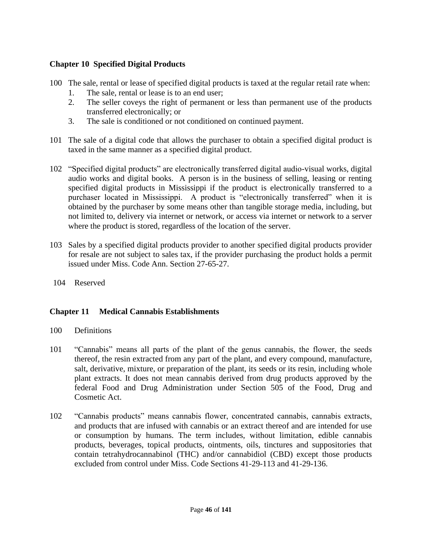# **Chapter 10 Specified Digital Products**

- 100 The sale, rental or lease of specified digital products is taxed at the regular retail rate when:
	- 1. The sale, rental or lease is to an end user;
	- 2. The seller coveys the right of permanent or less than permanent use of the products transferred electronically; or
	- 3. The sale is conditioned or not conditioned on continued payment.
- 101 The sale of a digital code that allows the purchaser to obtain a specified digital product is taxed in the same manner as a specified digital product.
- 102 "Specified digital products" are electronically transferred digital audio-visual works, digital audio works and digital books. A person is in the business of selling, leasing or renting specified digital products in Mississippi if the product is electronically transferred to a purchaser located in Mississippi. A product is "electronically transferred" when it is obtained by the purchaser by some means other than tangible storage media, including, but not limited to, delivery via internet or network, or access via internet or network to a server where the product is stored, regardless of the location of the server.
- 103 Sales by a specified digital products provider to another specified digital products provider for resale are not subject to sales tax, if the provider purchasing the product holds a permit issued under Miss. Code Ann. Section 27-65-27.
- 104 Reserved

# **Chapter 11 Medical Cannabis Establishments**

- 100 Definitions
- 101 "Cannabis" means all parts of the plant of the genus cannabis, the flower, the seeds thereof, the resin extracted from any part of the plant, and every compound, manufacture, salt, derivative, mixture, or preparation of the plant, its seeds or its resin, including whole plant extracts. It does not mean cannabis derived from drug products approved by the federal Food and Drug Administration under Section 505 of the Food, Drug and Cosmetic Act.
- 102 "Cannabis products" means cannabis flower, concentrated cannabis, cannabis extracts, and products that are infused with cannabis or an extract thereof and are intended for use or consumption by humans. The term includes, without limitation, edible cannabis products, beverages, topical products, ointments, oils, tinctures and suppositories that contain tetrahydrocannabinol (THC) and/or cannabidiol (CBD) except those products excluded from control under Miss. Code Sections 41-29-113 and 41-29-136.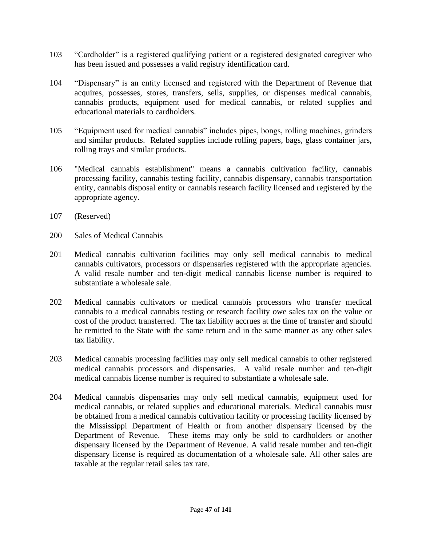- 103 "Cardholder" is a registered qualifying patient or a registered designated caregiver who has been issued and possesses a valid registry identification card.
- 104 "Dispensary" is an entity licensed and registered with the Department of Revenue that acquires, possesses, stores, transfers, sells, supplies, or dispenses medical cannabis, cannabis products, equipment used for medical cannabis, or related supplies and educational materials to cardholders.
- 105 "Equipment used for medical cannabis" includes pipes, bongs, rolling machines, grinders and similar products. Related supplies include rolling papers, bags, glass container jars, rolling trays and similar products.
- 106 "Medical cannabis establishment" means a cannabis cultivation facility, cannabis processing facility, cannabis testing facility, cannabis dispensary, cannabis transportation entity, cannabis disposal entity or cannabis research facility licensed and registered by the appropriate agency.
- 107 (Reserved)
- 200 Sales of Medical Cannabis
- 201 Medical cannabis cultivation facilities may only sell medical cannabis to medical cannabis cultivators, processors or dispensaries registered with the appropriate agencies. A valid resale number and ten-digit medical cannabis license number is required to substantiate a wholesale sale.
- 202 Medical cannabis cultivators or medical cannabis processors who transfer medical cannabis to a medical cannabis testing or research facility owe sales tax on the value or cost of the product transferred. The tax liability accrues at the time of transfer and should be remitted to the State with the same return and in the same manner as any other sales tax liability.
- 203 Medical cannabis processing facilities may only sell medical cannabis to other registered medical cannabis processors and dispensaries. A valid resale number and ten-digit medical cannabis license number is required to substantiate a wholesale sale.
- 204 Medical cannabis dispensaries may only sell medical cannabis, equipment used for medical cannabis, or related supplies and educational materials. Medical cannabis must be obtained from a medical cannabis cultivation facility or processing facility licensed by the Mississippi Department of Health or from another dispensary licensed by the Department of Revenue. These items may only be sold to cardholders or another dispensary licensed by the Department of Revenue. A valid resale number and ten-digit dispensary license is required as documentation of a wholesale sale. All other sales are taxable at the regular retail sales tax rate.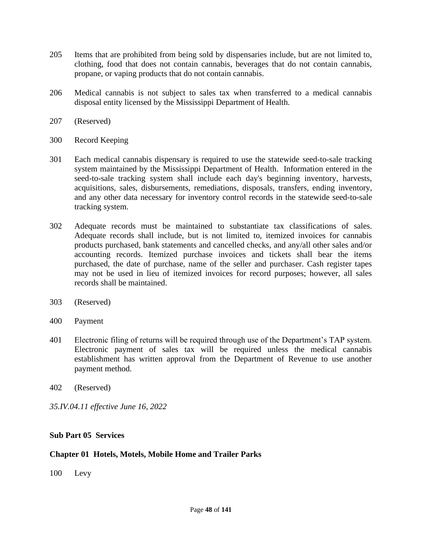- 205 Items that are prohibited from being sold by dispensaries include, but are not limited to, clothing, food that does not contain cannabis, beverages that do not contain cannabis, propane, or vaping products that do not contain cannabis.
- 206 Medical cannabis is not subject to sales tax when transferred to a medical cannabis disposal entity licensed by the Mississippi Department of Health.
- 207 (Reserved)
- 300 Record Keeping
- 301 Each medical cannabis dispensary is required to use the statewide seed-to-sale tracking system maintained by the Mississippi Department of Health. Information entered in the seed-to-sale tracking system shall include each day's beginning inventory, harvests, acquisitions, sales, disbursements, remediations, disposals, transfers, ending inventory, and any other data necessary for inventory control records in the statewide seed-to-sale tracking system.
- 302 Adequate records must be maintained to substantiate tax classifications of sales. Adequate records shall include, but is not limited to, itemized invoices for cannabis products purchased, bank statements and cancelled checks, and any/all other sales and/or accounting records. Itemized purchase invoices and tickets shall bear the items purchased, the date of purchase, name of the seller and purchaser. Cash register tapes may not be used in lieu of itemized invoices for record purposes; however, all sales records shall be maintained.
- 303 (Reserved)
- 400 Payment
- 401 Electronic filing of returns will be required through use of the Department's TAP system. Electronic payment of sales tax will be required unless the medical cannabis establishment has written approval from the Department of Revenue to use another payment method.
- 402 (Reserved)
- *35.IV.04.11 effective June 16, 2022*

#### **Sub Part 05 Services**

#### **Chapter 01 Hotels, Motels, Mobile Home and Trailer Parks**

100 Levy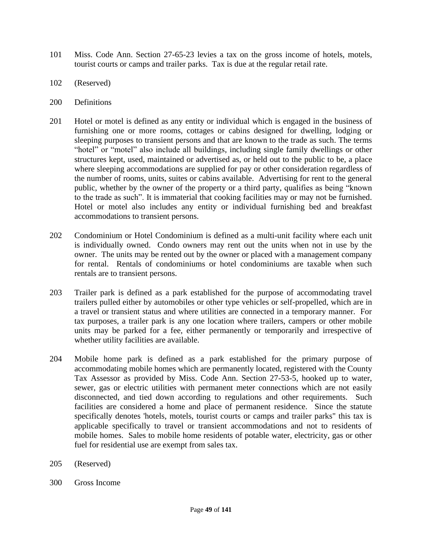- 101 Miss. Code Ann. Section 27-65-23 levies a tax on the gross income of hotels, motels, tourist courts or camps and trailer parks. Tax is due at the regular retail rate.
- 102 (Reserved)
- 200 Definitions
- 201 Hotel or motel is defined as any entity or individual which is engaged in the business of furnishing one or more rooms, cottages or cabins designed for dwelling, lodging or sleeping purposes to transient persons and that are known to the trade as such. The terms "hotel" or "motel" also include all buildings, including single family dwellings or other structures kept, used, maintained or advertised as, or held out to the public to be, a place where sleeping accommodations are supplied for pay or other consideration regardless of the number of rooms, units, suites or cabins available. Advertising for rent to the general public, whether by the owner of the property or a third party, qualifies as being "known to the trade as such". It is immaterial that cooking facilities may or may not be furnished. Hotel or motel also includes any entity or individual furnishing bed and breakfast accommodations to transient persons.
- 202 Condominium or Hotel Condominium is defined as a multi-unit facility where each unit is individually owned. Condo owners may rent out the units when not in use by the owner. The units may be rented out by the owner or placed with a management company for rental. Rentals of condominiums or hotel condominiums are taxable when such rentals are to transient persons.
- 203 Trailer park is defined as a park established for the purpose of accommodating travel trailers pulled either by automobiles or other type vehicles or self-propelled, which are in a travel or transient status and where utilities are connected in a temporary manner. For tax purposes, a trailer park is any one location where trailers, campers or other mobile units may be parked for a fee, either permanently or temporarily and irrespective of whether utility facilities are available.
- 204 Mobile home park is defined as a park established for the primary purpose of accommodating mobile homes which are permanently located, registered with the County Tax Assessor as provided by Miss. Code Ann. Section 27-53-5, hooked up to water, sewer, gas or electric utilities with permanent meter connections which are not easily disconnected, and tied down according to regulations and other requirements. Such facilities are considered a home and place of permanent residence. Since the statute specifically denotes 'hotels, motels, tourist courts or camps and trailer parks" this tax is applicable specifically to travel or transient accommodations and not to residents of mobile homes. Sales to mobile home residents of potable water, electricity, gas or other fuel for residential use are exempt from sales tax.
- 205 (Reserved)
- 300 Gross Income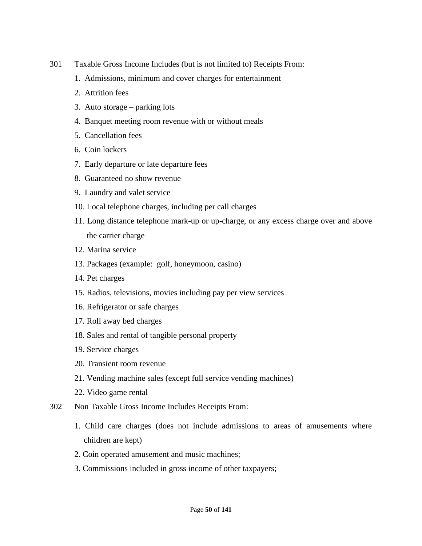- 301 Taxable Gross Income Includes (but is not limited to) Receipts From:
	- 1. Admissions, minimum and cover charges for entertainment
	- 2. Attrition fees
	- 3. Auto storage parking lots
	- 4. Banquet meeting room revenue with or without meals
	- 5. Cancellation fees
	- 6. Coin lockers
	- 7. Early departure or late departure fees
	- 8. Guaranteed no show revenue
	- 9. Laundry and valet service
	- 10. Local telephone charges, including per call charges
	- 11. Long distance telephone mark-up or up-charge, or any excess charge over and above the carrier charge
	- 12. Marina service
	- 13. Packages (example: golf, honeymoon, casino)
	- 14. Pet charges
	- 15. Radios, televisions, movies including pay per view services
	- 16. Refrigerator or safe charges
	- 17. Roll away bed charges
	- 18. Sales and rental of tangible personal property
	- 19. Service charges
	- 20. Transient room revenue
	- 21. Vending machine sales (except full service vending machines)
	- 22. Video game rental
- 302 Non Taxable Gross Income Includes Receipts From:
	- 1. Child care charges (does not include admissions to areas of amusements where children are kept)
	- 2. Coin operated amusement and music machines;
	- 3. Commissions included in gross income of other taxpayers;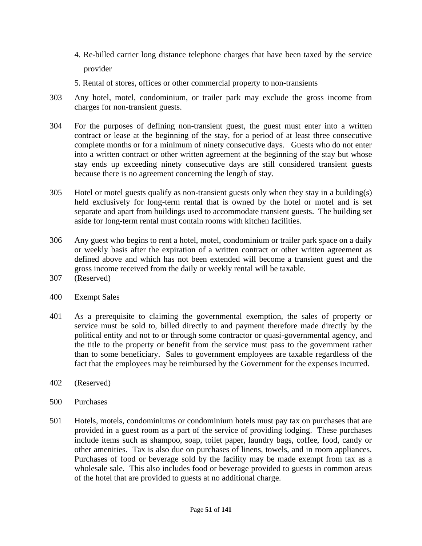- 4. Re-billed carrier long distance telephone charges that have been taxed by the service provider
- 5. Rental of stores, offices or other commercial property to non-transients
- 303 Any hotel, motel, condominium, or trailer park may exclude the gross income from charges for non-transient guests.
- 304 For the purposes of defining non-transient guest, the guest must enter into a written contract or lease at the beginning of the stay, for a period of at least three consecutive complete months or for a minimum of ninety consecutive days. Guests who do not enter into a written contract or other written agreement at the beginning of the stay but whose stay ends up exceeding ninety consecutive days are still considered transient guests because there is no agreement concerning the length of stay.
- 305 Hotel or motel guests qualify as non-transient guests only when they stay in a building(s) held exclusively for long-term rental that is owned by the hotel or motel and is set separate and apart from buildings used to accommodate transient guests. The building set aside for long-term rental must contain rooms with kitchen facilities.
- 306 Any guest who begins to rent a hotel, motel, condominium or trailer park space on a daily or weekly basis after the expiration of a written contract or other written agreement as defined above and which has not been extended will become a transient guest and the gross income received from the daily or weekly rental will be taxable.
- 307 (Reserved)
- 400 Exempt Sales
- 401 As a prerequisite to claiming the governmental exemption, the sales of property or service must be sold to, billed directly to and payment therefore made directly by the political entity and not to or through some contractor or quasi-governmental agency, and the title to the property or benefit from the service must pass to the government rather than to some beneficiary. Sales to government employees are taxable regardless of the fact that the employees may be reimbursed by the Government for the expenses incurred.
- 402 (Reserved)
- 500 Purchases
- 501 Hotels, motels, condominiums or condominium hotels must pay tax on purchases that are provided in a guest room as a part of the service of providing lodging. These purchases include items such as shampoo, soap, toilet paper, laundry bags, coffee, food, candy or other amenities. Tax is also due on purchases of linens, towels, and in room appliances. Purchases of food or beverage sold by the facility may be made exempt from tax as a wholesale sale. This also includes food or beverage provided to guests in common areas of the hotel that are provided to guests at no additional charge.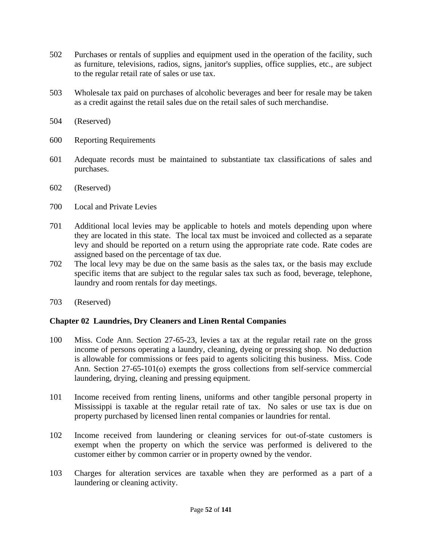- 502 Purchases or rentals of supplies and equipment used in the operation of the facility, such as furniture, televisions, radios, signs, janitor's supplies, office supplies, etc., are subject to the regular retail rate of sales or use tax.
- 503 Wholesale tax paid on purchases of alcoholic beverages and beer for resale may be taken as a credit against the retail sales due on the retail sales of such merchandise.
- 504 (Reserved)
- 600 Reporting Requirements
- 601 Adequate records must be maintained to substantiate tax classifications of sales and purchases.
- 602 (Reserved)
- 700 Local and Private Levies
- 701 Additional local levies may be applicable to hotels and motels depending upon where they are located in this state. The local tax must be invoiced and collected as a separate levy and should be reported on a return using the appropriate rate code. Rate codes are assigned based on the percentage of tax due.
- 702 The local levy may be due on the same basis as the sales tax, or the basis may exclude specific items that are subject to the regular sales tax such as food, beverage, telephone, laundry and room rentals for day meetings.
- 703 (Reserved)

# **Chapter 02 Laundries, Dry Cleaners and Linen Rental Companies**

- 100 Miss. Code Ann. Section 27-65-23, levies a tax at the regular retail rate on the gross income of persons operating a laundry, cleaning, dyeing or pressing shop. No deduction is allowable for commissions or fees paid to agents soliciting this business. Miss. Code Ann. Section 27-65-101(o) exempts the gross collections from self-service commercial laundering, drying, cleaning and pressing equipment.
- 101 Income received from renting linens, uniforms and other tangible personal property in Mississippi is taxable at the regular retail rate of tax. No sales or use tax is due on property purchased by licensed linen rental companies or laundries for rental.
- 102 Income received from laundering or cleaning services for out-of-state customers is exempt when the property on which the service was performed is delivered to the customer either by common carrier or in property owned by the vendor.
- 103 Charges for alteration services are taxable when they are performed as a part of a laundering or cleaning activity.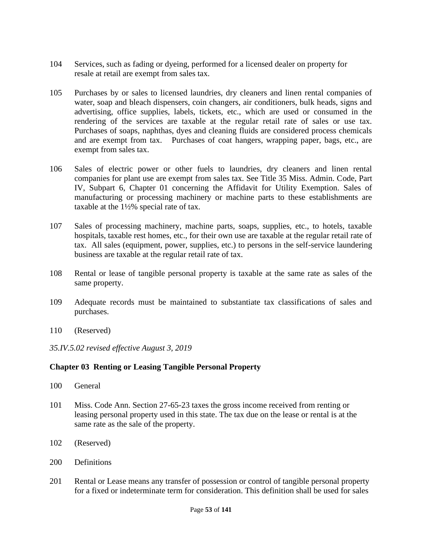- 104 Services, such as fading or dyeing, performed for a licensed dealer on property for resale at retail are exempt from sales tax.
- 105 Purchases by or sales to licensed laundries, dry cleaners and linen rental companies of water, soap and bleach dispensers, coin changers, air conditioners, bulk heads, signs and advertising, office supplies, labels, tickets, etc., which are used or consumed in the rendering of the services are taxable at the regular retail rate of sales or use tax. Purchases of soaps, naphthas, dyes and cleaning fluids are considered process chemicals and are exempt from tax. Purchases of coat hangers, wrapping paper, bags, etc., are exempt from sales tax.
- 106 Sales of electric power or other fuels to laundries, dry cleaners and linen rental companies for plant use are exempt from sales tax. See Title 35 Miss. Admin. Code, Part IV, Subpart 6, Chapter 01 concerning the Affidavit for Utility Exemption. Sales of manufacturing or processing machinery or machine parts to these establishments are taxable at the 1½% special rate of tax.
- 107 Sales of processing machinery, machine parts, soaps, supplies, etc., to hotels, taxable hospitals, taxable rest homes, etc., for their own use are taxable at the regular retail rate of tax. All sales (equipment, power, supplies, etc.) to persons in the self-service laundering business are taxable at the regular retail rate of tax.
- 108 Rental or lease of tangible personal property is taxable at the same rate as sales of the same property.
- 109 Adequate records must be maintained to substantiate tax classifications of sales and purchases.
- 110 (Reserved)
- *35.IV.5.02 revised effective August 3, 2019*

# **Chapter 03 Renting or Leasing Tangible Personal Property**

- 100 General
- 101 Miss. Code Ann. Section 27-65-23 taxes the gross income received from renting or leasing personal property used in this state. The tax due on the lease or rental is at the same rate as the sale of the property.
- 102 (Reserved)
- 200 Definitions
- 201 Rental or Lease means any transfer of possession or control of tangible personal property for a fixed or indeterminate term for consideration. This definition shall be used for sales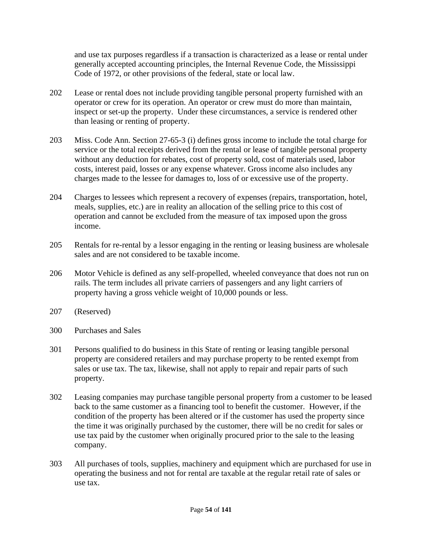and use tax purposes regardless if a transaction is characterized as a lease or rental under generally accepted accounting principles, the Internal Revenue Code, the Mississippi Code of 1972, or other provisions of the federal, state or local law.

- 202 Lease or rental does not include providing tangible personal property furnished with an operator or crew for its operation. An operator or crew must do more than maintain, inspect or set-up the property. Under these circumstances, a service is rendered other than leasing or renting of property.
- 203 Miss. Code Ann. Section 27-65-3 (i) defines gross income to include the total charge for service or the total receipts derived from the rental or lease of tangible personal property without any deduction for rebates, cost of property sold, cost of materials used, labor costs, interest paid, losses or any expense whatever. Gross income also includes any charges made to the lessee for damages to, loss of or excessive use of the property.
- 204 Charges to lessees which represent a recovery of expenses (repairs, transportation, hotel, meals, supplies, etc.) are in reality an allocation of the selling price to this cost of operation and cannot be excluded from the measure of tax imposed upon the gross income.
- 205 Rentals for re-rental by a lessor engaging in the renting or leasing business are wholesale sales and are not considered to be taxable income.
- 206 Motor Vehicle is defined as any self-propelled, wheeled conveyance that does not run on rails. The term includes all private carriers of passengers and any light carriers of property having a gross vehicle weight of 10,000 pounds or less.
- 207 (Reserved)
- 300 Purchases and Sales
- 301 Persons qualified to do business in this State of renting or leasing tangible personal property are considered retailers and may purchase property to be rented exempt from sales or use tax. The tax, likewise, shall not apply to repair and repair parts of such property.
- 302 Leasing companies may purchase tangible personal property from a customer to be leased back to the same customer as a financing tool to benefit the customer. However, if the condition of the property has been altered or if the customer has used the property since the time it was originally purchased by the customer, there will be no credit for sales or use tax paid by the customer when originally procured prior to the sale to the leasing company.
- 303 All purchases of tools, supplies, machinery and equipment which are purchased for use in operating the business and not for rental are taxable at the regular retail rate of sales or use tax.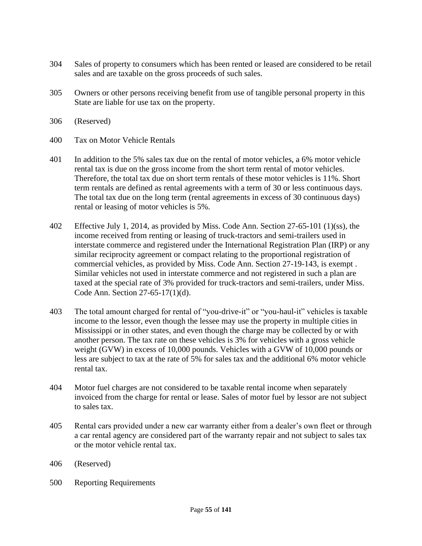- 304 Sales of property to consumers which has been rented or leased are considered to be retail sales and are taxable on the gross proceeds of such sales.
- 305 Owners or other persons receiving benefit from use of tangible personal property in this State are liable for use tax on the property.
- 306 (Reserved)
- 400 Tax on Motor Vehicle Rentals
- 401 In addition to the 5% sales tax due on the rental of motor vehicles, a 6% motor vehicle rental tax is due on the gross income from the short term rental of motor vehicles. Therefore, the total tax due on short term rentals of these motor vehicles is 11%. Short term rentals are defined as rental agreements with a term of 30 or less continuous days. The total tax due on the long term (rental agreements in excess of 30 continuous days) rental or leasing of motor vehicles is 5%.
- 402 Effective July 1, 2014, as provided by Miss. Code Ann. Section 27-65-101 (1)(ss), the income received from renting or leasing of truck-tractors and semi-trailers used in interstate commerce and registered under the International Registration Plan (IRP) or any similar reciprocity agreement or compact relating to the proportional registration of commercial vehicles, as provided by Miss. Code Ann. Section 27-19-143, is exempt . Similar vehicles not used in interstate commerce and not registered in such a plan are taxed at the special rate of 3% provided for truck-tractors and semi-trailers, under Miss. Code Ann. Section 27-65-17(1)(d).
- 403 The total amount charged for rental of "you-drive-it" or "you-haul-it" vehicles is taxable income to the lessor, even though the lessee may use the property in multiple cities in Mississippi or in other states, and even though the charge may be collected by or with another person. The tax rate on these vehicles is 3% for vehicles with a gross vehicle weight (GVW) in excess of 10,000 pounds. Vehicles with a GVW of 10,000 pounds or less are subject to tax at the rate of 5% for sales tax and the additional 6% motor vehicle rental tax.
- 404 Motor fuel charges are not considered to be taxable rental income when separately invoiced from the charge for rental or lease. Sales of motor fuel by lessor are not subject to sales tax.
- 405 Rental cars provided under a new car warranty either from a dealer's own fleet or through a car rental agency are considered part of the warranty repair and not subject to sales tax or the motor vehicle rental tax.
- 406 (Reserved)
- 500 Reporting Requirements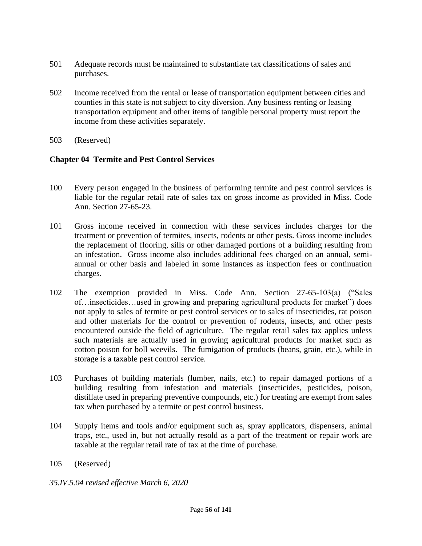- 501 Adequate records must be maintained to substantiate tax classifications of sales and purchases.
- 502 Income received from the rental or lease of transportation equipment between cities and counties in this state is not subject to city diversion. Any business renting or leasing transportation equipment and other items of tangible personal property must report the income from these activities separately.
- 503 (Reserved)

## **Chapter 04 Termite and Pest Control Services**

- 100 Every person engaged in the business of performing termite and pest control services is liable for the regular retail rate of sales tax on gross income as provided in Miss. Code Ann. Section 27-65-23.
- 101 Gross income received in connection with these services includes charges for the treatment or prevention of termites, insects, rodents or other pests. Gross income includes the replacement of flooring, sills or other damaged portions of a building resulting from an infestation. Gross income also includes additional fees charged on an annual, semiannual or other basis and labeled in some instances as inspection fees or continuation charges.
- 102 The exemption provided in Miss. Code Ann. Section 27-65-103(a) ("Sales of…insecticides…used in growing and preparing agricultural products for market") does not apply to sales of termite or pest control services or to sales of insecticides, rat poison and other materials for the control or prevention of rodents, insects, and other pests encountered outside the field of agriculture. The regular retail sales tax applies unless such materials are actually used in growing agricultural products for market such as cotton poison for boll weevils. The fumigation of products (beans, grain, etc.), while in storage is a taxable pest control service.
- 103 Purchases of building materials (lumber, nails, etc.) to repair damaged portions of a building resulting from infestation and materials (insecticides, pesticides, poison, distillate used in preparing preventive compounds, etc.) for treating are exempt from sales tax when purchased by a termite or pest control business.
- 104 Supply items and tools and/or equipment such as, spray applicators, dispensers, animal traps, etc., used in, but not actually resold as a part of the treatment or repair work are taxable at the regular retail rate of tax at the time of purchase.
- 105 (Reserved)
- *35.IV.5.04 revised effective March 6, 2020*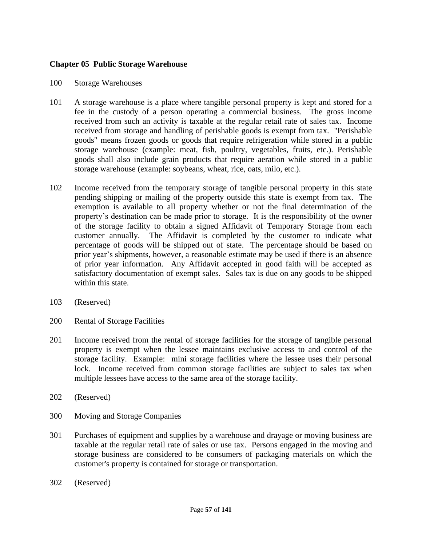## **Chapter 05 Public Storage Warehouse**

#### 100 Storage Warehouses

- 101 A storage warehouse is a place where tangible personal property is kept and stored for a fee in the custody of a person operating a commercial business. The gross income received from such an activity is taxable at the regular retail rate of sales tax. Income received from storage and handling of perishable goods is exempt from tax. "Perishable goods" means frozen goods or goods that require refrigeration while stored in a public storage warehouse (example: meat, fish, poultry, vegetables, fruits, etc.). Perishable goods shall also include grain products that require aeration while stored in a public storage warehouse (example: soybeans, wheat, rice, oats, milo, etc.).
- 102 Income received from the temporary storage of tangible personal property in this state pending shipping or mailing of the property outside this state is exempt from tax. The exemption is available to all property whether or not the final determination of the property's destination can be made prior to storage. It is the responsibility of the owner of the storage facility to obtain a signed Affidavit of Temporary Storage from each customer annually. The Affidavit is completed by the customer to indicate what percentage of goods will be shipped out of state. The percentage should be based on prior year's shipments, however, a reasonable estimate may be used if there is an absence of prior year information. Any Affidavit accepted in good faith will be accepted as satisfactory documentation of exempt sales. Sales tax is due on any goods to be shipped within this state.
- 103 (Reserved)
- 200 Rental of Storage Facilities
- 201 Income received from the rental of storage facilities for the storage of tangible personal property is exempt when the lessee maintains exclusive access to and control of the storage facility. Example: mini storage facilities where the lessee uses their personal lock. Income received from common storage facilities are subject to sales tax when multiple lessees have access to the same area of the storage facility.
- 202 (Reserved)
- 300 Moving and Storage Companies
- 301 Purchases of equipment and supplies by a warehouse and drayage or moving business are taxable at the regular retail rate of sales or use tax. Persons engaged in the moving and storage business are considered to be consumers of packaging materials on which the customer's property is contained for storage or transportation.
- 302 (Reserved)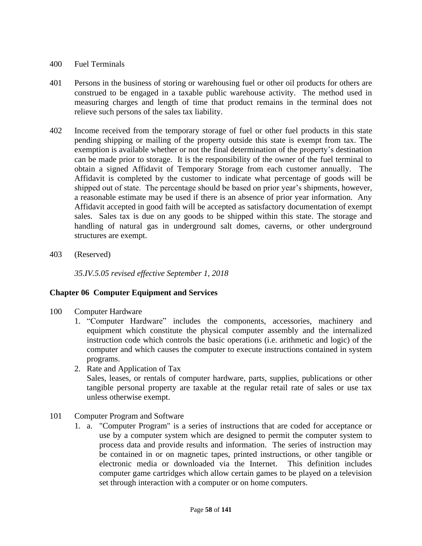#### 400 Fuel Terminals

- 401 Persons in the business of storing or warehousing fuel or other oil products for others are construed to be engaged in a taxable public warehouse activity. The method used in measuring charges and length of time that product remains in the terminal does not relieve such persons of the sales tax liability.
- 402 Income received from the temporary storage of fuel or other fuel products in this state pending shipping or mailing of the property outside this state is exempt from tax. The exemption is available whether or not the final determination of the property's destination can be made prior to storage. It is the responsibility of the owner of the fuel terminal to obtain a signed Affidavit of Temporary Storage from each customer annually. The Affidavit is completed by the customer to indicate what percentage of goods will be shipped out of state. The percentage should be based on prior year's shipments, however, a reasonable estimate may be used if there is an absence of prior year information. Any Affidavit accepted in good faith will be accepted as satisfactory documentation of exempt sales. Sales tax is due on any goods to be shipped within this state. The storage and handling of natural gas in underground salt domes, caverns, or other underground structures are exempt.
- 403 (Reserved)

*35.IV.5.05 revised effective September 1, 2018*

# **Chapter 06 Computer Equipment and Services**

- 100 Computer Hardware
	- 1. "Computer Hardware" includes the components, accessories, machinery and equipment which constitute the physical computer assembly and the internalized instruction code which controls the basic operations (i.e. arithmetic and logic) of the computer and which causes the computer to execute instructions contained in system programs.
	- 2. Rate and Application of Tax

Sales, leases, or rentals of computer hardware, parts, supplies, publications or other tangible personal property are taxable at the regular retail rate of sales or use tax unless otherwise exempt.

- 101 Computer Program and Software
	- 1. a. "Computer Program" is a series of instructions that are coded for acceptance or use by a computer system which are designed to permit the computer system to process data and provide results and information. The series of instruction may be contained in or on magnetic tapes, printed instructions, or other tangible or electronic media or downloaded via the Internet. This definition includes computer game cartridges which allow certain games to be played on a television set through interaction with a computer or on home computers.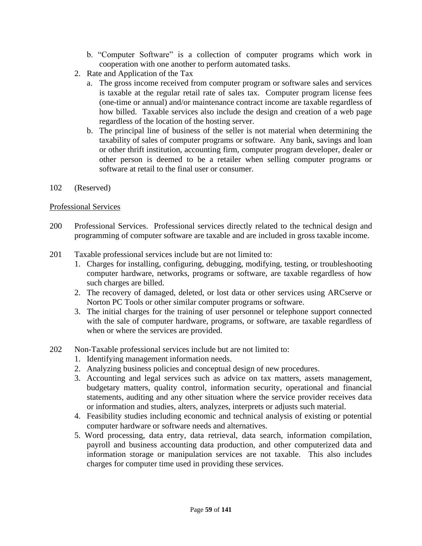- b. "Computer Software" is a collection of computer programs which work in cooperation with one another to perform automated tasks.
- 2. Rate and Application of the Tax
	- a. The gross income received from computer program or software sales and services is taxable at the regular retail rate of sales tax. Computer program license fees (one-time or annual) and/or maintenance contract income are taxable regardless of how billed. Taxable services also include the design and creation of a web page regardless of the location of the hosting server.
	- b. The principal line of business of the seller is not material when determining the taxability of sales of computer programs or software. Any bank, savings and loan or other thrift institution, accounting firm, computer program developer, dealer or other person is deemed to be a retailer when selling computer programs or software at retail to the final user or consumer.
- 102 (Reserved)

## Professional Services

- 200 Professional Services. Professional services directly related to the technical design and programming of computer software are taxable and are included in gross taxable income.
- 201 Taxable professional services include but are not limited to:
	- 1. Charges for installing, configuring, debugging, modifying, testing, or troubleshooting computer hardware, networks, programs or software, are taxable regardless of how such charges are billed.
	- 2. The recovery of damaged, deleted, or lost data or other services using ARCserve or Norton PC Tools or other similar computer programs or software.
	- 3. The initial charges for the training of user personnel or telephone support connected with the sale of computer hardware, programs, or software, are taxable regardless of when or where the services are provided.
- 202 Non-Taxable professional services include but are not limited to:
	- 1. Identifying management information needs.
	- 2. Analyzing business policies and conceptual design of new procedures.
	- 3. Accounting and legal services such as advice on tax matters, assets management, budgetary matters, quality control, information security, operational and financial statements, auditing and any other situation where the service provider receives data or information and studies, alters, analyzes, interprets or adjusts such material.
	- 4. Feasibility studies including economic and technical analysis of existing or potential computer hardware or software needs and alternatives.
	- 5. Word processing, data entry, data retrieval, data search, information compilation, payroll and business accounting data production, and other computerized data and information storage or manipulation services are not taxable. This also includes charges for computer time used in providing these services.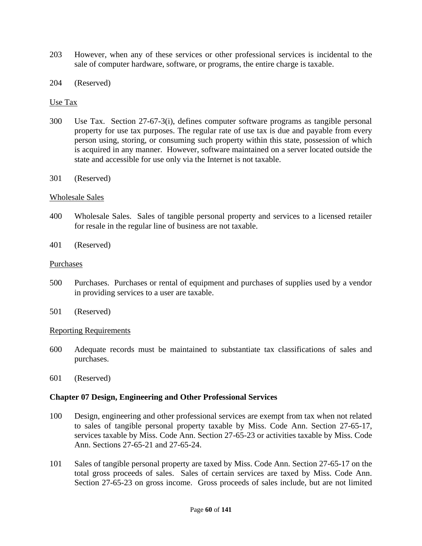- 203 However, when any of these services or other professional services is incidental to the sale of computer hardware, software, or programs, the entire charge is taxable.
- 204 (Reserved)

#### Use Tax

- 300 Use Tax. Section 27-67-3(i), defines computer software programs as tangible personal property for use tax purposes. The regular rate of use tax is due and payable from every person using, storing, or consuming such property within this state, possession of which is acquired in any manner. However, software maintained on a server located outside the state and accessible for use only via the Internet is not taxable.
- 301 (Reserved)

#### Wholesale Sales

- 400 Wholesale Sales. Sales of tangible personal property and services to a licensed retailer for resale in the regular line of business are not taxable.
- 401 (Reserved)

#### Purchases

- 500 Purchases. Purchases or rental of equipment and purchases of supplies used by a vendor in providing services to a user are taxable.
- 501 (Reserved)

#### Reporting Requirements

- 600 Adequate records must be maintained to substantiate tax classifications of sales and purchases.
- 601 (Reserved)

#### **Chapter 07 Design, Engineering and Other Professional Services**

- 100 Design, engineering and other professional services are exempt from tax when not related to sales of tangible personal property taxable by Miss. Code Ann. Section 27-65-17, services taxable by Miss. Code Ann. Section 27-65-23 or activities taxable by Miss. Code Ann. Sections 27-65-21 and 27-65-24.
- 101 Sales of tangible personal property are taxed by Miss. Code Ann. Section 27-65-17 on the total gross proceeds of sales. Sales of certain services are taxed by Miss. Code Ann. Section 27-65-23 on gross income. Gross proceeds of sales include, but are not limited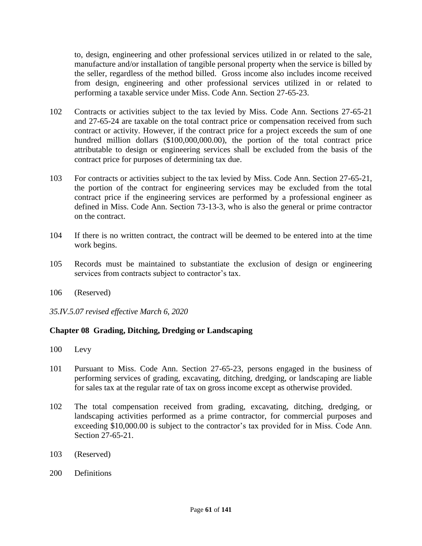to, design, engineering and other professional services utilized in or related to the sale, manufacture and/or installation of tangible personal property when the service is billed by the seller, regardless of the method billed. Gross income also includes income received from design, engineering and other professional services utilized in or related to performing a taxable service under Miss. Code Ann. Section 27-65-23.

- 102 Contracts or activities subject to the tax levied by Miss. Code Ann. Sections 27-65-21 and 27-65-24 are taxable on the total contract price or compensation received from such contract or activity. However, if the contract price for a project exceeds the sum of one hundred million dollars (\$100,000,000.00), the portion of the total contract price attributable to design or engineering services shall be excluded from the basis of the contract price for purposes of determining tax due.
- 103 For contracts or activities subject to the tax levied by Miss. Code Ann. Section 27-65-21, the portion of the contract for engineering services may be excluded from the total contract price if the engineering services are performed by a professional engineer as defined in Miss. Code Ann. Section 73-13-3, who is also the general or prime contractor on the contract.
- 104 If there is no written contract, the contract will be deemed to be entered into at the time work begins.
- 105 Records must be maintained to substantiate the exclusion of design or engineering services from contracts subject to contractor's tax.
- 106 (Reserved)
- *35.IV.5.07 revised effective March 6, 2020*

# **Chapter 08 Grading, Ditching, Dredging or Landscaping**

- 100 Levy
- 101 Pursuant to Miss. Code Ann. Section 27-65-23, persons engaged in the business of performing services of grading, excavating, ditching, dredging, or landscaping are liable for sales tax at the regular rate of tax on gross income except as otherwise provided.
- 102 The total compensation received from grading, excavating, ditching, dredging, or landscaping activities performed as a prime contractor, for commercial purposes and exceeding \$10,000.00 is subject to the contractor's tax provided for in Miss. Code Ann. Section 27-65-21.
- 103 (Reserved)
- 200 Definitions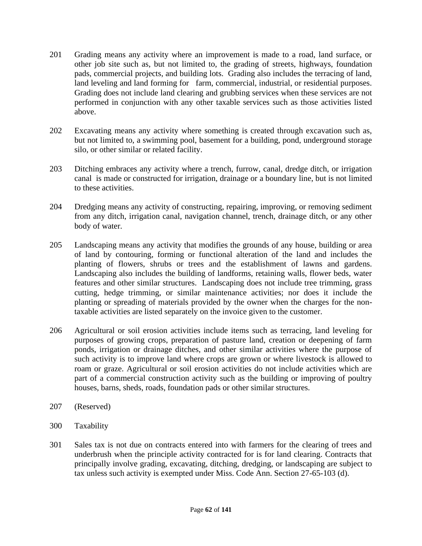- 201 Grading means any activity where an improvement is made to a road, land surface, or other job site such as, but not limited to, the grading of streets, highways, foundation pads, commercial projects, and building lots. Grading also includes the terracing of land, land leveling and land forming for farm, commercial, industrial, or residential purposes. Grading does not include land clearing and grubbing services when these services are not performed in conjunction with any other taxable services such as those activities listed above.
- 202 Excavating means any activity where something is created through excavation such as, but not limited to, a swimming pool, basement for a building, pond, underground storage silo, or other similar or related facility.
- 203 Ditching embraces any activity where a trench, furrow, canal, dredge ditch, or irrigation canal is made or constructed for irrigation, drainage or a boundary line, but is not limited to these activities.
- 204 Dredging means any activity of constructing, repairing, improving, or removing sediment from any ditch, irrigation canal, navigation channel, trench, drainage ditch, or any other body of water.
- 205 Landscaping means any activity that modifies the grounds of any house, building or area of land by contouring, forming or functional alteration of the land and includes the planting of flowers, shrubs or trees and the establishment of lawns and gardens. Landscaping also includes the building of landforms, retaining walls, flower beds, water features and other similar structures. Landscaping does not include tree trimming, grass cutting, hedge trimming, or similar maintenance activities; nor does it include the planting or spreading of materials provided by the owner when the charges for the nontaxable activities are listed separately on the invoice given to the customer.
- 206 Agricultural or soil erosion activities include items such as terracing, land leveling for purposes of growing crops, preparation of pasture land, creation or deepening of farm ponds, irrigation or drainage ditches, and other similar activities where the purpose of such activity is to improve land where crops are grown or where livestock is allowed to roam or graze. Agricultural or soil erosion activities do not include activities which are part of a commercial construction activity such as the building or improving of poultry houses, barns, sheds, roads, foundation pads or other similar structures.
- 207 (Reserved)
- 300 Taxability
- 301 Sales tax is not due on contracts entered into with farmers for the clearing of trees and underbrush when the principle activity contracted for is for land clearing. Contracts that principally involve grading, excavating, ditching, dredging, or landscaping are subject to tax unless such activity is exempted under Miss. Code Ann. Section 27-65-103 (d).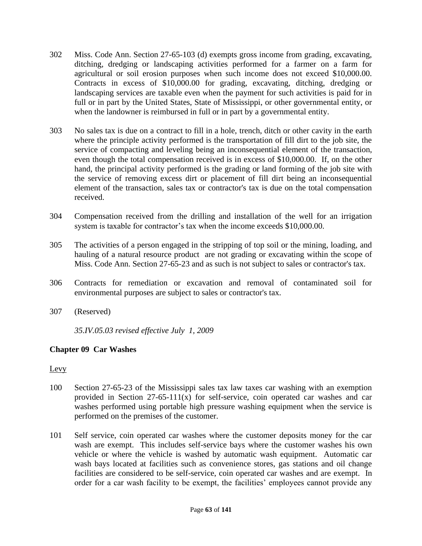- 302 Miss. Code Ann. Section 27-65-103 (d) exempts gross income from grading, excavating, ditching, dredging or landscaping activities performed for a farmer on a farm for agricultural or soil erosion purposes when such income does not exceed \$10,000.00. Contracts in excess of \$10,000.00 for grading, excavating, ditching, dredging or landscaping services are taxable even when the payment for such activities is paid for in full or in part by the United States, State of Mississippi, or other governmental entity, or when the landowner is reimbursed in full or in part by a governmental entity.
- 303 No sales tax is due on a contract to fill in a hole, trench, ditch or other cavity in the earth where the principle activity performed is the transportation of fill dirt to the job site, the service of compacting and leveling being an inconsequential element of the transaction, even though the total compensation received is in excess of \$10,000.00. If, on the other hand, the principal activity performed is the grading or land forming of the job site with the service of removing excess dirt or placement of fill dirt being an inconsequential element of the transaction, sales tax or contractor's tax is due on the total compensation received.
- 304 Compensation received from the drilling and installation of the well for an irrigation system is taxable for contractor's tax when the income exceeds \$10,000.00.
- 305 The activities of a person engaged in the stripping of top soil or the mining, loading, and hauling of a natural resource product are not grading or excavating within the scope of Miss. Code Ann. Section 27-65-23 and as such is not subject to sales or contractor's tax.
- 306 Contracts for remediation or excavation and removal of contaminated soil for environmental purposes are subject to sales or contractor's tax.
- 307 (Reserved)

*35.IV.05.03 revised effective July 1, 2009*

# **Chapter 09 Car Washes**

#### Levy

- 100 Section 27-65-23 of the Mississippi sales tax law taxes car washing with an exemption provided in Section 27-65-111(x) for self-service, coin operated car washes and car washes performed using portable high pressure washing equipment when the service is performed on the premises of the customer.
- 101 Self service, coin operated car washes where the customer deposits money for the car wash are exempt. This includes self-service bays where the customer washes his own vehicle or where the vehicle is washed by automatic wash equipment. Automatic car wash bays located at facilities such as convenience stores, gas stations and oil change facilities are considered to be self-service, coin operated car washes and are exempt. In order for a car wash facility to be exempt, the facilities' employees cannot provide any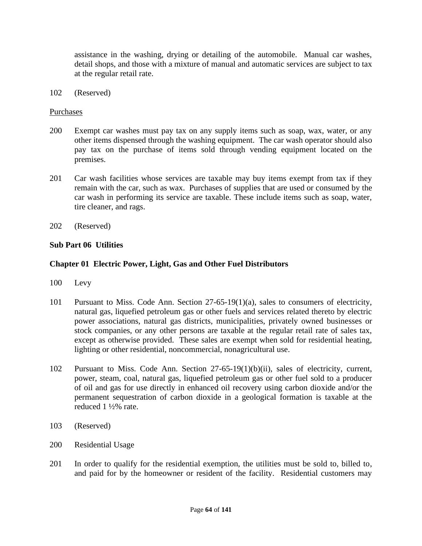assistance in the washing, drying or detailing of the automobile. Manual car washes, detail shops, and those with a mixture of manual and automatic services are subject to tax at the regular retail rate.

102 (Reserved)

#### Purchases

- 200 Exempt car washes must pay tax on any supply items such as soap, wax, water, or any other items dispensed through the washing equipment. The car wash operator should also pay tax on the purchase of items sold through vending equipment located on the premises.
- 201 Car wash facilities whose services are taxable may buy items exempt from tax if they remain with the car, such as wax. Purchases of supplies that are used or consumed by the car wash in performing its service are taxable. These include items such as soap, water, tire cleaner, and rags.
- 202 (Reserved)

## **Sub Part 06 Utilities**

## **Chapter 01 Electric Power, Light, Gas and Other Fuel Distributors**

- 100 Levy
- 101 Pursuant to Miss. Code Ann. Section 27-65-19(1)(a), sales to consumers of electricity, natural gas, liquefied petroleum gas or other fuels and services related thereto by electric power associations, natural gas districts, municipalities, privately owned businesses or stock companies, or any other persons are taxable at the regular retail rate of sales tax, except as otherwise provided. These sales are exempt when sold for residential heating, lighting or other residential, noncommercial, nonagricultural use.
- 102 Pursuant to Miss. Code Ann. Section 27-65-19(1)(b)(ii), sales of electricity, current, power, steam, coal, natural gas, liquefied petroleum gas or other fuel sold to a producer of oil and gas for use directly in enhanced oil recovery using carbon dioxide and/or the permanent sequestration of carbon dioxide in a geological formation is taxable at the reduced 1 ½% rate.
- 103 (Reserved)
- 200 Residential Usage
- 201 In order to qualify for the residential exemption, the utilities must be sold to, billed to, and paid for by the homeowner or resident of the facility. Residential customers may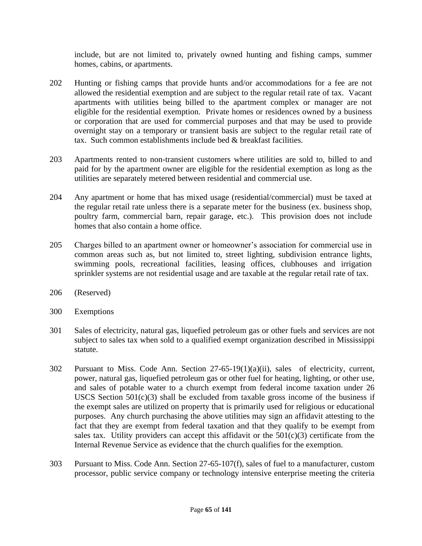include, but are not limited to, privately owned hunting and fishing camps, summer homes, cabins, or apartments.

- 202 Hunting or fishing camps that provide hunts and/or accommodations for a fee are not allowed the residential exemption and are subject to the regular retail rate of tax. Vacant apartments with utilities being billed to the apartment complex or manager are not eligible for the residential exemption. Private homes or residences owned by a business or corporation that are used for commercial purposes and that may be used to provide overnight stay on a temporary or transient basis are subject to the regular retail rate of tax. Such common establishments include bed & breakfast facilities.
- 203 Apartments rented to non-transient customers where utilities are sold to, billed to and paid for by the apartment owner are eligible for the residential exemption as long as the utilities are separately metered between residential and commercial use.
- 204 Any apartment or home that has mixed usage (residential/commercial) must be taxed at the regular retail rate unless there is a separate meter for the business (ex. business shop, poultry farm, commercial barn, repair garage, etc.). This provision does not include homes that also contain a home office.
- 205 Charges billed to an apartment owner or homeowner's association for commercial use in common areas such as, but not limited to, street lighting, subdivision entrance lights, swimming pools, recreational facilities, leasing offices, clubhouses and irrigation sprinkler systems are not residential usage and are taxable at the regular retail rate of tax.
- 206 (Reserved)
- 300 Exemptions
- 301 Sales of electricity, natural gas, liquefied petroleum gas or other fuels and services are not subject to sales tax when sold to a qualified exempt organization described in Mississippi statute.
- 302 Pursuant to Miss. Code Ann. Section 27-65-19(1)(a)(ii), sales of electricity, current, power, natural gas, liquefied petroleum gas or other fuel for heating, lighting, or other use, and sales of potable water to a church exempt from federal income taxation under 26 USCS Section  $501(c)(3)$  shall be excluded from taxable gross income of the business if the exempt sales are utilized on property that is primarily used for religious or educational purposes. Any church purchasing the above utilities may sign an affidavit attesting to the fact that they are exempt from federal taxation and that they qualify to be exempt from sales tax. Utility providers can accept this affidavit or the  $501(c)(3)$  certificate from the Internal Revenue Service as evidence that the church qualifies for the exemption.
- 303 Pursuant to Miss. Code Ann. Section 27-65-107(f), sales of fuel to a manufacturer, custom processor, public service company or technology intensive enterprise meeting the criteria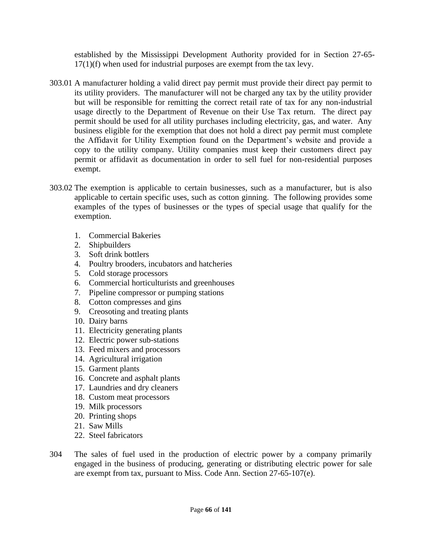established by the Mississippi Development Authority provided for in Section 27-65- 17(1)(f) when used for industrial purposes are exempt from the tax levy.

- 303.01 A manufacturer holding a valid direct pay permit must provide their direct pay permit to its utility providers. The manufacturer will not be charged any tax by the utility provider but will be responsible for remitting the correct retail rate of tax for any non-industrial usage directly to the Department of Revenue on their Use Tax return. The direct pay permit should be used for all utility purchases including electricity, gas, and water. Any business eligible for the exemption that does not hold a direct pay permit must complete the Affidavit for Utility Exemption found on the Department's website and provide a copy to the utility company. Utility companies must keep their customers direct pay permit or affidavit as documentation in order to sell fuel for non-residential purposes exempt.
- 303.02 The exemption is applicable to certain businesses, such as a manufacturer, but is also applicable to certain specific uses, such as cotton ginning. The following provides some examples of the types of businesses or the types of special usage that qualify for the exemption.
	- 1. Commercial Bakeries
	- 2. Shipbuilders
	- 3. Soft drink bottlers
	- 4. Poultry brooders, incubators and hatcheries
	- 5. Cold storage processors
	- 6. Commercial horticulturists and greenhouses
	- 7. Pipeline compressor or pumping stations
	- 8. Cotton compresses and gins
	- 9. Creosoting and treating plants
	- 10. Dairy barns
	- 11. Electricity generating plants
	- 12. Electric power sub-stations
	- 13. Feed mixers and processors
	- 14. Agricultural irrigation
	- 15. Garment plants
	- 16. Concrete and asphalt plants
	- 17. Laundries and dry cleaners
	- 18. Custom meat processors
	- 19. Milk processors
	- 20. Printing shops
	- 21. Saw Mills
	- 22. Steel fabricators
- 304 The sales of fuel used in the production of electric power by a company primarily engaged in the business of producing, generating or distributing electric power for sale are exempt from tax, pursuant to Miss. Code Ann. Section 27-65-107(e).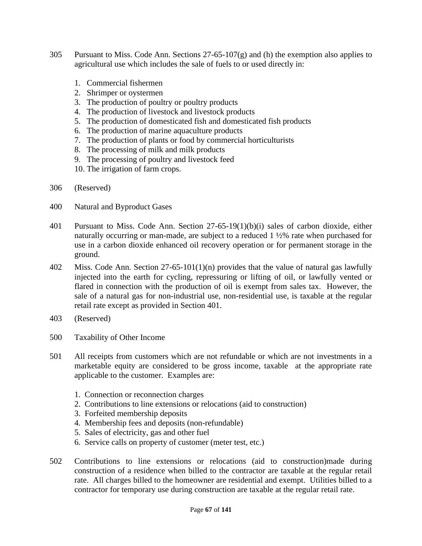- 305 Pursuant to Miss. Code Ann. Sections  $27-65-107(g)$  and (h) the exemption also applies to agricultural use which includes the sale of fuels to or used directly in:
	- 1. Commercial fishermen
	- 2. Shrimper or oystermen
	- 3. The production of poultry or poultry products
	- 4. The production of livestock and livestock products
	- 5. The production of domesticated fish and domesticated fish products
	- 6. The production of marine aquaculture products
	- 7. The production of plants or food by commercial horticulturists
	- 8. The processing of milk and milk products
	- 9. The processing of poultry and livestock feed
	- 10. The irrigation of farm crops.
- 306 (Reserved)
- 400 Natural and Byproduct Gases
- 401 Pursuant to Miss. Code Ann. Section 27-65-19(1)(b)(i) sales of carbon dioxide, either naturally occurring or man-made, are subject to a reduced 1 ½% rate when purchased for use in a carbon dioxide enhanced oil recovery operation or for permanent storage in the ground.
- 402 Miss. Code Ann. Section 27-65-101(1)(n) provides that the value of natural gas lawfully injected into the earth for cycling, repressuring or lifting of oil, or lawfully vented or flared in connection with the production of oil is exempt from sales tax. However, the sale of a natural gas for non-industrial use, non-residential use, is taxable at the regular retail rate except as provided in Section 401.
- 403 (Reserved)
- 500 Taxability of Other Income
- 501 All receipts from customers which are not refundable or which are not investments in a marketable equity are considered to be gross income, taxable at the appropriate rate applicable to the customer. Examples are:
	- 1. Connection or reconnection charges
	- 2. Contributions to line extensions or relocations (aid to construction)
	- 3. Forfeited membership deposits
	- 4. Membership fees and deposits (non-refundable)
	- 5. Sales of electricity, gas and other fuel
	- 6. Service calls on property of customer (meter test, etc.)
- 502 Contributions to line extensions or relocations (aid to construction)made during construction of a residence when billed to the contractor are taxable at the regular retail rate. All charges billed to the homeowner are residential and exempt. Utilities billed to a contractor for temporary use during construction are taxable at the regular retail rate.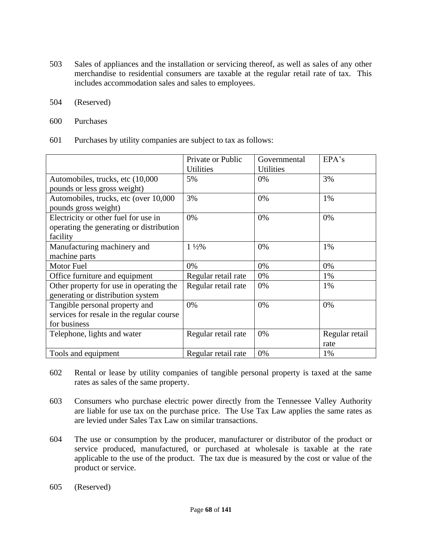- 503 Sales of appliances and the installation or servicing thereof, as well as sales of any other merchandise to residential consumers are taxable at the regular retail rate of tax. This includes accommodation sales and sales to employees.
- 504 (Reserved)
- 600 Purchases
- 601 Purchases by utility companies are subject to tax as follows:

|                                                                                  | Private or Public<br><b>Utilities</b> | Governmental<br><b>Utilities</b> | EPA's          |
|----------------------------------------------------------------------------------|---------------------------------------|----------------------------------|----------------|
| Automobiles, trucks, etc (10,000)                                                | 5%                                    | 0%                               | 3%             |
| pounds or less gross weight)                                                     |                                       |                                  |                |
| Automobiles, trucks, etc (over 10,000<br>pounds gross weight)                    | 3%                                    | 0%                               | 1%             |
|                                                                                  | 0%                                    | 0%                               | 0%             |
| Electricity or other fuel for use in<br>operating the generating or distribution |                                       |                                  |                |
| facility                                                                         |                                       |                                  |                |
| Manufacturing machinery and                                                      | $1\frac{1}{2}\%$                      | 0%                               | 1%             |
| machine parts                                                                    |                                       |                                  |                |
| Motor Fuel                                                                       | 0%                                    | 0%                               | 0%             |
| Office furniture and equipment                                                   | Regular retail rate                   | 0%                               | 1%             |
| Other property for use in operating the                                          | Regular retail rate                   | 0%                               | 1%             |
| generating or distribution system                                                |                                       |                                  |                |
| Tangible personal property and                                                   | 0%                                    | 0%                               | 0%             |
| services for resale in the regular course                                        |                                       |                                  |                |
| for business                                                                     |                                       |                                  |                |
| Telephone, lights and water                                                      | Regular retail rate                   | 0%                               | Regular retail |
|                                                                                  |                                       |                                  | rate           |
| Tools and equipment                                                              | Regular retail rate                   | 0%                               | 1%             |

- 602 Rental or lease by utility companies of tangible personal property is taxed at the same rates as sales of the same property.
- 603 Consumers who purchase electric power directly from the Tennessee Valley Authority are liable for use tax on the purchase price. The Use Tax Law applies the same rates as are levied under Sales Tax Law on similar transactions.
- 604 The use or consumption by the producer, manufacturer or distributor of the product or service produced, manufactured, or purchased at wholesale is taxable at the rate applicable to the use of the product. The tax due is measured by the cost or value of the product or service.
- 605 (Reserved)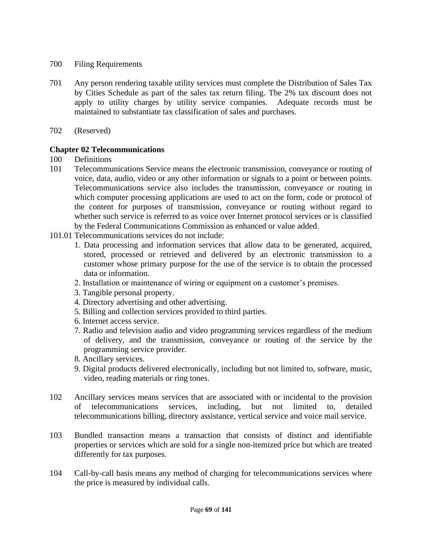- 700 Filing Requirements
- 701 Any person rendering taxable utility services must complete the Distribution of Sales Tax by Cities Schedule as part of the sales tax return filing. The 2% tax discount does not apply to utility charges by utility service companies. Adequate records must be maintained to substantiate tax classification of sales and purchases.
- 702 (Reserved)

# **Chapter 02 Telecommunications**

- 100 Definitions
- 101 Telecommunications Service means the electronic transmission, conveyance or routing of voice, data, audio, video or any other information or signals to a point or between points. Telecommunications service also includes the transmission, conveyance or routing in which computer processing applications are used to act on the form, code or protocol of the content for purposes of transmission, conveyance or routing without regard to whether such service is referred to as voice over Internet protocol services or is classified by the Federal Communications Commission as enhanced or value added.
- 101.01 Telecommunications services do not include:
	- 1. Data processing and information services that allow data to be generated, acquired, stored, processed or retrieved and delivered by an electronic transmission to a customer whose primary purpose for the use of the service is to obtain the processed data or information.
	- 2. Installation or maintenance of wiring or equipment on a customer's premises.
	- 3. Tangible personal property.
	- 4. Directory advertising and other advertising.
	- 5. Billing and collection services provided to third parties.
	- 6. Internet access service.
	- 7. Radio and television audio and video programming services regardless of the medium of delivery, and the transmission, conveyance or routing of the service by the programming service provider.
	- 8. Ancillary services.
	- 9. Digital products delivered electronically, including but not limited to, software, music, video, reading materials or ring tones.
- 102 Ancillary services means services that are associated with or incidental to the provision of telecommunications services, including, but not limited to, detailed telecommunications billing, directory assistance, vertical service and voice mail service.
- 103 Bundled transaction means a transaction that consists of distinct and identifiable properties or services which are sold for a single non-itemized price but which are treated differently for tax purposes.
- 104 Call-by-call basis means any method of charging for telecommunications services where the price is measured by individual calls.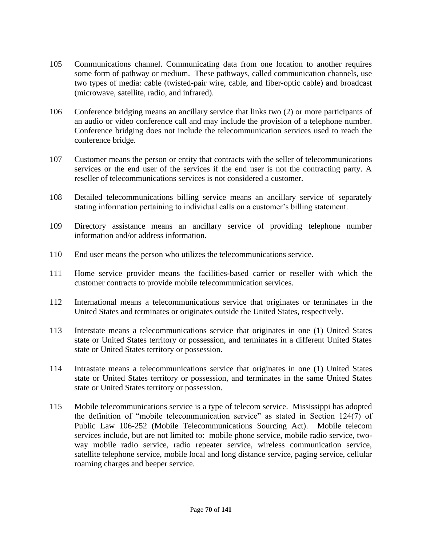- 105 Communications channel. Communicating data from one location to another requires some form of pathway or medium. These pathways, called communication channels, use two types of media: cable (twisted-pair wire, cable, and fiber-optic cable) and broadcast (microwave, satellite, radio, and infrared).
- 106 Conference bridging means an ancillary service that links two (2) or more participants of an audio or video conference call and may include the provision of a telephone number. Conference bridging does not include the telecommunication services used to reach the conference bridge.
- 107 Customer means the person or entity that contracts with the seller of telecommunications services or the end user of the services if the end user is not the contracting party. A reseller of telecommunications services is not considered a customer.
- 108 Detailed telecommunications billing service means an ancillary service of separately stating information pertaining to individual calls on a customer's billing statement.
- 109 Directory assistance means an ancillary service of providing telephone number information and/or address information.
- 110 End user means the person who utilizes the telecommunications service.
- 111 Home service provider means the facilities-based carrier or reseller with which the customer contracts to provide mobile telecommunication services.
- 112 International means a telecommunications service that originates or terminates in the United States and terminates or originates outside the United States, respectively.
- 113 Interstate means a telecommunications service that originates in one (1) United States state or United States territory or possession, and terminates in a different United States state or United States territory or possession.
- 114 Intrastate means a telecommunications service that originates in one (1) United States state or United States territory or possession, and terminates in the same United States state or United States territory or possession.
- 115 Mobile telecommunications service is a type of telecom service. Mississippi has adopted the definition of "mobile telecommunication service" as stated in Section 124(7) of Public Law 106-252 (Mobile Telecommunications Sourcing Act). Mobile telecom services include, but are not limited to: mobile phone service, mobile radio service, twoway mobile radio service, radio repeater service, wireless communication service, satellite telephone service, mobile local and long distance service, paging service, cellular roaming charges and beeper service.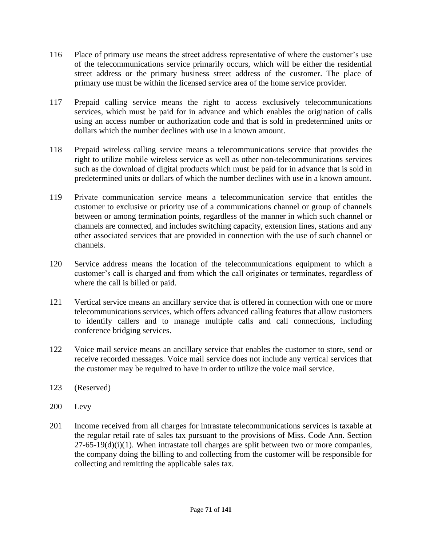- 116 Place of primary use means the street address representative of where the customer's use of the telecommunications service primarily occurs, which will be either the residential street address or the primary business street address of the customer. The place of primary use must be within the licensed service area of the home service provider.
- 117 Prepaid calling service means the right to access exclusively telecommunications services, which must be paid for in advance and which enables the origination of calls using an access number or authorization code and that is sold in predetermined units or dollars which the number declines with use in a known amount.
- 118 Prepaid wireless calling service means a telecommunications service that provides the right to utilize mobile wireless service as well as other non-telecommunications services such as the download of digital products which must be paid for in advance that is sold in predetermined units or dollars of which the number declines with use in a known amount.
- 119 Private communication service means a telecommunication service that entitles the customer to exclusive or priority use of a communications channel or group of channels between or among termination points, regardless of the manner in which such channel or channels are connected, and includes switching capacity, extension lines, stations and any other associated services that are provided in connection with the use of such channel or channels.
- 120 Service address means the location of the telecommunications equipment to which a customer's call is charged and from which the call originates or terminates, regardless of where the call is billed or paid.
- 121 Vertical service means an ancillary service that is offered in connection with one or more telecommunications services, which offers advanced calling features that allow customers to identify callers and to manage multiple calls and call connections, including conference bridging services.
- 122 Voice mail service means an ancillary service that enables the customer to store, send or receive recorded messages. Voice mail service does not include any vertical services that the customer may be required to have in order to utilize the voice mail service.
- 123 (Reserved)
- 200 Levy
- 201 Income received from all charges for intrastate telecommunications services is taxable at the regular retail rate of sales tax pursuant to the provisions of Miss. Code Ann. Section  $27-65-19(d)(i)(1)$ . When intrastate toll charges are split between two or more companies, the company doing the billing to and collecting from the customer will be responsible for collecting and remitting the applicable sales tax.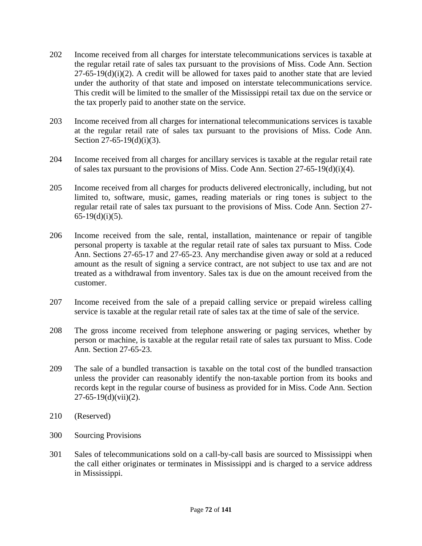- 202 Income received from all charges for interstate telecommunications services is taxable at the regular retail rate of sales tax pursuant to the provisions of Miss. Code Ann. Section  $27-65-19(d)(i)(2)$ . A credit will be allowed for taxes paid to another state that are levied under the authority of that state and imposed on interstate telecommunications service. This credit will be limited to the smaller of the Mississippi retail tax due on the service or the tax properly paid to another state on the service.
- 203 Income received from all charges for international telecommunications services is taxable at the regular retail rate of sales tax pursuant to the provisions of Miss. Code Ann. Section 27-65-19 $(d)(i)(3)$ .
- 204 Income received from all charges for ancillary services is taxable at the regular retail rate of sales tax pursuant to the provisions of Miss. Code Ann. Section 27-65-19(d)(i)(4).
- 205 Income received from all charges for products delivered electronically, including, but not limited to, software, music, games, reading materials or ring tones is subject to the regular retail rate of sales tax pursuant to the provisions of Miss. Code Ann. Section 27-  $65-19(d)(i)(5)$ .
- 206 Income received from the sale, rental, installation, maintenance or repair of tangible personal property is taxable at the regular retail rate of sales tax pursuant to Miss. Code Ann. Sections 27-65-17 and 27-65-23. Any merchandise given away or sold at a reduced amount as the result of signing a service contract, are not subject to use tax and are not treated as a withdrawal from inventory. Sales tax is due on the amount received from the customer.
- 207 Income received from the sale of a prepaid calling service or prepaid wireless calling service is taxable at the regular retail rate of sales tax at the time of sale of the service.
- 208 The gross income received from telephone answering or paging services, whether by person or machine, is taxable at the regular retail rate of sales tax pursuant to Miss. Code Ann. Section 27-65-23.
- 209 The sale of a bundled transaction is taxable on the total cost of the bundled transaction unless the provider can reasonably identify the non-taxable portion from its books and records kept in the regular course of business as provided for in Miss. Code Ann. Section  $27-65-19(d)(vii)(2)$ .
- 210 (Reserved)
- 300 Sourcing Provisions
- 301 Sales of telecommunications sold on a call-by-call basis are sourced to Mississippi when the call either originates or terminates in Mississippi and is charged to a service address in Mississippi.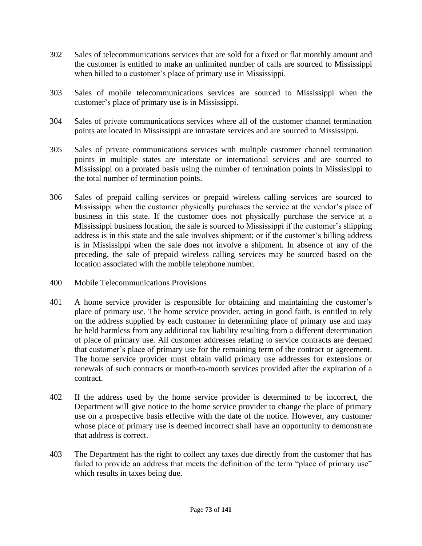- 302 Sales of telecommunications services that are sold for a fixed or flat monthly amount and the customer is entitled to make an unlimited number of calls are sourced to Mississippi when billed to a customer's place of primary use in Mississippi.
- 303 Sales of mobile telecommunications services are sourced to Mississippi when the customer's place of primary use is in Mississippi.
- 304 Sales of private communications services where all of the customer channel termination points are located in Mississippi are intrastate services and are sourced to Mississippi.
- 305 Sales of private communications services with multiple customer channel termination points in multiple states are interstate or international services and are sourced to Mississippi on a prorated basis using the number of termination points in Mississippi to the total number of termination points.
- 306 Sales of prepaid calling services or prepaid wireless calling services are sourced to Mississippi when the customer physically purchases the service at the vendor's place of business in this state. If the customer does not physically purchase the service at a Mississippi business location, the sale is sourced to Mississippi if the customer's shipping address is in this state and the sale involves shipment; or if the customer's billing address is in Mississippi when the sale does not involve a shipment. In absence of any of the preceding, the sale of prepaid wireless calling services may be sourced based on the location associated with the mobile telephone number.
- 400 Mobile Telecommunications Provisions
- 401 A home service provider is responsible for obtaining and maintaining the customer's place of primary use. The home service provider, acting in good faith, is entitled to rely on the address supplied by each customer in determining place of primary use and may be held harmless from any additional tax liability resulting from a different determination of place of primary use. All customer addresses relating to service contracts are deemed that customer's place of primary use for the remaining term of the contract or agreement. The home service provider must obtain valid primary use addresses for extensions or renewals of such contracts or month-to-month services provided after the expiration of a contract.
- 402 If the address used by the home service provider is determined to be incorrect, the Department will give notice to the home service provider to change the place of primary use on a prospective basis effective with the date of the notice. However, any customer whose place of primary use is deemed incorrect shall have an opportunity to demonstrate that address is correct.
- 403 The Department has the right to collect any taxes due directly from the customer that has failed to provide an address that meets the definition of the term "place of primary use" which results in taxes being due.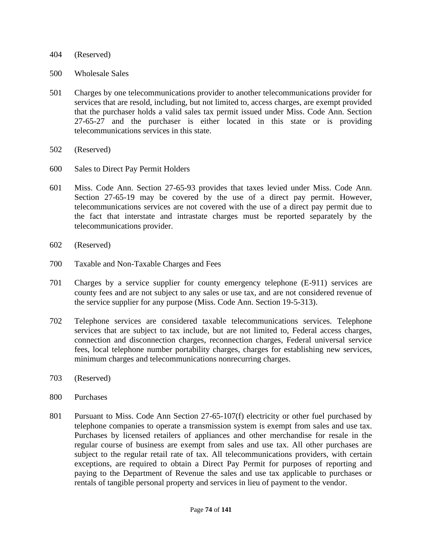- 404 (Reserved)
- 500 Wholesale Sales
- 501 Charges by one telecommunications provider to another telecommunications provider for services that are resold, including, but not limited to, access charges, are exempt provided that the purchaser holds a valid sales tax permit issued under Miss. Code Ann. Section 27-65-27 and the purchaser is either located in this state or is providing telecommunications services in this state.
- 502 (Reserved)
- 600 Sales to Direct Pay Permit Holders
- 601 Miss. Code Ann. Section 27-65-93 provides that taxes levied under Miss. Code Ann. Section 27-65-19 may be covered by the use of a direct pay permit. However, telecommunications services are not covered with the use of a direct pay permit due to the fact that interstate and intrastate charges must be reported separately by the telecommunications provider.
- 602 (Reserved)
- 700 Taxable and Non-Taxable Charges and Fees
- 701 Charges by a service supplier for county emergency telephone (E-911) services are county fees and are not subject to any sales or use tax, and are not considered revenue of the service supplier for any purpose (Miss. Code Ann. Section 19-5-313).
- 702 Telephone services are considered taxable telecommunications services. Telephone services that are subject to tax include, but are not limited to, Federal access charges, connection and disconnection charges, reconnection charges, Federal universal service fees, local telephone number portability charges, charges for establishing new services, minimum charges and telecommunications nonrecurring charges.
- 703 (Reserved)
- 800 Purchases
- 801 Pursuant to Miss. Code Ann Section 27-65-107(f) electricity or other fuel purchased by telephone companies to operate a transmission system is exempt from sales and use tax. Purchases by licensed retailers of appliances and other merchandise for resale in the regular course of business are exempt from sales and use tax. All other purchases are subject to the regular retail rate of tax. All telecommunications providers, with certain exceptions, are required to obtain a Direct Pay Permit for purposes of reporting and paying to the Department of Revenue the sales and use tax applicable to purchases or rentals of tangible personal property and services in lieu of payment to the vendor.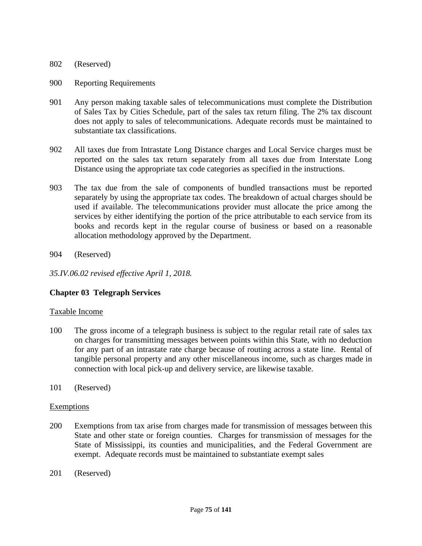### 802 (Reserved)

#### 900 Reporting Requirements

- 901 Any person making taxable sales of telecommunications must complete the Distribution of Sales Tax by Cities Schedule, part of the sales tax return filing. The 2% tax discount does not apply to sales of telecommunications. Adequate records must be maintained to substantiate tax classifications.
- 902 All taxes due from Intrastate Long Distance charges and Local Service charges must be reported on the sales tax return separately from all taxes due from Interstate Long Distance using the appropriate tax code categories as specified in the instructions.
- 903 The tax due from the sale of components of bundled transactions must be reported separately by using the appropriate tax codes. The breakdown of actual charges should be used if available. The telecommunications provider must allocate the price among the services by either identifying the portion of the price attributable to each service from its books and records kept in the regular course of business or based on a reasonable allocation methodology approved by the Department.

### 904 (Reserved)

*35.IV.06.02 revised effective April 1, 2018.*

# **Chapter 03 Telegraph Services**

### Taxable Income

- 100 The gross income of a telegraph business is subject to the regular retail rate of sales tax on charges for transmitting messages between points within this State, with no deduction for any part of an intrastate rate charge because of routing across a state line. Rental of tangible personal property and any other miscellaneous income, such as charges made in connection with local pick-up and delivery service, are likewise taxable.
- 101 (Reserved)

#### **Exemptions**

- 200 Exemptions from tax arise from charges made for transmission of messages between this State and other state or foreign counties. Charges for transmission of messages for the State of Mississippi, its counties and municipalities, and the Federal Government are exempt. Adequate records must be maintained to substantiate exempt sales
- 201 (Reserved)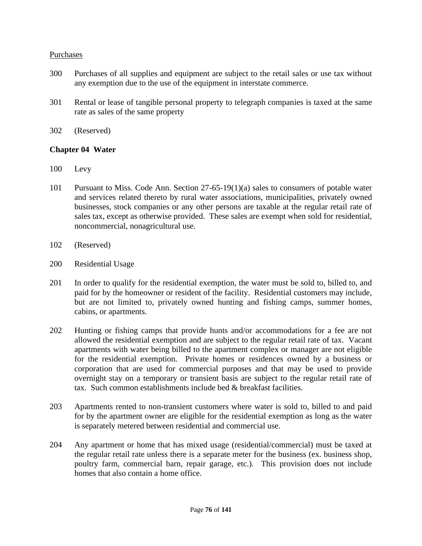## Purchases

- 300 Purchases of all supplies and equipment are subject to the retail sales or use tax without any exemption due to the use of the equipment in interstate commerce.
- 301 Rental or lease of tangible personal property to telegraph companies is taxed at the same rate as sales of the same property
- 302 (Reserved)

## **Chapter 04 Water**

- 100 Levy
- 101 Pursuant to Miss. Code Ann. Section 27-65-19(1)(a) sales to consumers of potable water and services related thereto by rural water associations, municipalities, privately owned businesses, stock companies or any other persons are taxable at the regular retail rate of sales tax, except as otherwise provided. These sales are exempt when sold for residential, noncommercial, nonagricultural use.
- 102 (Reserved)
- 200 Residential Usage
- 201 In order to qualify for the residential exemption, the water must be sold to, billed to, and paid for by the homeowner or resident of the facility. Residential customers may include, but are not limited to, privately owned hunting and fishing camps, summer homes, cabins, or apartments.
- 202 Hunting or fishing camps that provide hunts and/or accommodations for a fee are not allowed the residential exemption and are subject to the regular retail rate of tax. Vacant apartments with water being billed to the apartment complex or manager are not eligible for the residential exemption. Private homes or residences owned by a business or corporation that are used for commercial purposes and that may be used to provide overnight stay on a temporary or transient basis are subject to the regular retail rate of tax. Such common establishments include bed & breakfast facilities.
- 203 Apartments rented to non-transient customers where water is sold to, billed to and paid for by the apartment owner are eligible for the residential exemption as long as the water is separately metered between residential and commercial use.
- 204 Any apartment or home that has mixed usage (residential/commercial) must be taxed at the regular retail rate unless there is a separate meter for the business (ex. business shop, poultry farm, commercial barn, repair garage, etc.). This provision does not include homes that also contain a home office.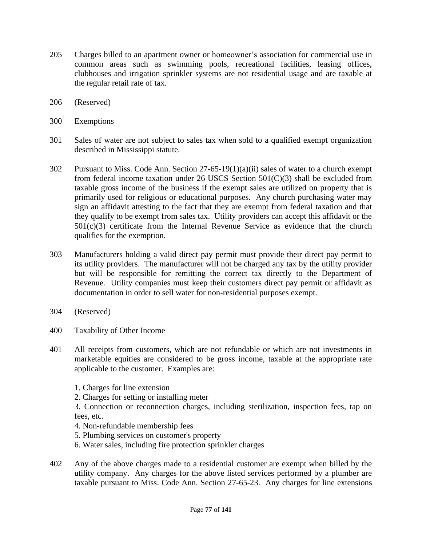- 205 Charges billed to an apartment owner or homeowner's association for commercial use in common areas such as swimming pools, recreational facilities, leasing offices, clubhouses and irrigation sprinkler systems are not residential usage and are taxable at the regular retail rate of tax.
- 206 (Reserved)
- 300 Exemptions
- 301 Sales of water are not subject to sales tax when sold to a qualified exempt organization described in Mississippi statute.
- 302 Pursuant to Miss. Code Ann. Section 27-65-19(1)(a)(ii) sales of water to a church exempt from federal income taxation under 26 USCS Section 501(C)(3) shall be excluded from taxable gross income of the business if the exempt sales are utilized on property that is primarily used for religious or educational purposes. Any church purchasing water may sign an affidavit attesting to the fact that they are exempt from federal taxation and that they qualify to be exempt from sales tax. Utility providers can accept this affidavit or the  $501(c)(3)$  certificate from the Internal Revenue Service as evidence that the church qualifies for the exemption.
- 303 Manufacturers holding a valid direct pay permit must provide their direct pay permit to its utility providers. The manufacturer will not be charged any tax by the utility provider but will be responsible for remitting the correct tax directly to the Department of Revenue. Utility companies must keep their customers direct pay permit or affidavit as documentation in order to sell water for non-residential purposes exempt.
- 304 (Reserved)
- 400 Taxability of Other Income
- 401 All receipts from customers, which are not refundable or which are not investments in marketable equities are considered to be gross income, taxable at the appropriate rate applicable to the customer. Examples are:
	- 1. Charges for line extension
	- 2. Charges for setting or installing meter

3. Connection or reconnection charges, including sterilization, inspection fees, tap on fees, etc.

- 4. Non-refundable membership fees
- 5. Plumbing services on customer's property
- 6. Water sales, including fire protection sprinkler charges
- 402 Any of the above charges made to a residential customer are exempt when billed by the utility company. Any charges for the above listed services performed by a plumber are taxable pursuant to Miss. Code Ann. Section 27-65-23. Any charges for line extensions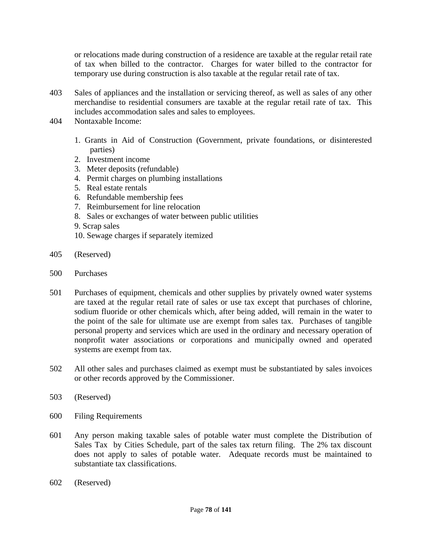or relocations made during construction of a residence are taxable at the regular retail rate of tax when billed to the contractor. Charges for water billed to the contractor for temporary use during construction is also taxable at the regular retail rate of tax.

- 403 Sales of appliances and the installation or servicing thereof, as well as sales of any other merchandise to residential consumers are taxable at the regular retail rate of tax. This includes accommodation sales and sales to employees.
- 404 Nontaxable Income:
	- 1. Grants in Aid of Construction (Government, private foundations, or disinterested parties)
	- 2. Investment income
	- 3. Meter deposits (refundable)
	- 4. Permit charges on plumbing installations
	- 5. Real estate rentals
	- 6. Refundable membership fees
	- 7. Reimbursement for line relocation
	- 8. Sales or exchanges of water between public utilities
	- 9. Scrap sales
	- 10. Sewage charges if separately itemized
- 405 (Reserved)
- 500 Purchases
- 501 Purchases of equipment, chemicals and other supplies by privately owned water systems are taxed at the regular retail rate of sales or use tax except that purchases of chlorine, sodium fluoride or other chemicals which, after being added, will remain in the water to the point of the sale for ultimate use are exempt from sales tax. Purchases of tangible personal property and services which are used in the ordinary and necessary operation of nonprofit water associations or corporations and municipally owned and operated systems are exempt from tax.
- 502 All other sales and purchases claimed as exempt must be substantiated by sales invoices or other records approved by the Commissioner.
- 503 (Reserved)
- 600 Filing Requirements
- 601 Any person making taxable sales of potable water must complete the Distribution of Sales Tax by Cities Schedule, part of the sales tax return filing. The 2% tax discount does not apply to sales of potable water. Adequate records must be maintained to substantiate tax classifications.
- 602 (Reserved)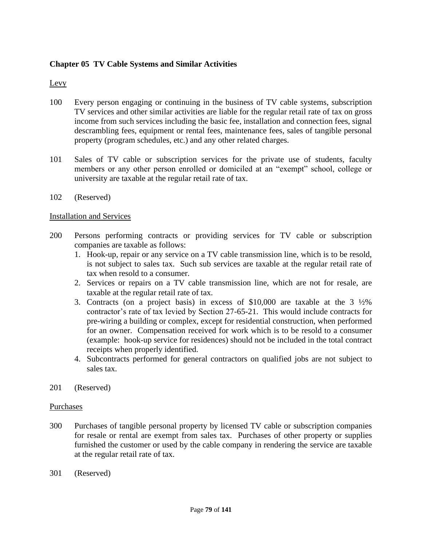# **Chapter 05 TV Cable Systems and Similar Activities**

## Levy

- 100 Every person engaging or continuing in the business of TV cable systems, subscription TV services and other similar activities are liable for the regular retail rate of tax on gross income from such services including the basic fee, installation and connection fees, signal descrambling fees, equipment or rental fees, maintenance fees, sales of tangible personal property (program schedules, etc.) and any other related charges.
- 101 Sales of TV cable or subscription services for the private use of students, faculty members or any other person enrolled or domiciled at an "exempt" school, college or university are taxable at the regular retail rate of tax.
- 102 (Reserved)

#### Installation and Services

- 200 Persons performing contracts or providing services for TV cable or subscription companies are taxable as follows:
	- 1. Hook-up, repair or any service on a TV cable transmission line, which is to be resold, is not subject to sales tax. Such sub services are taxable at the regular retail rate of tax when resold to a consumer.
	- 2. Services or repairs on a TV cable transmission line, which are not for resale, are taxable at the regular retail rate of tax.
	- 3. Contracts (on a project basis) in excess of \$10,000 are taxable at the 3 ½% contractor's rate of tax levied by Section 27-65-21. This would include contracts for pre-wiring a building or complex, except for residential construction, when performed for an owner. Compensation received for work which is to be resold to a consumer (example: hook-up service for residences) should not be included in the total contract receipts when properly identified.
	- 4. Subcontracts performed for general contractors on qualified jobs are not subject to sales tax.
- 201 (Reserved)

#### Purchases

- 300 Purchases of tangible personal property by licensed TV cable or subscription companies for resale or rental are exempt from sales tax. Purchases of other property or supplies furnished the customer or used by the cable company in rendering the service are taxable at the regular retail rate of tax.
- 301 (Reserved)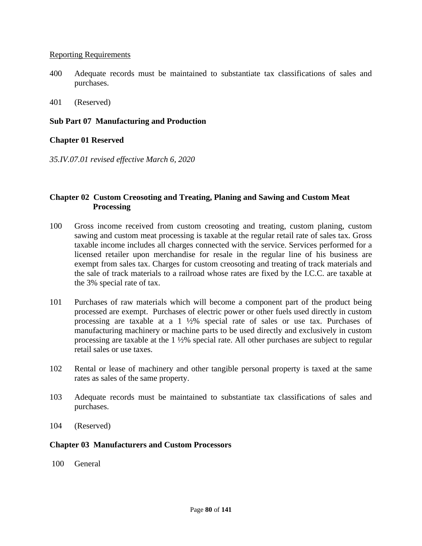#### Reporting Requirements

- 400 Adequate records must be maintained to substantiate tax classifications of sales and purchases.
- 401 (Reserved)

### **Sub Part 07 Manufacturing and Production**

## **Chapter 01 Reserved**

*35.IV.07.01 revised effective March 6, 2020*

## **Chapter 02 Custom Creosoting and Treating, Planing and Sawing and Custom Meat Processing**

- 100 Gross income received from custom creosoting and treating, custom planing, custom sawing and custom meat processing is taxable at the regular retail rate of sales tax. Gross taxable income includes all charges connected with the service. Services performed for a licensed retailer upon merchandise for resale in the regular line of his business are exempt from sales tax. Charges for custom creosoting and treating of track materials and the sale of track materials to a railroad whose rates are fixed by the I.C.C. are taxable at the 3% special rate of tax.
- 101 Purchases of raw materials which will become a component part of the product being processed are exempt. Purchases of electric power or other fuels used directly in custom processing are taxable at a 1 ½% special rate of sales or use tax. Purchases of manufacturing machinery or machine parts to be used directly and exclusively in custom processing are taxable at the 1 ½% special rate. All other purchases are subject to regular retail sales or use taxes.
- 102 Rental or lease of machinery and other tangible personal property is taxed at the same rates as sales of the same property.
- 103 Adequate records must be maintained to substantiate tax classifications of sales and purchases.
- 104 (Reserved)

### **Chapter 03 Manufacturers and Custom Processors**

100 General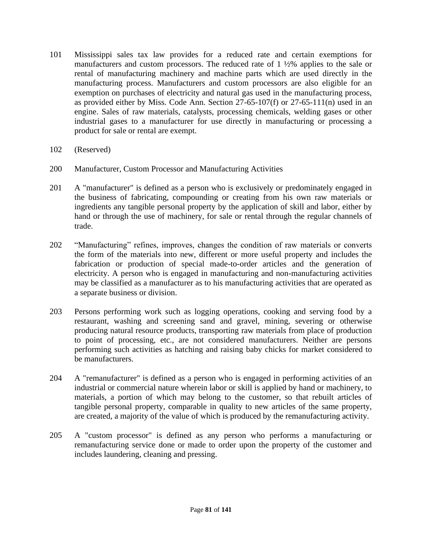- 101 Mississippi sales tax law provides for a reduced rate and certain exemptions for manufacturers and custom processors. The reduced rate of 1 ½% applies to the sale or rental of manufacturing machinery and machine parts which are used directly in the manufacturing process. Manufacturers and custom processors are also eligible for an exemption on purchases of electricity and natural gas used in the manufacturing process, as provided either by Miss. Code Ann. Section 27-65-107(f) or 27-65-111(n) used in an engine. Sales of raw materials, catalysts, processing chemicals, welding gases or other industrial gases to a manufacturer for use directly in manufacturing or processing a product for sale or rental are exempt.
- 102 (Reserved)
- 200 Manufacturer, Custom Processor and Manufacturing Activities
- 201 A "manufacturer" is defined as a person who is exclusively or predominately engaged in the business of fabricating, compounding or creating from his own raw materials or ingredients any tangible personal property by the application of skill and labor, either by hand or through the use of machinery, for sale or rental through the regular channels of trade.
- 202 "Manufacturing" refines, improves, changes the condition of raw materials or converts the form of the materials into new, different or more useful property and includes the fabrication or production of special made-to-order articles and the generation of electricity. A person who is engaged in manufacturing and non-manufacturing activities may be classified as a manufacturer as to his manufacturing activities that are operated as a separate business or division.
- 203 Persons performing work such as logging operations, cooking and serving food by a restaurant, washing and screening sand and gravel, mining, severing or otherwise producing natural resource products, transporting raw materials from place of production to point of processing, etc., are not considered manufacturers. Neither are persons performing such activities as hatching and raising baby chicks for market considered to be manufacturers.
- 204 A "remanufacturer" is defined as a person who is engaged in performing activities of an industrial or commercial nature wherein labor or skill is applied by hand or machinery, to materials, a portion of which may belong to the customer, so that rebuilt articles of tangible personal property, comparable in quality to new articles of the same property, are created, a majority of the value of which is produced by the remanufacturing activity.
- 205 A "custom processor" is defined as any person who performs a manufacturing or remanufacturing service done or made to order upon the property of the customer and includes laundering, cleaning and pressing.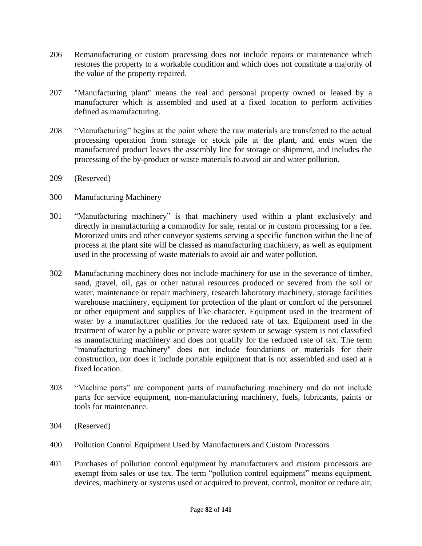- 206 Remanufacturing or custom processing does not include repairs or maintenance which restores the property to a workable condition and which does not constitute a majority of the value of the property repaired.
- 207 "Manufacturing plant" means the real and personal property owned or leased by a manufacturer which is assembled and used at a fixed location to perform activities defined as manufacturing.
- 208 "Manufacturing" begins at the point where the raw materials are transferred to the actual processing operation from storage or stock pile at the plant, and ends when the manufactured product leaves the assembly line for storage or shipment, and includes the processing of the by-product or waste materials to avoid air and water pollution.
- 209 (Reserved)
- 300 Manufacturing Machinery
- 301 "Manufacturing machinery" is that machinery used within a plant exclusively and directly in manufacturing a commodity for sale, rental or in custom processing for a fee. Motorized units and other conveyor systems serving a specific function within the line of process at the plant site will be classed as manufacturing machinery, as well as equipment used in the processing of waste materials to avoid air and water pollution.
- 302 Manufacturing machinery does not include machinery for use in the severance of timber, sand, gravel, oil, gas or other natural resources produced or severed from the soil or water, maintenance or repair machinery, research laboratory machinery, storage facilities warehouse machinery, equipment for protection of the plant or comfort of the personnel or other equipment and supplies of like character. Equipment used in the treatment of water by a manufacturer qualifies for the reduced rate of tax. Equipment used in the treatment of water by a public or private water system or sewage system is not classified as manufacturing machinery and does not qualify for the reduced rate of tax. The term "manufacturing machinery" does not include foundations or materials for their construction, nor does it include portable equipment that is not assembled and used at a fixed location.
- 303 "Machine parts" are component parts of manufacturing machinery and do not include parts for service equipment, non-manufacturing machinery, fuels, lubricants, paints or tools for maintenance.
- 304 (Reserved)
- 400 Pollution Control Equipment Used by Manufacturers and Custom Processors
- 401 Purchases of pollution control equipment by manufacturers and custom processors are exempt from sales or use tax. The term "pollution control equipment" means equipment, devices, machinery or systems used or acquired to prevent, control, monitor or reduce air,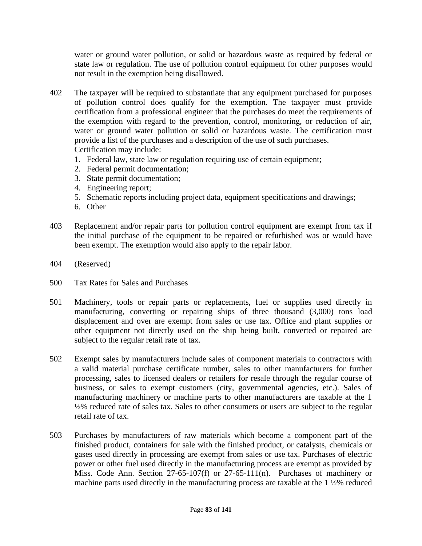water or ground water pollution, or solid or hazardous waste as required by federal or state law or regulation. The use of pollution control equipment for other purposes would not result in the exemption being disallowed.

- 402 The taxpayer will be required to substantiate that any equipment purchased for purposes of pollution control does qualify for the exemption. The taxpayer must provide certification from a professional engineer that the purchases do meet the requirements of the exemption with regard to the prevention, control, monitoring, or reduction of air, water or ground water pollution or solid or hazardous waste. The certification must provide a list of the purchases and a description of the use of such purchases. Certification may include:
	- 1. Federal law, state law or regulation requiring use of certain equipment;
	- 2. Federal permit documentation;
	- 3. State permit documentation;
	- 4. Engineering report;
	- 5. Schematic reports including project data, equipment specifications and drawings;
	- 6. Other
- 403 Replacement and/or repair parts for pollution control equipment are exempt from tax if the initial purchase of the equipment to be repaired or refurbished was or would have been exempt. The exemption would also apply to the repair labor.
- 404 (Reserved)
- 500 Tax Rates for Sales and Purchases
- 501 Machinery, tools or repair parts or replacements, fuel or supplies used directly in manufacturing, converting or repairing ships of three thousand (3,000) tons load displacement and over are exempt from sales or use tax. Office and plant supplies or other equipment not directly used on the ship being built, converted or repaired are subject to the regular retail rate of tax.
- 502 Exempt sales by manufacturers include sales of component materials to contractors with a valid material purchase certificate number, sales to other manufacturers for further processing, sales to licensed dealers or retailers for resale through the regular course of business, or sales to exempt customers (city, governmental agencies, etc.). Sales of manufacturing machinery or machine parts to other manufacturers are taxable at the 1 ½% reduced rate of sales tax. Sales to other consumers or users are subject to the regular retail rate of tax.
- 503 Purchases by manufacturers of raw materials which become a component part of the finished product, containers for sale with the finished product, or catalysts, chemicals or gases used directly in processing are exempt from sales or use tax. Purchases of electric power or other fuel used directly in the manufacturing process are exempt as provided by Miss. Code Ann. Section 27-65-107(f) or 27-65-111(n). Purchases of machinery or machine parts used directly in the manufacturing process are taxable at the 1 ½% reduced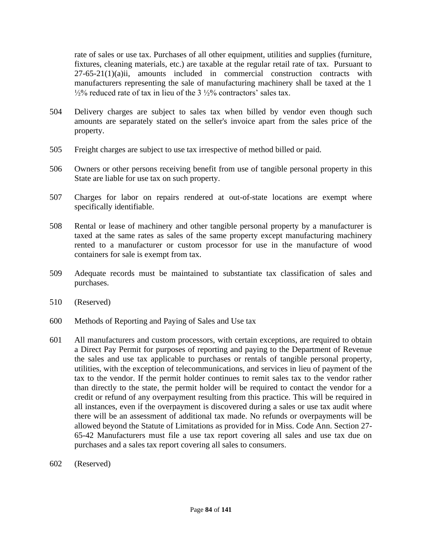rate of sales or use tax. Purchases of all other equipment, utilities and supplies (furniture, fixtures, cleaning materials, etc.) are taxable at the regular retail rate of tax. Pursuant to 27-65-21(1)(a)ii, amounts included in commercial construction contracts with manufacturers representing the sale of manufacturing machinery shall be taxed at the 1  $\frac{1}{2}\%$  reduced rate of tax in lieu of the 3  $\frac{1}{2}\%$  contractors' sales tax.

- 504 Delivery charges are subject to sales tax when billed by vendor even though such amounts are separately stated on the seller's invoice apart from the sales price of the property.
- 505 Freight charges are subject to use tax irrespective of method billed or paid.
- 506 Owners or other persons receiving benefit from use of tangible personal property in this State are liable for use tax on such property.
- 507 Charges for labor on repairs rendered at out-of-state locations are exempt where specifically identifiable.
- 508 Rental or lease of machinery and other tangible personal property by a manufacturer is taxed at the same rates as sales of the same property except manufacturing machinery rented to a manufacturer or custom processor for use in the manufacture of wood containers for sale is exempt from tax.
- 509 Adequate records must be maintained to substantiate tax classification of sales and purchases.
- 510 (Reserved)
- 600 Methods of Reporting and Paying of Sales and Use tax
- 601 All manufacturers and custom processors, with certain exceptions, are required to obtain a Direct Pay Permit for purposes of reporting and paying to the Department of Revenue the sales and use tax applicable to purchases or rentals of tangible personal property, utilities, with the exception of telecommunications, and services in lieu of payment of the tax to the vendor. If the permit holder continues to remit sales tax to the vendor rather than directly to the state, the permit holder will be required to contact the vendor for a credit or refund of any overpayment resulting from this practice. This will be required in all instances, even if the overpayment is discovered during a sales or use tax audit where there will be an assessment of additional tax made. No refunds or overpayments will be allowed beyond the Statute of Limitations as provided for in Miss. Code Ann. Section 27- 65-42 Manufacturers must file a use tax report covering all sales and use tax due on purchases and a sales tax report covering all sales to consumers.
- 602 (Reserved)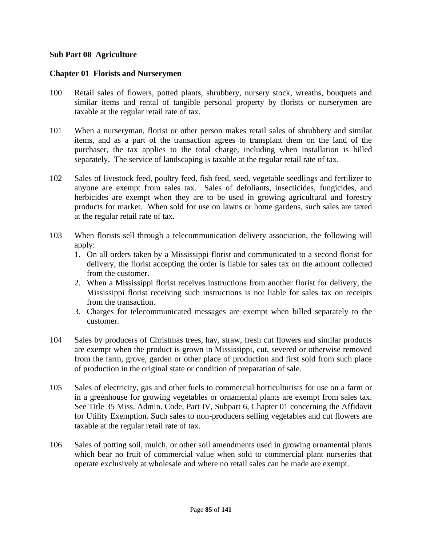## **Sub Part 08 Agriculture**

### **Chapter 01 Florists and Nurserymen**

- 100 Retail sales of flowers, potted plants, shrubbery, nursery stock, wreaths, bouquets and similar items and rental of tangible personal property by florists or nurserymen are taxable at the regular retail rate of tax.
- 101 When a nurseryman, florist or other person makes retail sales of shrubbery and similar items, and as a part of the transaction agrees to transplant them on the land of the purchaser, the tax applies to the total charge, including when installation is billed separately. The service of landscaping is taxable at the regular retail rate of tax.
- 102 Sales of livestock feed, poultry feed, fish feed, seed, vegetable seedlings and fertilizer to anyone are exempt from sales tax. Sales of defoliants, insecticides, fungicides, and herbicides are exempt when they are to be used in growing agricultural and forestry products for market. When sold for use on lawns or home gardens, such sales are taxed at the regular retail rate of tax.
- 103 When florists sell through a telecommunication delivery association, the following will apply:
	- 1. On all orders taken by a Mississippi florist and communicated to a second florist for delivery, the florist accepting the order is liable for sales tax on the amount collected from the customer.
	- 2. When a Mississippi florist receives instructions from another florist for delivery, the Mississippi florist receiving such instructions is not liable for sales tax on receipts from the transaction.
	- 3. Charges for telecommunicated messages are exempt when billed separately to the customer.
- 104 Sales by producers of Christmas trees, hay, straw, fresh cut flowers and similar products are exempt when the product is grown in Mississippi, cut, severed or otherwise removed from the farm, grove, garden or other place of production and first sold from such place of production in the original state or condition of preparation of sale.
- 105 Sales of electricity, gas and other fuels to commercial horticulturists for use on a farm or in a greenhouse for growing vegetables or ornamental plants are exempt from sales tax. See Title 35 Miss. Admin. Code, Part IV, Subpart 6, Chapter 01 concerning the Affidavit for Utility Exemption. Such sales to non-producers selling vegetables and cut flowers are taxable at the regular retail rate of tax.
- 106 Sales of potting soil, mulch, or other soil amendments used in growing ornamental plants which bear no fruit of commercial value when sold to commercial plant nurseries that operate exclusively at wholesale and where no retail sales can be made are exempt.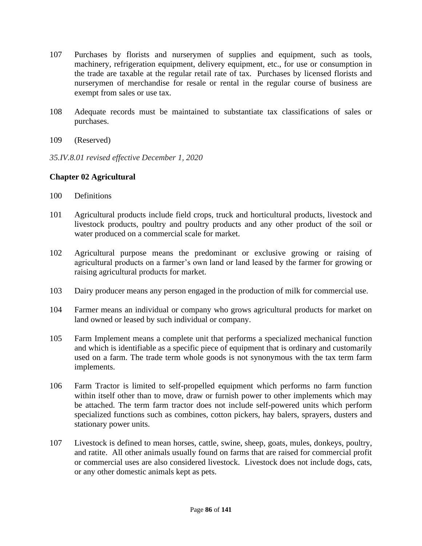- 107 Purchases by florists and nurserymen of supplies and equipment, such as tools, machinery, refrigeration equipment, delivery equipment, etc., for use or consumption in the trade are taxable at the regular retail rate of tax. Purchases by licensed florists and nurserymen of merchandise for resale or rental in the regular course of business are exempt from sales or use tax.
- 108 Adequate records must be maintained to substantiate tax classifications of sales or purchases.
- 109 (Reserved)
- *35.IV.8.01 revised effective December 1, 2020*

# **Chapter 02 Agricultural**

- 100 Definitions
- 101 Agricultural products include field crops, truck and horticultural products, livestock and livestock products, poultry and poultry products and any other product of the soil or water produced on a commercial scale for market.
- 102 Agricultural purpose means the predominant or exclusive growing or raising of agricultural products on a farmer's own land or land leased by the farmer for growing or raising agricultural products for market.
- 103 Dairy producer means any person engaged in the production of milk for commercial use.
- 104 Farmer means an individual or company who grows agricultural products for market on land owned or leased by such individual or company.
- 105 Farm Implement means a complete unit that performs a specialized mechanical function and which is identifiable as a specific piece of equipment that is ordinary and customarily used on a farm. The trade term whole goods is not synonymous with the tax term farm implements.
- 106 Farm Tractor is limited to self-propelled equipment which performs no farm function within itself other than to move, draw or furnish power to other implements which may be attached. The term farm tractor does not include self-powered units which perform specialized functions such as combines, cotton pickers, hay balers, sprayers, dusters and stationary power units.
- 107 Livestock is defined to mean horses, cattle, swine, sheep, goats, mules, donkeys, poultry, and ratite. All other animals usually found on farms that are raised for commercial profit or commercial uses are also considered livestock. Livestock does not include dogs, cats, or any other domestic animals kept as pets.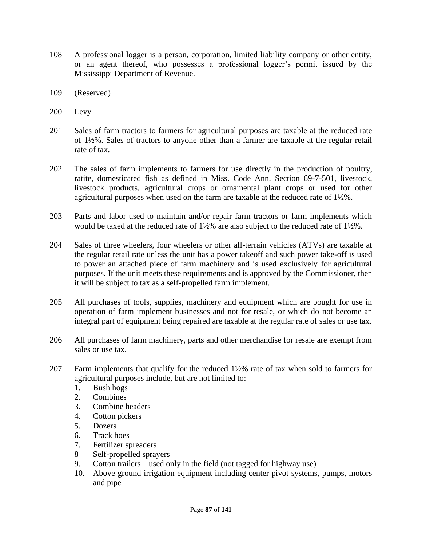- 108 A professional logger is a person, corporation, limited liability company or other entity, or an agent thereof, who possesses a professional logger's permit issued by the Mississippi Department of Revenue.
- 109 (Reserved)
- 200 Levy
- 201 Sales of farm tractors to farmers for agricultural purposes are taxable at the reduced rate of 1½%. Sales of tractors to anyone other than a farmer are taxable at the regular retail rate of tax.
- 202 The sales of farm implements to farmers for use directly in the production of poultry, ratite, domesticated fish as defined in Miss. Code Ann. Section 69-7-501, livestock, livestock products, agricultural crops or ornamental plant crops or used for other agricultural purposes when used on the farm are taxable at the reduced rate of 1½%.
- 203 Parts and labor used to maintain and/or repair farm tractors or farm implements which would be taxed at the reduced rate of 1½% are also subject to the reduced rate of 1½%.
- 204 Sales of three wheelers, four wheelers or other all-terrain vehicles (ATVs) are taxable at the regular retail rate unless the unit has a power takeoff and such power take-off is used to power an attached piece of farm machinery and is used exclusively for agricultural purposes. If the unit meets these requirements and is approved by the Commissioner, then it will be subject to tax as a self-propelled farm implement.
- 205 All purchases of tools, supplies, machinery and equipment which are bought for use in operation of farm implement businesses and not for resale, or which do not become an integral part of equipment being repaired are taxable at the regular rate of sales or use tax.
- 206 All purchases of farm machinery, parts and other merchandise for resale are exempt from sales or use tax.
- 207 Farm implements that qualify for the reduced 1½% rate of tax when sold to farmers for agricultural purposes include, but are not limited to:
	- 1. Bush hogs
	- 2. Combines
	- 3. Combine headers
	- 4. Cotton pickers
	- 5. Dozers
	- 6. Track hoes
	- 7. Fertilizer spreaders
	- 8 Self-propelled sprayers
	- 9. Cotton trailers used only in the field (not tagged for highway use)
	- 10. Above ground irrigation equipment including center pivot systems, pumps, motors and pipe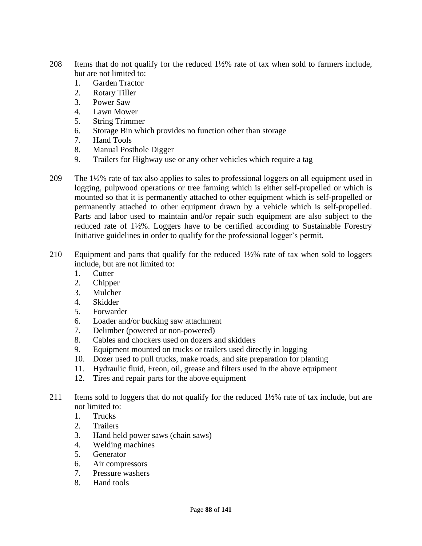- 208 Items that do not qualify for the reduced 1½% rate of tax when sold to farmers include, but are not limited to:
	- 1. Garden Tractor
	- 2. Rotary Tiller
	- 3. Power Saw
	- 4. Lawn Mower
	- 5. String Trimmer
	- 6. Storage Bin which provides no function other than storage
	- 7. Hand Tools
	- 8. Manual Posthole Digger
	- 9. Trailers for Highway use or any other vehicles which require a tag
- 209 The 1½% rate of tax also applies to sales to professional loggers on all equipment used in logging, pulpwood operations or tree farming which is either self-propelled or which is mounted so that it is permanently attached to other equipment which is self-propelled or permanently attached to other equipment drawn by a vehicle which is self-propelled. Parts and labor used to maintain and/or repair such equipment are also subject to the reduced rate of 1½%. Loggers have to be certified according to Sustainable Forestry Initiative guidelines in order to qualify for the professional logger's permit.
- 210 Equipment and parts that qualify for the reduced 1½% rate of tax when sold to loggers include, but are not limited to:
	- 1. Cutter
	- 2. Chipper
	- 3. Mulcher
	- 4. Skidder
	- 5. Forwarder
	- 6. Loader and/or bucking saw attachment
	- 7. Delimber (powered or non-powered)
	- 8. Cables and chockers used on dozers and skidders
	- 9. Equipment mounted on trucks or trailers used directly in logging
	- 10. Dozer used to pull trucks, make roads, and site preparation for planting
	- 11. Hydraulic fluid, Freon, oil, grease and filters used in the above equipment
	- 12. Tires and repair parts for the above equipment
- 211 Items sold to loggers that do not qualify for the reduced 1½% rate of tax include, but are not limited to:
	- 1. Trucks
	- 2. Trailers
	- 3. Hand held power saws (chain saws)
	- 4. Welding machines
	- 5. Generator
	- 6. Air compressors
	- 7. Pressure washers
	- 8. Hand tools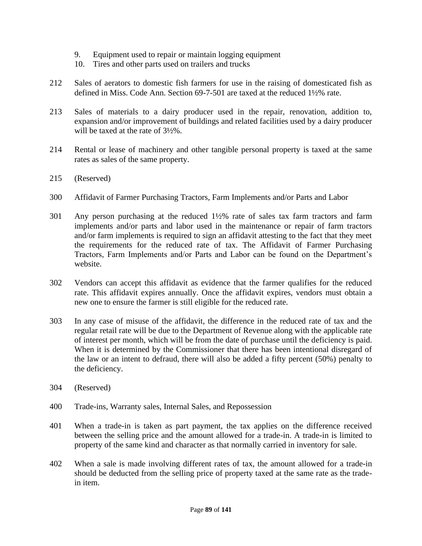- 9. Equipment used to repair or maintain logging equipment
- 10. Tires and other parts used on trailers and trucks
- 212 Sales of aerators to domestic fish farmers for use in the raising of domesticated fish as defined in Miss. Code Ann. Section 69-7-501 are taxed at the reduced 1½% rate.
- 213 Sales of materials to a dairy producer used in the repair, renovation, addition to, expansion and/or improvement of buildings and related facilities used by a dairy producer will be taxed at the rate of 3½%.
- 214 Rental or lease of machinery and other tangible personal property is taxed at the same rates as sales of the same property.
- 215 (Reserved)
- 300 Affidavit of Farmer Purchasing Tractors, Farm Implements and/or Parts and Labor
- 301 Any person purchasing at the reduced 1½% rate of sales tax farm tractors and farm implements and/or parts and labor used in the maintenance or repair of farm tractors and/or farm implements is required to sign an affidavit attesting to the fact that they meet the requirements for the reduced rate of tax. The Affidavit of Farmer Purchasing Tractors, Farm Implements and/or Parts and Labor can be found on the Department's website.
- 302 Vendors can accept this affidavit as evidence that the farmer qualifies for the reduced rate. This affidavit expires annually. Once the affidavit expires, vendors must obtain a new one to ensure the farmer is still eligible for the reduced rate.
- 303 In any case of misuse of the affidavit, the difference in the reduced rate of tax and the regular retail rate will be due to the Department of Revenue along with the applicable rate of interest per month, which will be from the date of purchase until the deficiency is paid. When it is determined by the Commissioner that there has been intentional disregard of the law or an intent to defraud, there will also be added a fifty percent (50%) penalty to the deficiency.
- 304 (Reserved)
- 400 Trade-ins, Warranty sales, Internal Sales, and Repossession
- 401 When a trade-in is taken as part payment, the tax applies on the difference received between the selling price and the amount allowed for a trade-in. A trade-in is limited to property of the same kind and character as that normally carried in inventory for sale.
- 402 When a sale is made involving different rates of tax, the amount allowed for a trade-in should be deducted from the selling price of property taxed at the same rate as the tradein item.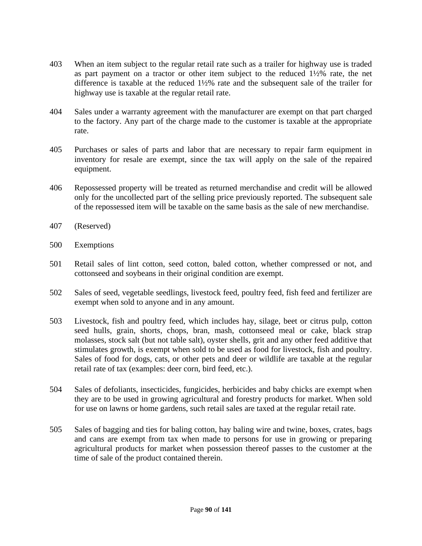- 403 When an item subject to the regular retail rate such as a trailer for highway use is traded as part payment on a tractor or other item subject to the reduced 1½% rate, the net difference is taxable at the reduced 1½% rate and the subsequent sale of the trailer for highway use is taxable at the regular retail rate.
- 404 Sales under a warranty agreement with the manufacturer are exempt on that part charged to the factory. Any part of the charge made to the customer is taxable at the appropriate rate.
- 405 Purchases or sales of parts and labor that are necessary to repair farm equipment in inventory for resale are exempt, since the tax will apply on the sale of the repaired equipment.
- 406 Repossessed property will be treated as returned merchandise and credit will be allowed only for the uncollected part of the selling price previously reported. The subsequent sale of the repossessed item will be taxable on the same basis as the sale of new merchandise.
- 407 (Reserved)
- 500 Exemptions
- 501 Retail sales of lint cotton, seed cotton, baled cotton, whether compressed or not, and cottonseed and soybeans in their original condition are exempt.
- 502 Sales of seed, vegetable seedlings, livestock feed, poultry feed, fish feed and fertilizer are exempt when sold to anyone and in any amount.
- 503 Livestock, fish and poultry feed, which includes hay, silage, beet or citrus pulp, cotton seed hulls, grain, shorts, chops, bran, mash, cottonseed meal or cake, black strap molasses, stock salt (but not table salt), oyster shells, grit and any other feed additive that stimulates growth, is exempt when sold to be used as food for livestock, fish and poultry. Sales of food for dogs, cats, or other pets and deer or wildlife are taxable at the regular retail rate of tax (examples: deer corn, bird feed, etc.).
- 504 Sales of defoliants, insecticides, fungicides, herbicides and baby chicks are exempt when they are to be used in growing agricultural and forestry products for market. When sold for use on lawns or home gardens, such retail sales are taxed at the regular retail rate.
- 505 Sales of bagging and ties for baling cotton, hay baling wire and twine, boxes, crates, bags and cans are exempt from tax when made to persons for use in growing or preparing agricultural products for market when possession thereof passes to the customer at the time of sale of the product contained therein.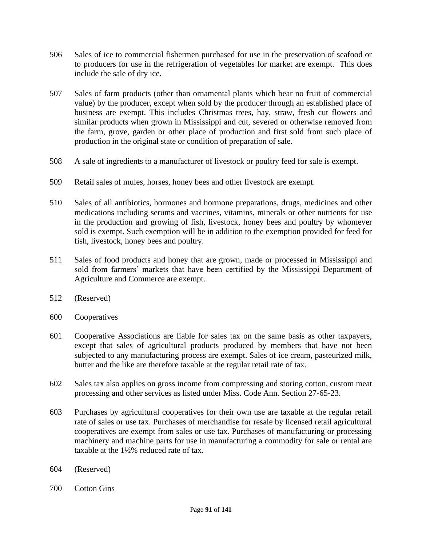- 506 Sales of ice to commercial fishermen purchased for use in the preservation of seafood or to producers for use in the refrigeration of vegetables for market are exempt. This does include the sale of dry ice.
- 507 Sales of farm products (other than ornamental plants which bear no fruit of commercial value) by the producer, except when sold by the producer through an established place of business are exempt. This includes Christmas trees, hay, straw, fresh cut flowers and similar products when grown in Mississippi and cut, severed or otherwise removed from the farm, grove, garden or other place of production and first sold from such place of production in the original state or condition of preparation of sale.
- 508 A sale of ingredients to a manufacturer of livestock or poultry feed for sale is exempt.
- 509 Retail sales of mules, horses, honey bees and other livestock are exempt.
- 510 Sales of all antibiotics, hormones and hormone preparations, drugs, medicines and other medications including serums and vaccines, vitamins, minerals or other nutrients for use in the production and growing of fish, livestock, honey bees and poultry by whomever sold is exempt. Such exemption will be in addition to the exemption provided for feed for fish, livestock, honey bees and poultry.
- 511 Sales of food products and honey that are grown, made or processed in Mississippi and sold from farmers' markets that have been certified by the Mississippi Department of Agriculture and Commerce are exempt.
- 512 (Reserved)
- 600 Cooperatives
- 601 Cooperative Associations are liable for sales tax on the same basis as other taxpayers, except that sales of agricultural products produced by members that have not been subjected to any manufacturing process are exempt. Sales of ice cream, pasteurized milk, butter and the like are therefore taxable at the regular retail rate of tax.
- 602 Sales tax also applies on gross income from compressing and storing cotton, custom meat processing and other services as listed under Miss. Code Ann. Section 27-65-23.
- 603 Purchases by agricultural cooperatives for their own use are taxable at the regular retail rate of sales or use tax. Purchases of merchandise for resale by licensed retail agricultural cooperatives are exempt from sales or use tax. Purchases of manufacturing or processing machinery and machine parts for use in manufacturing a commodity for sale or rental are taxable at the 1½% reduced rate of tax.
- 604 (Reserved)
- 700 Cotton Gins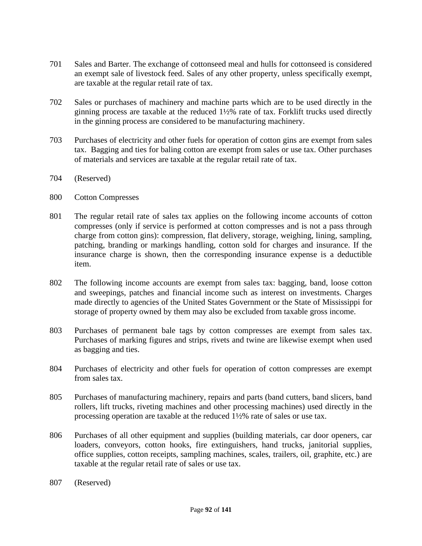- 701 Sales and Barter. The exchange of cottonseed meal and hulls for cottonseed is considered an exempt sale of livestock feed. Sales of any other property, unless specifically exempt, are taxable at the regular retail rate of tax.
- 702 Sales or purchases of machinery and machine parts which are to be used directly in the ginning process are taxable at the reduced 1½% rate of tax. Forklift trucks used directly in the ginning process are considered to be manufacturing machinery.
- 703 Purchases of electricity and other fuels for operation of cotton gins are exempt from sales tax. Bagging and ties for baling cotton are exempt from sales or use tax. Other purchases of materials and services are taxable at the regular retail rate of tax.
- 704 (Reserved)
- 800 Cotton Compresses
- 801 The regular retail rate of sales tax applies on the following income accounts of cotton compresses (only if service is performed at cotton compresses and is not a pass through charge from cotton gins): compression, flat delivery, storage, weighing, lining, sampling, patching, branding or markings handling, cotton sold for charges and insurance. If the insurance charge is shown, then the corresponding insurance expense is a deductible item.
- 802 The following income accounts are exempt from sales tax: bagging, band, loose cotton and sweepings, patches and financial income such as interest on investments. Charges made directly to agencies of the United States Government or the State of Mississippi for storage of property owned by them may also be excluded from taxable gross income.
- 803 Purchases of permanent bale tags by cotton compresses are exempt from sales tax. Purchases of marking figures and strips, rivets and twine are likewise exempt when used as bagging and ties.
- 804 Purchases of electricity and other fuels for operation of cotton compresses are exempt from sales tax.
- 805 Purchases of manufacturing machinery, repairs and parts (band cutters, band slicers, band rollers, lift trucks, riveting machines and other processing machines) used directly in the processing operation are taxable at the reduced 1½% rate of sales or use tax.
- 806 Purchases of all other equipment and supplies (building materials, car door openers, car loaders, conveyors, cotton hooks, fire extinguishers, hand trucks, janitorial supplies, office supplies, cotton receipts, sampling machines, scales, trailers, oil, graphite, etc.) are taxable at the regular retail rate of sales or use tax.
- 807 (Reserved)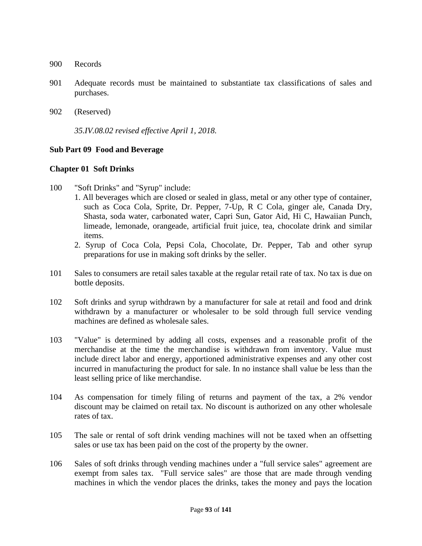- 900 Records
- 901 Adequate records must be maintained to substantiate tax classifications of sales and purchases.
- 902 (Reserved)

*35.IV.08.02 revised effective April 1, 2018.*

### **Sub Part 09 Food and Beverage**

#### **Chapter 01 Soft Drinks**

- 100 "Soft Drinks" and "Syrup" include:
	- 1. All beverages which are closed or sealed in glass, metal or any other type of container, such as Coca Cola, Sprite, Dr. Pepper, 7-Up, R C Cola, ginger ale, Canada Dry, Shasta, soda water, carbonated water, Capri Sun, Gator Aid, Hi C, Hawaiian Punch, limeade, lemonade, orangeade, artificial fruit juice, tea, chocolate drink and similar items.
	- 2. Syrup of Coca Cola, Pepsi Cola, Chocolate, Dr. Pepper, Tab and other syrup preparations for use in making soft drinks by the seller.
- 101 Sales to consumers are retail sales taxable at the regular retail rate of tax. No tax is due on bottle deposits.
- 102 Soft drinks and syrup withdrawn by a manufacturer for sale at retail and food and drink withdrawn by a manufacturer or wholesaler to be sold through full service vending machines are defined as wholesale sales.
- 103 "Value" is determined by adding all costs, expenses and a reasonable profit of the merchandise at the time the merchandise is withdrawn from inventory. Value must include direct labor and energy, apportioned administrative expenses and any other cost incurred in manufacturing the product for sale. In no instance shall value be less than the least selling price of like merchandise.
- 104 As compensation for timely filing of returns and payment of the tax, a 2% vendor discount may be claimed on retail tax. No discount is authorized on any other wholesale rates of tax.
- 105 The sale or rental of soft drink vending machines will not be taxed when an offsetting sales or use tax has been paid on the cost of the property by the owner.
- 106 Sales of soft drinks through vending machines under a "full service sales" agreement are exempt from sales tax. "Full service sales" are those that are made through vending machines in which the vendor places the drinks, takes the money and pays the location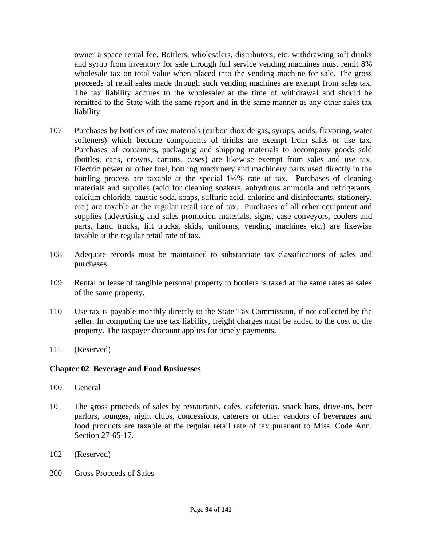owner a space rental fee. Bottlers, wholesalers, distributors, etc. withdrawing soft drinks and syrup from inventory for sale through full service vending machines must remit 8% wholesale tax on total value when placed into the vending machine for sale. The gross proceeds of retail sales made through such vending machines are exempt from sales tax. The tax liability accrues to the wholesaler at the time of withdrawal and should be remitted to the State with the same report and in the same manner as any other sales tax liability.

- 107 Purchases by bottlers of raw materials (carbon dioxide gas, syrups, acids, flavoring, water softeners) which become components of drinks are exempt from sales or use tax. Purchases of containers, packaging and shipping materials to accompany goods sold (bottles, cans, crowns, cartons, cases) are likewise exempt from sales and use tax. Electric power or other fuel, bottling machinery and machinery parts used directly in the bottling process are taxable at the special 1½% rate of tax. Purchases of cleaning materials and supplies (acid for cleaning soakers, anhydrous ammonia and refrigerants, calcium chloride, caustic soda, soaps, sulfuric acid, chlorine and disinfectants, stationery, etc.) are taxable at the regular retail rate of tax. Purchases of all other equipment and supplies (advertising and sales promotion materials, signs, case conveyors, coolers and parts, hand trucks, lift trucks, skids, uniforms, vending machines etc.) are likewise taxable at the regular retail rate of tax.
- 108 Adequate records must be maintained to substantiate tax classifications of sales and purchases.
- 109 Rental or lease of tangible personal property to bottlers is taxed at the same rates as sales of the same property.
- 110 Use tax is payable monthly directly to the State Tax Commission, if not collected by the seller. In computing the use tax liability, freight charges must be added to the cost of the property. The taxpayer discount applies for timely payments.
- 111 (Reserved)

### **Chapter 02 Beverage and Food Businesses**

- 100 General
- 101 The gross proceeds of sales by restaurants, cafes, cafeterias, snack bars, drive-ins, beer parlors, lounges, night clubs, concessions, caterers or other vendors of beverages and food products are taxable at the regular retail rate of tax pursuant to Miss. Code Ann. Section 27-65-17.
- 102 (Reserved)
- 200 Gross Proceeds of Sales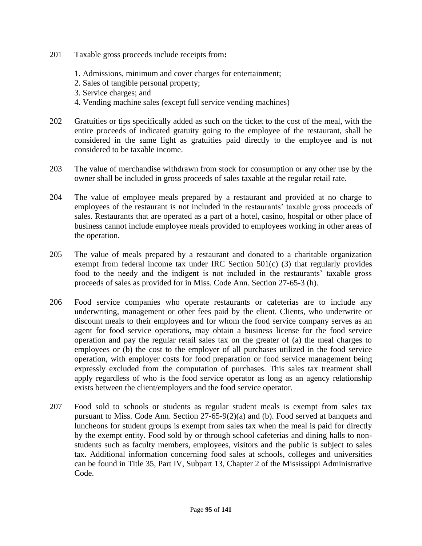- 201 Taxable gross proceeds include receipts from**:** 
	- 1. Admissions, minimum and cover charges for entertainment;
	- 2. Sales of tangible personal property;
	- 3. Service charges; and
	- 4. Vending machine sales (except full service vending machines)
- 202 Gratuities or tips specifically added as such on the ticket to the cost of the meal, with the entire proceeds of indicated gratuity going to the employee of the restaurant, shall be considered in the same light as gratuities paid directly to the employee and is not considered to be taxable income.
- 203 The value of merchandise withdrawn from stock for consumption or any other use by the owner shall be included in gross proceeds of sales taxable at the regular retail rate.
- 204 The value of employee meals prepared by a restaurant and provided at no charge to employees of the restaurant is not included in the restaurants' taxable gross proceeds of sales. Restaurants that are operated as a part of a hotel, casino, hospital or other place of business cannot include employee meals provided to employees working in other areas of the operation.
- 205 The value of meals prepared by a restaurant and donated to a charitable organization exempt from federal income tax under IRC Section 501(c) (3) that regularly provides food to the needy and the indigent is not included in the restaurants' taxable gross proceeds of sales as provided for in Miss. Code Ann. Section 27-65-3 (h).
- 206 Food service companies who operate restaurants or cafeterias are to include any underwriting, management or other fees paid by the client. Clients, who underwrite or discount meals to their employees and for whom the food service company serves as an agent for food service operations, may obtain a business license for the food service operation and pay the regular retail sales tax on the greater of (a) the meal charges to employees or (b) the cost to the employer of all purchases utilized in the food service operation, with employer costs for food preparation or food service management being expressly excluded from the computation of purchases. This sales tax treatment shall apply regardless of who is the food service operator as long as an agency relationship exists between the client/employers and the food service operator.
- 207 Food sold to schools or students as regular student meals is exempt from sales tax pursuant to Miss. Code Ann. Section 27-65-9(2)(a) and (b). Food served at banquets and luncheons for student groups is exempt from sales tax when the meal is paid for directly by the exempt entity. Food sold by or through school cafeterias and dining halls to nonstudents such as faculty members, employees, visitors and the public is subject to sales tax. Additional information concerning food sales at schools, colleges and universities can be found in Title 35, Part IV, Subpart 13, Chapter 2 of the Mississippi Administrative Code.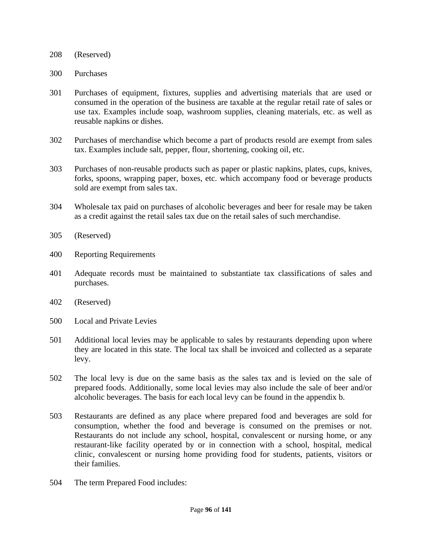- 208 (Reserved)
- 300 Purchases
- 301 Purchases of equipment, fixtures, supplies and advertising materials that are used or consumed in the operation of the business are taxable at the regular retail rate of sales or use tax. Examples include soap, washroom supplies, cleaning materials, etc. as well as reusable napkins or dishes.
- 302 Purchases of merchandise which become a part of products resold are exempt from sales tax. Examples include salt, pepper, flour, shortening, cooking oil, etc.
- 303 Purchases of non-reusable products such as paper or plastic napkins, plates, cups, knives, forks, spoons, wrapping paper, boxes, etc. which accompany food or beverage products sold are exempt from sales tax.
- 304 Wholesale tax paid on purchases of alcoholic beverages and beer for resale may be taken as a credit against the retail sales tax due on the retail sales of such merchandise.
- 305 (Reserved)
- 400 Reporting Requirements
- 401 Adequate records must be maintained to substantiate tax classifications of sales and purchases.
- 402 (Reserved)
- 500 Local and Private Levies
- 501 Additional local levies may be applicable to sales by restaurants depending upon where they are located in this state. The local tax shall be invoiced and collected as a separate levy.
- 502 The local levy is due on the same basis as the sales tax and is levied on the sale of prepared foods. Additionally, some local levies may also include the sale of beer and/or alcoholic beverages. The basis for each local levy can be found in the appendix b.
- 503 Restaurants are defined as any place where prepared food and beverages are sold for consumption, whether the food and beverage is consumed on the premises or not. Restaurants do not include any school, hospital, convalescent or nursing home, or any restaurant-like facility operated by or in connection with a school, hospital, medical clinic, convalescent or nursing home providing food for students, patients, visitors or their families.
- 504 The term Prepared Food includes: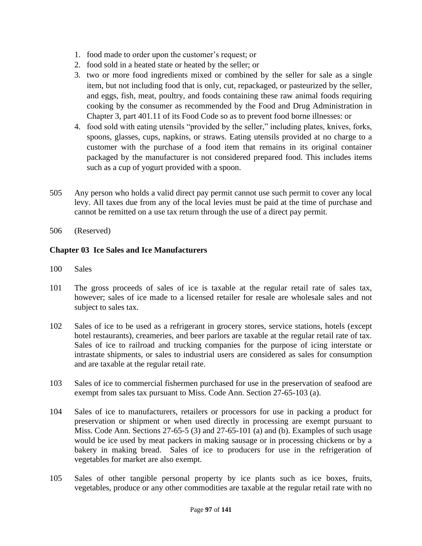- 1. food made to order upon the customer's request; or
- 2. food sold in a heated state or heated by the seller; or
- 3. two or more food ingredients mixed or combined by the seller for sale as a single item, but not including food that is only, cut, repackaged, or pasteurized by the seller, and eggs, fish, meat, poultry, and foods containing these raw animal foods requiring cooking by the consumer as recommended by the Food and Drug Administration in Chapter 3, part 401.11 of its Food Code so as to prevent food borne illnesses: or
- 4. food sold with eating utensils "provided by the seller," including plates, knives, forks, spoons, glasses, cups, napkins, or straws. Eating utensils provided at no charge to a customer with the purchase of a food item that remains in its original container packaged by the manufacturer is not considered prepared food. This includes items such as a cup of yogurt provided with a spoon.
- 505 Any person who holds a valid direct pay permit cannot use such permit to cover any local levy. All taxes due from any of the local levies must be paid at the time of purchase and cannot be remitted on a use tax return through the use of a direct pay permit.
- 506 (Reserved)

# **Chapter 03 Ice Sales and Ice Manufacturers**

- 100 Sales
- 101 The gross proceeds of sales of ice is taxable at the regular retail rate of sales tax, however; sales of ice made to a licensed retailer for resale are wholesale sales and not subject to sales tax.
- 102 Sales of ice to be used as a refrigerant in grocery stores, service stations, hotels (except hotel restaurants), creameries, and beer parlors are taxable at the regular retail rate of tax. Sales of ice to railroad and trucking companies for the purpose of icing interstate or intrastate shipments, or sales to industrial users are considered as sales for consumption and are taxable at the regular retail rate.
- 103 Sales of ice to commercial fishermen purchased for use in the preservation of seafood are exempt from sales tax pursuant to Miss. Code Ann. Section 27-65-103 (a).
- 104 Sales of ice to manufacturers, retailers or processors for use in packing a product for preservation or shipment or when used directly in processing are exempt pursuant to Miss. Code Ann. Sections 27-65-5 (3) and 27-65-101 (a) and (b). Examples of such usage would be ice used by meat packers in making sausage or in processing chickens or by a bakery in making bread. Sales of ice to producers for use in the refrigeration of vegetables for market are also exempt.
- 105 Sales of other tangible personal property by ice plants such as ice boxes, fruits, vegetables, produce or any other commodities are taxable at the regular retail rate with no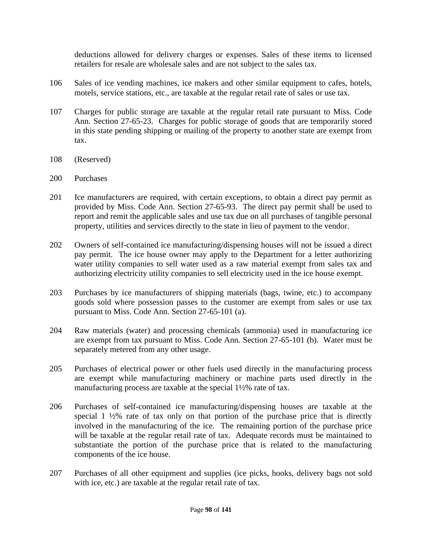deductions allowed for delivery charges or expenses. Sales of these items to licensed retailers for resale are wholesale sales and are not subject to the sales tax.

- 106 Sales of ice vending machines, ice makers and other similar equipment to cafes, hotels, motels, service stations, etc., are taxable at the regular retail rate of sales or use tax.
- 107 Charges for public storage are taxable at the regular retail rate pursuant to Miss. Code Ann. Section 27-65-23. Charges for public storage of goods that are temporarily stored in this state pending shipping or mailing of the property to another state are exempt from tax.
- 108 (Reserved)
- 200 Purchases
- 201 Ice manufacturers are required, with certain exceptions, to obtain a direct pay permit as provided by Miss. Code Ann. Section 27-65-93. The direct pay permit shall be used to report and remit the applicable sales and use tax due on all purchases of tangible personal property, utilities and services directly to the state in lieu of payment to the vendor.
- 202 Owners of self-contained ice manufacturing/dispensing houses will not be issued a direct pay permit. The ice house owner may apply to the Department for a letter authorizing water utility companies to sell water used as a raw material exempt from sales tax and authorizing electricity utility companies to sell electricity used in the ice house exempt.
- 203 Purchases by ice manufacturers of shipping materials (bags, twine, etc.) to accompany goods sold where possession passes to the customer are exempt from sales or use tax pursuant to Miss. Code Ann. Section 27-65-101 (a).
- 204 Raw materials (water) and processing chemicals (ammonia) used in manufacturing ice are exempt from tax pursuant to Miss. Code Ann. Section 27-65-101 (b). Water must be separately metered from any other usage.
- 205 Purchases of electrical power or other fuels used directly in the manufacturing process are exempt while manufacturing machinery or machine parts used directly in the manufacturing process are taxable at the special 1½% rate of tax.
- 206 Purchases of self-contained ice manufacturing/dispensing houses are taxable at the special 1  $\frac{1}{2}\%$  rate of tax only on that portion of the purchase price that is directly involved in the manufacturing of the ice. The remaining portion of the purchase price will be taxable at the regular retail rate of tax. Adequate records must be maintained to substantiate the portion of the purchase price that is related to the manufacturing components of the ice house.
- 207 Purchases of all other equipment and supplies (ice picks, hooks, delivery bags not sold with ice, etc.) are taxable at the regular retail rate of tax.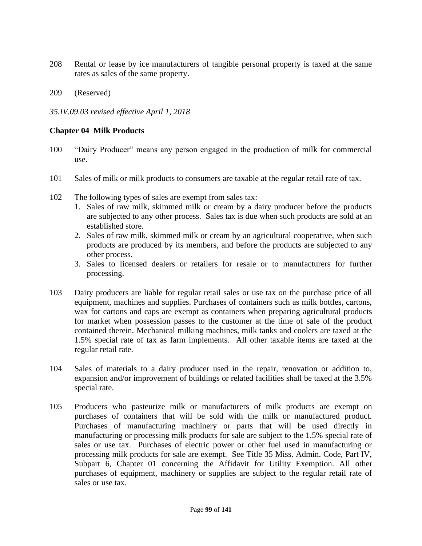- 208 Rental or lease by ice manufacturers of tangible personal property is taxed at the same rates as sales of the same property.
- 209 (Reserved)

*35.IV.09.03 revised effective April 1, 2018*

## **Chapter 04 Milk Products**

- 100 "Dairy Producer" means any person engaged in the production of milk for commercial use.
- 101 Sales of milk or milk products to consumers are taxable at the regular retail rate of tax.
- 102 The following types of sales are exempt from sales tax:
	- 1. Sales of raw milk, skimmed milk or cream by a dairy producer before the products are subjected to any other process. Sales tax is due when such products are sold at an established store.
	- 2. Sales of raw milk, skimmed milk or cream by an agricultural cooperative, when such products are produced by its members, and before the products are subjected to any other process.
	- 3. Sales to licensed dealers or retailers for resale or to manufacturers for further processing.
- 103 Dairy producers are liable for regular retail sales or use tax on the purchase price of all equipment, machines and supplies. Purchases of containers such as milk bottles, cartons, wax for cartons and caps are exempt as containers when preparing agricultural products for market when possession passes to the customer at the time of sale of the product contained therein. Mechanical milking machines, milk tanks and coolers are taxed at the 1.5% special rate of tax as farm implements. All other taxable items are taxed at the regular retail rate.
- 104 Sales of materials to a dairy producer used in the repair, renovation or addition to, expansion and/or improvement of buildings or related facilities shall be taxed at the 3.5% special rate.
- 105 Producers who pasteurize milk or manufacturers of milk products are exempt on purchases of containers that will be sold with the milk or manufactured product. Purchases of manufacturing machinery or parts that will be used directly in manufacturing or processing milk products for sale are subject to the 1.5% special rate of sales or use tax. Purchases of electric power or other fuel used in manufacturing or processing milk products for sale are exempt. See Title 35 Miss. Admin. Code, Part IV, Subpart 6, Chapter 01 concerning the Affidavit for Utility Exemption. All other purchases of equipment, machinery or supplies are subject to the regular retail rate of sales or use tax.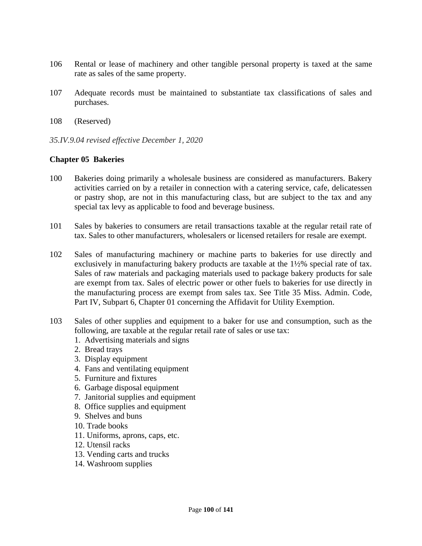- 106 Rental or lease of machinery and other tangible personal property is taxed at the same rate as sales of the same property.
- 107 Adequate records must be maintained to substantiate tax classifications of sales and purchases.
- 108 (Reserved)
- *35.IV.9.04 revised effective December 1, 2020*

## **Chapter 05 Bakeries**

- 100 Bakeries doing primarily a wholesale business are considered as manufacturers. Bakery activities carried on by a retailer in connection with a catering service, cafe, delicatessen or pastry shop, are not in this manufacturing class, but are subject to the tax and any special tax levy as applicable to food and beverage business.
- 101 Sales by bakeries to consumers are retail transactions taxable at the regular retail rate of tax. Sales to other manufacturers, wholesalers or licensed retailers for resale are exempt.
- 102 Sales of manufacturing machinery or machine parts to bakeries for use directly and exclusively in manufacturing bakery products are taxable at the 1½% special rate of tax. Sales of raw materials and packaging materials used to package bakery products for sale are exempt from tax. Sales of electric power or other fuels to bakeries for use directly in the manufacturing process are exempt from sales tax. See Title 35 Miss. Admin. Code, Part IV, Subpart 6, Chapter 01 concerning the Affidavit for Utility Exemption.
- 103 Sales of other supplies and equipment to a baker for use and consumption, such as the following, are taxable at the regular retail rate of sales or use tax:
	- 1. Advertising materials and signs
	- 2. Bread trays
	- 3. Display equipment
	- 4. Fans and ventilating equipment
	- 5. Furniture and fixtures
	- 6. Garbage disposal equipment
	- 7. Janitorial supplies and equipment
	- 8. Office supplies and equipment
	- 9. Shelves and buns
	- 10. Trade books
	- 11. Uniforms, aprons, caps, etc.
	- 12. Utensil racks
	- 13. Vending carts and trucks
	- 14. Washroom supplies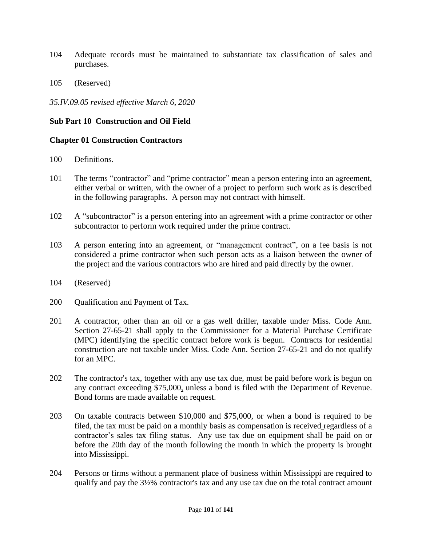- 104 Adequate records must be maintained to substantiate tax classification of sales and purchases.
- 105 (Reserved)

*35.IV.09.05 revised effective March 6, 2020*

### **Sub Part 10 Construction and Oil Field**

#### **Chapter 01 Construction Contractors**

- 100 Definitions.
- 101 The terms "contractor" and "prime contractor" mean a person entering into an agreement, either verbal or written, with the owner of a project to perform such work as is described in the following paragraphs. A person may not contract with himself.
- 102 A "subcontractor" is a person entering into an agreement with a prime contractor or other subcontractor to perform work required under the prime contract.
- 103 A person entering into an agreement, or "management contract", on a fee basis is not considered a prime contractor when such person acts as a liaison between the owner of the project and the various contractors who are hired and paid directly by the owner.
- 104 (Reserved)
- 200 Qualification and Payment of Tax.
- 201 A contractor, other than an oil or a gas well driller, taxable under Miss. Code Ann. Section 27-65-21 shall apply to the Commissioner for a Material Purchase Certificate (MPC) identifying the specific contract before work is begun. Contracts for residential construction are not taxable under Miss. Code Ann. Section 27-65-21 and do not qualify for an MPC.
- 202 The contractor's tax, together with any use tax due, must be paid before work is begun on any contract exceeding \$75,000, unless a bond is filed with the Department of Revenue. Bond forms are made available on request.
- 203 On taxable contracts between \$10,000 and \$75,000, or when a bond is required to be filed, the tax must be paid on a monthly basis as compensation is received regardless of a contractor's sales tax filing status. Any use tax due on equipment shall be paid on or before the 20th day of the month following the month in which the property is brought into Mississippi.
- 204 Persons or firms without a permanent place of business within Mississippi are required to qualify and pay the 3½% contractor's tax and any use tax due on the total contract amount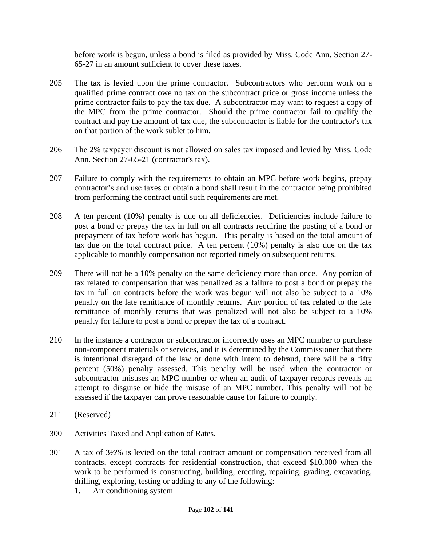before work is begun, unless a bond is filed as provided by Miss. Code Ann. Section 27- 65-27 in an amount sufficient to cover these taxes.

- 205 The tax is levied upon the prime contractor. Subcontractors who perform work on a qualified prime contract owe no tax on the subcontract price or gross income unless the prime contractor fails to pay the tax due. A subcontractor may want to request a copy of the MPC from the prime contractor. Should the prime contractor fail to qualify the contract and pay the amount of tax due, the subcontractor is liable for the contractor's tax on that portion of the work sublet to him.
- 206 The 2% taxpayer discount is not allowed on sales tax imposed and levied by Miss. Code Ann. Section 27-65-21 (contractor's tax).
- 207 Failure to comply with the requirements to obtain an MPC before work begins, prepay contractor's and use taxes or obtain a bond shall result in the contractor being prohibited from performing the contract until such requirements are met.
- 208 A ten percent (10%) penalty is due on all deficiencies. Deficiencies include failure to post a bond or prepay the tax in full on all contracts requiring the posting of a bond or prepayment of tax before work has begun. This penalty is based on the total amount of tax due on the total contract price. A ten percent (10%) penalty is also due on the tax applicable to monthly compensation not reported timely on subsequent returns.
- 209 There will not be a 10% penalty on the same deficiency more than once. Any portion of tax related to compensation that was penalized as a failure to post a bond or prepay the tax in full on contracts before the work was begun will not also be subject to a 10% penalty on the late remittance of monthly returns. Any portion of tax related to the late remittance of monthly returns that was penalized will not also be subject to a 10% penalty for failure to post a bond or prepay the tax of a contract.
- 210 In the instance a contractor or subcontractor incorrectly uses an MPC number to purchase non-component materials or services, and it is determined by the Commissioner that there is intentional disregard of the law or done with intent to defraud, there will be a fifty percent (50%) penalty assessed. This penalty will be used when the contractor or subcontractor misuses an MPC number or when an audit of taxpayer records reveals an attempt to disguise or hide the misuse of an MPC number. This penalty will not be assessed if the taxpayer can prove reasonable cause for failure to comply.
- 211 (Reserved)
- 300 Activities Taxed and Application of Rates.
- 301 A tax of 3½% is levied on the total contract amount or compensation received from all contracts, except contracts for residential construction, that exceed \$10,000 when the work to be performed is constructing, building, erecting, repairing, grading, excavating, drilling, exploring, testing or adding to any of the following:
	- 1. Air conditioning system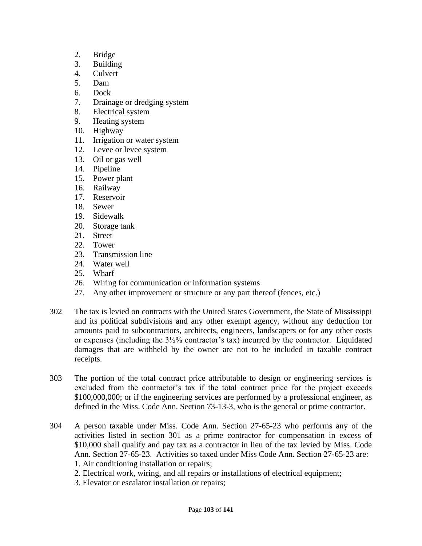- 2. Bridge
- 3. Building
- 4. Culvert
- 5. Dam
- 6. Dock
- 7. Drainage or dredging system
- 8. Electrical system
- 9. Heating system
- 10. Highway
- 11. Irrigation or water system
- 12. Levee or levee system
- 13. Oil or gas well
- 14. Pipeline
- 15. Power plant
- 16. Railway
- 17. Reservoir
- 18. Sewer
- 19. Sidewalk
- 20. Storage tank
- 21. Street
- 22. Tower
- 23. Transmission line
- 24. Water well
- 25. Wharf
- 26. Wiring for communication or information systems
- 27. Any other improvement or structure or any part thereof (fences, etc.)
- 302 The tax is levied on contracts with the United States Government, the State of Mississippi and its political subdivisions and any other exempt agency, without any deduction for amounts paid to subcontractors, architects, engineers, landscapers or for any other costs or expenses (including the  $3\frac{1}{2}\%$  contractor's tax) incurred by the contractor. Liquidated damages that are withheld by the owner are not to be included in taxable contract receipts.
- 303 The portion of the total contract price attributable to design or engineering services is excluded from the contractor's tax if the total contract price for the project exceeds \$100,000,000; or if the engineering services are performed by a professional engineer, as defined in the Miss. Code Ann. Section 73-13-3, who is the general or prime contractor.
- 304 A person taxable under Miss. Code Ann. Section 27-65-23 who performs any of the activities listed in section 301 as a prime contractor for compensation in excess of \$10,000 shall qualify and pay tax as a contractor in lieu of the tax levied by Miss. Code Ann. Section 27-65-23. Activities so taxed under Miss Code Ann. Section 27-65-23 are: 1. Air conditioning installation or repairs;
	- 2. Electrical work, wiring, and all repairs or installations of electrical equipment;
	- 3. Elevator or escalator installation or repairs;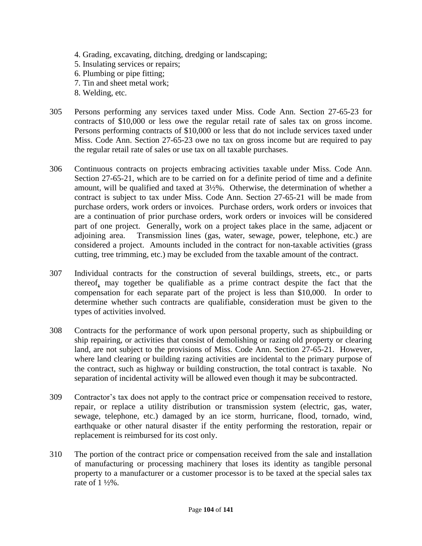- 4. Grading, excavating, ditching, dredging or landscaping; 5. Insulating services or repairs; 6. Plumbing or pipe fitting; 7. Tin and sheet metal work; 8. Welding, etc.
- 305 Persons performing any services taxed under Miss. Code Ann. Section 27-65-23 for contracts of \$10,000 or less owe the regular retail rate of sales tax on gross income. Persons performing contracts of \$10,000 or less that do not include services taxed under Miss. Code Ann. Section 27-65-23 owe no tax on gross income but are required to pay the regular retail rate of sales or use tax on all taxable purchases.
- 306 Continuous contracts on projects embracing activities taxable under Miss. Code Ann. Section 27-65-21, which are to be carried on for a definite period of time and a definite amount, will be qualified and taxed at 3½%. Otherwise, the determination of whether a contract is subject to tax under Miss. Code Ann. Section 27-65-21 will be made from purchase orders, work orders or invoices. Purchase orders, work orders or invoices that are a continuation of prior purchase orders, work orders or invoices will be considered part of one project. Generally, work on a project takes place in the same, adjacent or adjoining area. Transmission lines (gas, water, sewage, power, telephone, etc.) are considered a project. Amounts included in the contract for non-taxable activities (grass cutting, tree trimming, etc.) may be excluded from the taxable amount of the contract.
- 307 Individual contracts for the construction of several buildings, streets, etc., or parts thereof, may together be qualifiable as a prime contract despite the fact that the compensation for each separate part of the project is less than \$10,000. In order to determine whether such contracts are qualifiable, consideration must be given to the types of activities involved.
- 308 Contracts for the performance of work upon personal property, such as shipbuilding or ship repairing, or activities that consist of demolishing or razing old property or clearing land, are not subject to the provisions of Miss. Code Ann. Section 27-65-21. However, where land clearing or building razing activities are incidental to the primary purpose of the contract, such as highway or building construction, the total contract is taxable. No separation of incidental activity will be allowed even though it may be subcontracted.
- 309 Contractor's tax does not apply to the contract price or compensation received to restore, repair, or replace a utility distribution or transmission system (electric, gas, water, sewage, telephone, etc.) damaged by an ice storm, hurricane, flood, tornado, wind, earthquake or other natural disaster if the entity performing the restoration, repair or replacement is reimbursed for its cost only.
- 310 The portion of the contract price or compensation received from the sale and installation of manufacturing or processing machinery that loses its identity as tangible personal property to a manufacturer or a customer processor is to be taxed at the special sales tax rate of 1 ½%.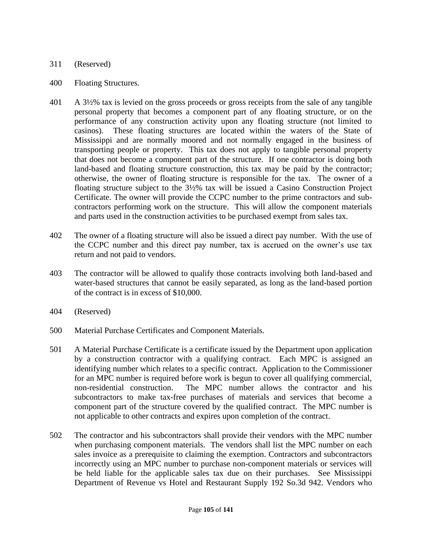### 311 (Reserved)

- 400 Floating Structures.
- 401 A 3½% tax is levied on the gross proceeds or gross receipts from the sale of any tangible personal property that becomes a component part of any floating structure, or on the performance of any construction activity upon any floating structure (not limited to casinos). These floating structures are located within the waters of the State of Mississippi and are normally moored and not normally engaged in the business of transporting people or property. This tax does not apply to tangible personal property that does not become a component part of the structure. If one contractor is doing both land-based and floating structure construction, this tax may be paid by the contractor; otherwise, the owner of floating structure is responsible for the tax. The owner of a floating structure subject to the 3½% tax will be issued a Casino Construction Project Certificate. The owner will provide the CCPC number to the prime contractors and subcontractors performing work on the structure. This will allow the component materials and parts used in the construction activities to be purchased exempt from sales tax.
- 402 The owner of a floating structure will also be issued a direct pay number. With the use of the CCPC number and this direct pay number, tax is accrued on the owner's use tax return and not paid to vendors.
- 403 The contractor will be allowed to qualify those contracts involving both land-based and water-based structures that cannot be easily separated, as long as the land-based portion of the contract is in excess of \$10,000.
- 404 (Reserved)
- 500 Material Purchase Certificates and Component Materials.
- 501 A Material Purchase Certificate is a certificate issued by the Department upon application by a construction contractor with a qualifying contract. Each MPC is assigned an identifying number which relates to a specific contract. Application to the Commissioner for an MPC number is required before work is begun to cover all qualifying commercial, non-residential construction. The MPC number allows the contractor and his subcontractors to make tax-free purchases of materials and services that become a component part of the structure covered by the qualified contract. The MPC number is not applicable to other contracts and expires upon completion of the contract.
- 502 The contractor and his subcontractors shall provide their vendors with the MPC number when purchasing component materials. The vendors shall list the MPC number on each sales invoice as a prerequisite to claiming the exemption. Contractors and subcontractors incorrectly using an MPC number to purchase non-component materials or services will be held liable for the applicable sales tax due on their purchases. See Mississippi Department of Revenue vs Hotel and Restaurant Supply 192 So.3d 942. Vendors who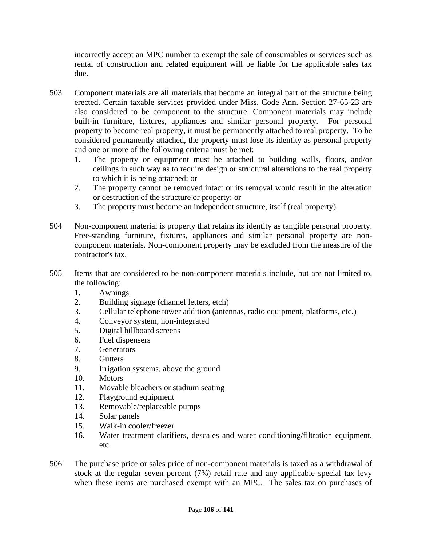incorrectly accept an MPC number to exempt the sale of consumables or services such as rental of construction and related equipment will be liable for the applicable sales tax due.

- 503 Component materials are all materials that become an integral part of the structure being erected. Certain taxable services provided under Miss. Code Ann. Section 27-65-23 are also considered to be component to the structure. Component materials may include built-in furniture, fixtures, appliances and similar personal property. For personal property to become real property, it must be permanently attached to real property. To be considered permanently attached, the property must lose its identity as personal property and one or more of the following criteria must be met:
	- 1. The property or equipment must be attached to building walls, floors, and/or ceilings in such way as to require design or structural alterations to the real property to which it is being attached; or
	- 2. The property cannot be removed intact or its removal would result in the alteration or destruction of the structure or property; or
	- 3. The property must become an independent structure, itself (real property).
- 504 Non-component material is property that retains its identity as tangible personal property. Free-standing furniture, fixtures, appliances and similar personal property are noncomponent materials. Non-component property may be excluded from the measure of the contractor's tax.
- 505 Items that are considered to be non-component materials include, but are not limited to, the following:
	- 1. Awnings
	- 2. Building signage (channel letters, etch)
	- 3. Cellular telephone tower addition (antennas, radio equipment, platforms, etc.)
	- 4. Conveyor system, non-integrated
	- 5. Digital billboard screens
	- 6. Fuel dispensers
	- 7. Generators
	- 8. Gutters
	- 9. Irrigation systems, above the ground
	- 10. Motors
	- 11. Movable bleachers or stadium seating
	- 12. Playground equipment
	- 13. Removable/replaceable pumps
	- 14. Solar panels
	- 15. Walk-in cooler/freezer
	- 16. Water treatment clarifiers, descales and water conditioning/filtration equipment, etc.
- 506 The purchase price or sales price of non-component materials is taxed as a withdrawal of stock at the regular seven percent (7%) retail rate and any applicable special tax levy when these items are purchased exempt with an MPC. The sales tax on purchases of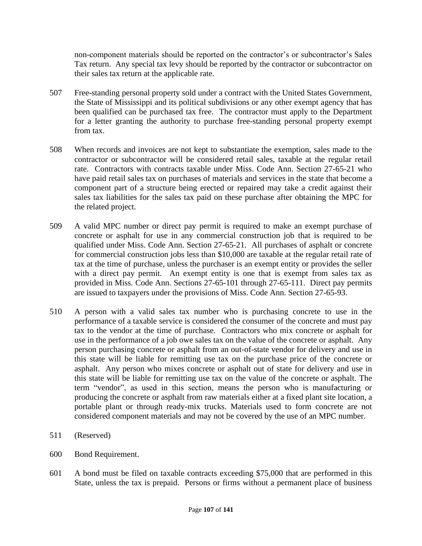non-component materials should be reported on the contractor's or subcontractor's Sales Tax return. Any special tax levy should be reported by the contractor or subcontractor on their sales tax return at the applicable rate.

- 507 Free-standing personal property sold under a contract with the United States Government, the State of Mississippi and its political subdivisions or any other exempt agency that has been qualified can be purchased tax free. The contractor must apply to the Department for a letter granting the authority to purchase free-standing personal property exempt from tax.
- 508 When records and invoices are not kept to substantiate the exemption, sales made to the contractor or subcontractor will be considered retail sales, taxable at the regular retail rate. Contractors with contracts taxable under Miss. Code Ann. Section 27-65-21 who have paid retail sales tax on purchases of materials and services in the state that become a component part of a structure being erected or repaired may take a credit against their sales tax liabilities for the sales tax paid on these purchase after obtaining the MPC for the related project.
- 509 A valid MPC number or direct pay permit is required to make an exempt purchase of concrete or asphalt for use in any commercial construction job that is required to be qualified under Miss. Code Ann. Section 27-65-21. All purchases of asphalt or concrete for commercial construction jobs less than \$10,000 are taxable at the regular retail rate of tax at the time of purchase, unless the purchaser is an exempt entity or provides the seller with a direct pay permit. An exempt entity is one that is exempt from sales tax as provided in Miss. Code Ann. Sections 27-65-101 through 27-65-111. Direct pay permits are issued to taxpayers under the provisions of Miss. Code Ann. Section 27-65-93.
- 510 A person with a valid sales tax number who is purchasing concrete to use in the performance of a taxable service is considered the consumer of the concrete and must pay tax to the vendor at the time of purchase. Contractors who mix concrete or asphalt for use in the performance of a job owe sales tax on the value of the concrete or asphalt. Any person purchasing concrete or asphalt from an out-of-state vendor for delivery and use in this state will be liable for remitting use tax on the purchase price of the concrete or asphalt. Any person who mixes concrete or asphalt out of state for delivery and use in this state will be liable for remitting use tax on the value of the concrete or asphalt. The term "vendor", as used in this section, means the person who is manufacturing or producing the concrete or asphalt from raw materials either at a fixed plant site location, a portable plant or through ready-mix trucks. Materials used to form concrete are not considered component materials and may not be covered by the use of an MPC number.
- 511 (Reserved)
- 600 Bond Requirement.
- 601 A bond must be filed on taxable contracts exceeding \$75,000 that are performed in this State, unless the tax is prepaid. Persons or firms without a permanent place of business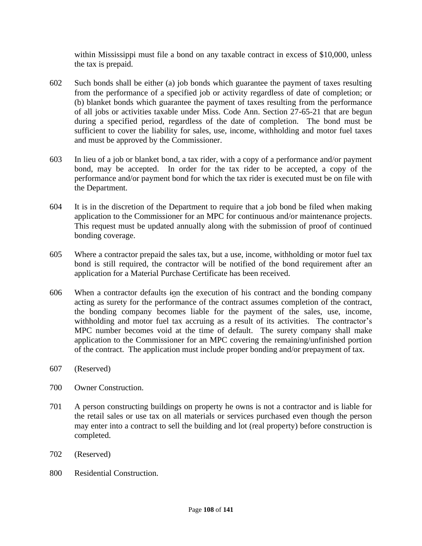within Mississippi must file a bond on any taxable contract in excess of \$10,000, unless the tax is prepaid.

- 602 Such bonds shall be either (a) job bonds which guarantee the payment of taxes resulting from the performance of a specified job or activity regardless of date of completion; or (b) blanket bonds which guarantee the payment of taxes resulting from the performance of all jobs or activities taxable under Miss. Code Ann. Section 27-65-21 that are begun during a specified period, regardless of the date of completion. The bond must be sufficient to cover the liability for sales, use, income, withholding and motor fuel taxes and must be approved by the Commissioner.
- 603 In lieu of a job or blanket bond, a tax rider, with a copy of a performance and/or payment bond, may be accepted. In order for the tax rider to be accepted, a copy of the performance and/or payment bond for which the tax rider is executed must be on file with the Department.
- 604 It is in the discretion of the Department to require that a job bond be filed when making application to the Commissioner for an MPC for continuous and/or maintenance projects. This request must be updated annually along with the submission of proof of continued bonding coverage.
- 605 Where a contractor prepaid the sales tax, but a use, income, withholding or motor fuel tax bond is still required, the contractor will be notified of the bond requirement after an application for a Material Purchase Certificate has been received.
- 606 When a contractor defaults ion the execution of his contract and the bonding company acting as surety for the performance of the contract assumes completion of the contract, the bonding company becomes liable for the payment of the sales, use, income, withholding and motor fuel tax accruing as a result of its activities. The contractor's MPC number becomes void at the time of default. The surety company shall make application to the Commissioner for an MPC covering the remaining/unfinished portion of the contract. The application must include proper bonding and/or prepayment of tax.
- 607 (Reserved)
- 700 Owner Construction.
- 701 A person constructing buildings on property he owns is not a contractor and is liable for the retail sales or use tax on all materials or services purchased even though the person may enter into a contract to sell the building and lot (real property) before construction is completed.
- 702 (Reserved)
- 800 Residential Construction.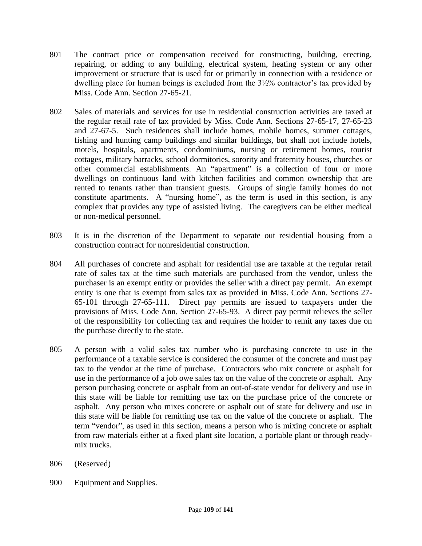- 801 The contract price or compensation received for constructing, building, erecting, repairing, or adding to any building, electrical system, heating system or any other improvement or structure that is used for or primarily in connection with a residence or dwelling place for human beings is excluded from the 3½% contractor's tax provided by Miss. Code Ann. Section 27-65-21.
- 802 Sales of materials and services for use in residential construction activities are taxed at the regular retail rate of tax provided by Miss. Code Ann. Sections 27-65-17, 27-65-23 and 27-67-5. Such residences shall include homes, mobile homes, summer cottages, fishing and hunting camp buildings and similar buildings, but shall not include hotels, motels, hospitals, apartments, condominiums, nursing or retirement homes, tourist cottages, military barracks, school dormitories, sorority and fraternity houses, churches or other commercial establishments. An "apartment" is a collection of four or more dwellings on continuous land with kitchen facilities and common ownership that are rented to tenants rather than transient guests. Groups of single family homes do not constitute apartments. A "nursing home", as the term is used in this section, is any complex that provides any type of assisted living. The caregivers can be either medical or non-medical personnel.
- 803 It is in the discretion of the Department to separate out residential housing from a construction contract for nonresidential construction.
- 804 All purchases of concrete and asphalt for residential use are taxable at the regular retail rate of sales tax at the time such materials are purchased from the vendor, unless the purchaser is an exempt entity or provides the seller with a direct pay permit. An exempt entity is one that is exempt from sales tax as provided in Miss. Code Ann. Sections 27- 65-101 through 27-65-111. Direct pay permits are issued to taxpayers under the provisions of Miss. Code Ann. Section 27-65-93. A direct pay permit relieves the seller of the responsibility for collecting tax and requires the holder to remit any taxes due on the purchase directly to the state.
- 805 A person with a valid sales tax number who is purchasing concrete to use in the performance of a taxable service is considered the consumer of the concrete and must pay tax to the vendor at the time of purchase. Contractors who mix concrete or asphalt for use in the performance of a job owe sales tax on the value of the concrete or asphalt. Any person purchasing concrete or asphalt from an out-of-state vendor for delivery and use in this state will be liable for remitting use tax on the purchase price of the concrete or asphalt. Any person who mixes concrete or asphalt out of state for delivery and use in this state will be liable for remitting use tax on the value of the concrete or asphalt. The term "vendor", as used in this section, means a person who is mixing concrete or asphalt from raw materials either at a fixed plant site location, a portable plant or through readymix trucks.
- 806 (Reserved)
- 900 Equipment and Supplies.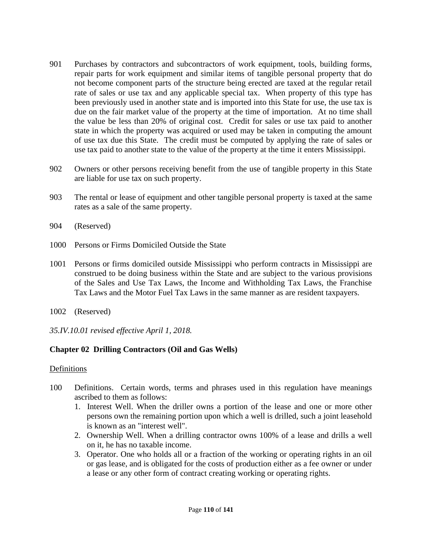- 901 Purchases by contractors and subcontractors of work equipment, tools, building forms, repair parts for work equipment and similar items of tangible personal property that do not become component parts of the structure being erected are taxed at the regular retail rate of sales or use tax and any applicable special tax. When property of this type has been previously used in another state and is imported into this State for use, the use tax is due on the fair market value of the property at the time of importation. At no time shall the value be less than 20% of original cost. Credit for sales or use tax paid to another state in which the property was acquired or used may be taken in computing the amount of use tax due this State. The credit must be computed by applying the rate of sales or use tax paid to another state to the value of the property at the time it enters Mississippi.
- 902 Owners or other persons receiving benefit from the use of tangible property in this State are liable for use tax on such property.
- 903 The rental or lease of equipment and other tangible personal property is taxed at the same rates as a sale of the same property.
- 904 (Reserved)
- 1000 Persons or Firms Domiciled Outside the State
- 1001 Persons or firms domiciled outside Mississippi who perform contracts in Mississippi are construed to be doing business within the State and are subject to the various provisions of the Sales and Use Tax Laws, the Income and Withholding Tax Laws, the Franchise Tax Laws and the Motor Fuel Tax Laws in the same manner as are resident taxpayers.
- 1002 (Reserved)
- *35.IV.10.01 revised effective April 1, 2018.*

# **Chapter 02 Drilling Contractors (Oil and Gas Wells)**

### Definitions

- 100 Definitions. Certain words, terms and phrases used in this regulation have meanings ascribed to them as follows:
	- 1. Interest Well. When the driller owns a portion of the lease and one or more other persons own the remaining portion upon which a well is drilled, such a joint leasehold is known as an "interest well".
	- 2. Ownership Well. When a drilling contractor owns 100% of a lease and drills a well on it, he has no taxable income.
	- 3. Operator. One who holds all or a fraction of the working or operating rights in an oil or gas lease, and is obligated for the costs of production either as a fee owner or under a lease or any other form of contract creating working or operating rights.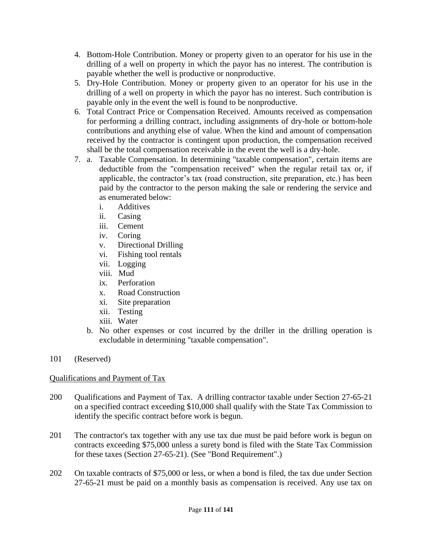- 4. Bottom-Hole Contribution. Money or property given to an operator for his use in the drilling of a well on property in which the payor has no interest. The contribution is payable whether the well is productive or nonproductive.
- 5. Dry-Hole Contribution. Money or property given to an operator for his use in the drilling of a well on property in which the payor has no interest. Such contribution is payable only in the event the well is found to be nonproductive.
- 6. Total Contract Price or Compensation Received. Amounts received as compensation for performing a drilling contract, including assignments of dry-hole or bottom-hole contributions and anything else of value. When the kind and amount of compensation received by the contractor is contingent upon production, the compensation received shall be the total compensation receivable in the event the well is a dry-hole.
- 7. a. Taxable Compensation. In determining "taxable compensation", certain items are deductible from the "compensation received" when the regular retail tax or, if applicable, the contractor's tax (road construction, site preparation, etc.) has been paid by the contractor to the person making the sale or rendering the service and as enumerated below:
	- i. Additives
	- ii. Casing
	- iii. Cement
	- iv. Coring
	- v. Directional Drilling
	- vi. Fishing tool rentals
	- vii. Logging
	- viii. Mud
	- ix. Perforation
	- x. Road Construction
	- xi. Site preparation
	- xii. Testing
	- xiii. Water
	- b. No other expenses or cost incurred by the driller in the drilling operation is excludable in determining "taxable compensation".

101 (Reserved)

# Qualifications and Payment of Tax

- 200 Qualifications and Payment of Tax. A drilling contractor taxable under Section 27-65-21 on a specified contract exceeding \$10,000 shall qualify with the State Tax Commission to identify the specific contract before work is begun.
- 201 The contractor's tax together with any use tax due must be paid before work is begun on contracts exceeding \$75,000 unless a surety bond is filed with the State Tax Commission for these taxes (Section 27-65-21). (See "Bond Requirement".)
- 202 On taxable contracts of \$75,000 or less, or when a bond is filed, the tax due under Section 27-65-21 must be paid on a monthly basis as compensation is received. Any use tax on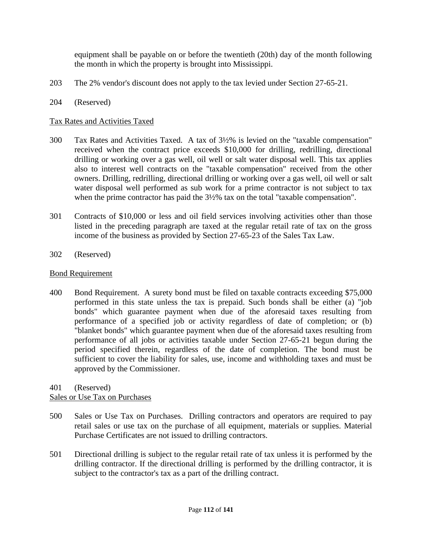equipment shall be payable on or before the twentieth (20th) day of the month following the month in which the property is brought into Mississippi.

- 203 The 2% vendor's discount does not apply to the tax levied under Section 27-65-21.
- 204 (Reserved)

### Tax Rates and Activities Taxed

- 300 Tax Rates and Activities Taxed. A tax of 3½% is levied on the "taxable compensation" received when the contract price exceeds \$10,000 for drilling, redrilling, directional drilling or working over a gas well, oil well or salt water disposal well. This tax applies also to interest well contracts on the "taxable compensation" received from the other owners. Drilling, redrilling, directional drilling or working over a gas well, oil well or salt water disposal well performed as sub work for a prime contractor is not subject to tax when the prime contractor has paid the  $3\frac{1}{2}\%$  tax on the total "taxable compensation".
- 301 Contracts of \$10,000 or less and oil field services involving activities other than those listed in the preceding paragraph are taxed at the regular retail rate of tax on the gross income of the business as provided by Section 27-65-23 of the Sales Tax Law.
- 302 (Reserved)

#### Bond Requirement

400 Bond Requirement. A surety bond must be filed on taxable contracts exceeding \$75,000 performed in this state unless the tax is prepaid. Such bonds shall be either (a) "job bonds" which guarantee payment when due of the aforesaid taxes resulting from performance of a specified job or activity regardless of date of completion; or (b) "blanket bonds" which guarantee payment when due of the aforesaid taxes resulting from performance of all jobs or activities taxable under Section 27-65-21 begun during the period specified therein, regardless of the date of completion. The bond must be sufficient to cover the liability for sales, use, income and withholding taxes and must be approved by the Commissioner.

401 (Reserved)

### Sales or Use Tax on Purchases

- 500 Sales or Use Tax on Purchases. Drilling contractors and operators are required to pay retail sales or use tax on the purchase of all equipment, materials or supplies. Material Purchase Certificates are not issued to drilling contractors.
- 501 Directional drilling is subject to the regular retail rate of tax unless it is performed by the drilling contractor. If the directional drilling is performed by the drilling contractor, it is subject to the contractor's tax as a part of the drilling contract.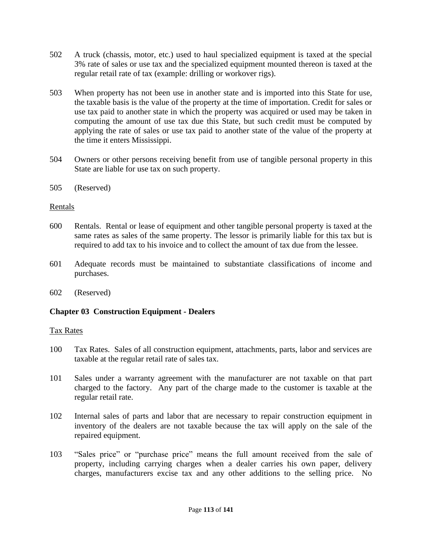- 502 A truck (chassis, motor, etc.) used to haul specialized equipment is taxed at the special 3% rate of sales or use tax and the specialized equipment mounted thereon is taxed at the regular retail rate of tax (example: drilling or workover rigs).
- 503 When property has not been use in another state and is imported into this State for use, the taxable basis is the value of the property at the time of importation. Credit for sales or use tax paid to another state in which the property was acquired or used may be taken in computing the amount of use tax due this State, but such credit must be computed by applying the rate of sales or use tax paid to another state of the value of the property at the time it enters Mississippi.
- 504 Owners or other persons receiving benefit from use of tangible personal property in this State are liable for use tax on such property.
- 505 (Reserved)

# Rentals

- 600 Rentals. Rental or lease of equipment and other tangible personal property is taxed at the same rates as sales of the same property. The lessor is primarily liable for this tax but is required to add tax to his invoice and to collect the amount of tax due from the lessee.
- 601 Adequate records must be maintained to substantiate classifications of income and purchases.
- 602 (Reserved)

# **Chapter 03 Construction Equipment - Dealers**

### Tax Rates

- 100 Tax Rates. Sales of all construction equipment, attachments, parts, labor and services are taxable at the regular retail rate of sales tax.
- 101 Sales under a warranty agreement with the manufacturer are not taxable on that part charged to the factory. Any part of the charge made to the customer is taxable at the regular retail rate.
- 102 Internal sales of parts and labor that are necessary to repair construction equipment in inventory of the dealers are not taxable because the tax will apply on the sale of the repaired equipment.
- 103 "Sales price" or "purchase price" means the full amount received from the sale of property, including carrying charges when a dealer carries his own paper, delivery charges, manufacturers excise tax and any other additions to the selling price. No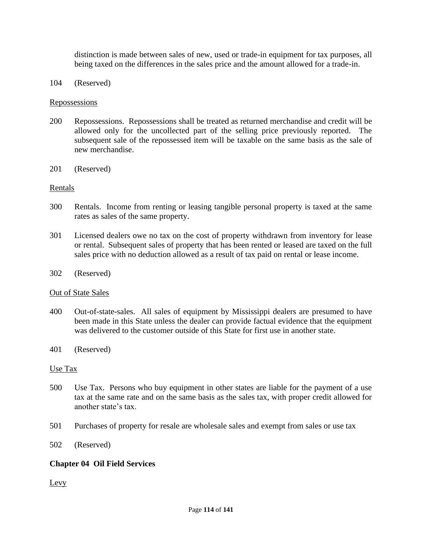distinction is made between sales of new, used or trade-in equipment for tax purposes, all being taxed on the differences in the sales price and the amount allowed for a trade-in.

104 (Reserved)

#### **Repossessions**

- 200 Repossessions. Repossessions shall be treated as returned merchandise and credit will be allowed only for the uncollected part of the selling price previously reported. The subsequent sale of the repossessed item will be taxable on the same basis as the sale of new merchandise.
- 201 (Reserved)

#### Rentals

- 300 Rentals. Income from renting or leasing tangible personal property is taxed at the same rates as sales of the same property.
- 301 Licensed dealers owe no tax on the cost of property withdrawn from inventory for lease or rental. Subsequent sales of property that has been rented or leased are taxed on the full sales price with no deduction allowed as a result of tax paid on rental or lease income.
- 302 (Reserved)

#### Out of State Sales

- 400 Out-of-state-sales. All sales of equipment by Mississippi dealers are presumed to have been made in this State unless the dealer can provide factual evidence that the equipment was delivered to the customer outside of this State for first use in another state.
- 401 (Reserved)

#### Use Tax

- 500 Use Tax. Persons who buy equipment in other states are liable for the payment of a use tax at the same rate and on the same basis as the sales tax, with proper credit allowed for another state's tax.
- 501 Purchases of property for resale are wholesale sales and exempt from sales or use tax
- 502 (Reserved)

### **Chapter 04 Oil Field Services**

Levy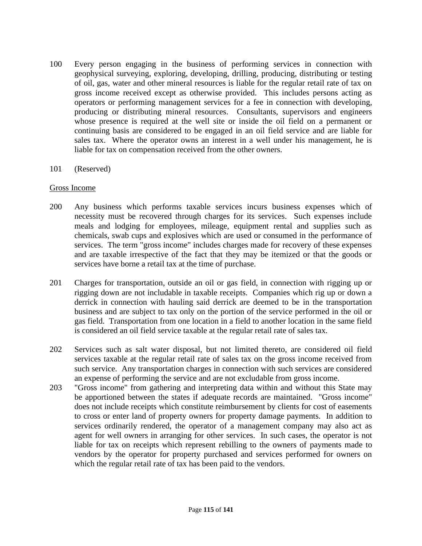- 100 Every person engaging in the business of performing services in connection with geophysical surveying, exploring, developing, drilling, producing, distributing or testing of oil, gas, water and other mineral resources is liable for the regular retail rate of tax on gross income received except as otherwise provided. This includes persons acting as operators or performing management services for a fee in connection with developing, producing or distributing mineral resources. Consultants, supervisors and engineers whose presence is required at the well site or inside the oil field on a permanent or continuing basis are considered to be engaged in an oil field service and are liable for sales tax. Where the operator owns an interest in a well under his management, he is liable for tax on compensation received from the other owners.
- 101 (Reserved)

#### Gross Income

- 200 Any business which performs taxable services incurs business expenses which of necessity must be recovered through charges for its services. Such expenses include meals and lodging for employees, mileage, equipment rental and supplies such as chemicals, swab cups and explosives which are used or consumed in the performance of services. The term "gross income" includes charges made for recovery of these expenses and are taxable irrespective of the fact that they may be itemized or that the goods or services have borne a retail tax at the time of purchase.
- 201 Charges for transportation, outside an oil or gas field, in connection with rigging up or rigging down are not includable in taxable receipts. Companies which rig up or down a derrick in connection with hauling said derrick are deemed to be in the transportation business and are subject to tax only on the portion of the service performed in the oil or gas field. Transportation from one location in a field to another location in the same field is considered an oil field service taxable at the regular retail rate of sales tax.
- 202 Services such as salt water disposal, but not limited thereto, are considered oil field services taxable at the regular retail rate of sales tax on the gross income received from such service. Any transportation charges in connection with such services are considered an expense of performing the service and are not excludable from gross income.
- 203 "Gross income" from gathering and interpreting data within and without this State may be apportioned between the states if adequate records are maintained. "Gross income" does not include receipts which constitute reimbursement by clients for cost of easements to cross or enter land of property owners for property damage payments. In addition to services ordinarily rendered, the operator of a management company may also act as agent for well owners in arranging for other services. In such cases, the operator is not liable for tax on receipts which represent rebilling to the owners of payments made to vendors by the operator for property purchased and services performed for owners on which the regular retail rate of tax has been paid to the vendors.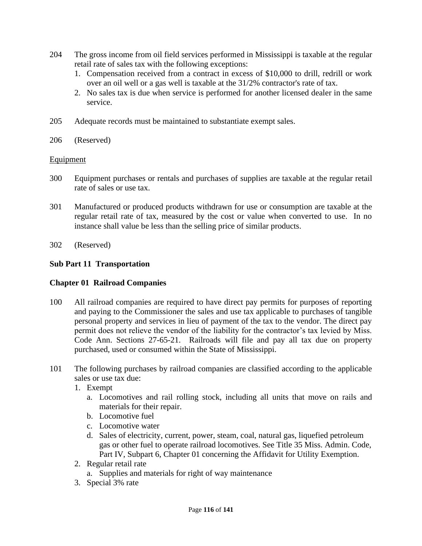- 204 The gross income from oil field services performed in Mississippi is taxable at the regular retail rate of sales tax with the following exceptions:
	- 1. Compensation received from a contract in excess of \$10,000 to drill, redrill or work over an oil well or a gas well is taxable at the 31/2% contractor's rate of tax.
	- 2. No sales tax is due when service is performed for another licensed dealer in the same service.
- 205 Adequate records must be maintained to substantiate exempt sales.
- 206 (Reserved)

# Equipment

- 300 Equipment purchases or rentals and purchases of supplies are taxable at the regular retail rate of sales or use tax.
- 301 Manufactured or produced products withdrawn for use or consumption are taxable at the regular retail rate of tax, measured by the cost or value when converted to use. In no instance shall value be less than the selling price of similar products.
- 302 (Reserved)

# **Sub Part 11 Transportation**

# **Chapter 01 Railroad Companies**

- 100 All railroad companies are required to have direct pay permits for purposes of reporting and paying to the Commissioner the sales and use tax applicable to purchases of tangible personal property and services in lieu of payment of the tax to the vendor. The direct pay permit does not relieve the vendor of the liability for the contractor's tax levied by Miss. Code Ann. Sections 27-65-21. Railroads will file and pay all tax due on property purchased, used or consumed within the State of Mississippi.
- 101 The following purchases by railroad companies are classified according to the applicable sales or use tax due:
	- 1. Exempt
		- a. Locomotives and rail rolling stock, including all units that move on rails and materials for their repair.
		- b. Locomotive fuel
		- c. Locomotive water
		- d. Sales of electricity, current, power, steam, coal, natural gas, liquefied petroleum gas or other fuel to operate railroad locomotives. See Title 35 Miss. Admin. Code, Part IV, Subpart 6, Chapter 01 concerning the Affidavit for Utility Exemption.
	- 2. Regular retail rate
		- a. Supplies and materials for right of way maintenance
	- 3. Special 3% rate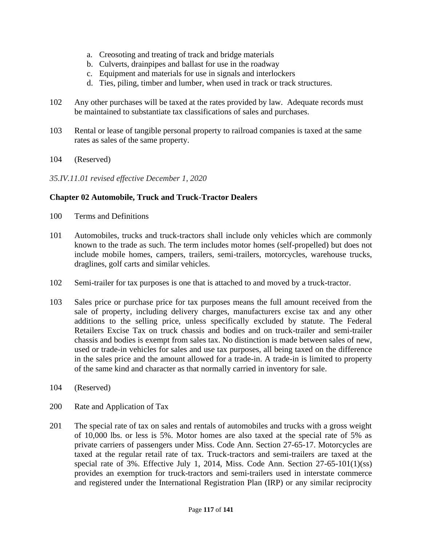- a. Creosoting and treating of track and bridge materials
- b. Culverts, drainpipes and ballast for use in the roadway
- c. Equipment and materials for use in signals and interlockers
- d. Ties, piling, timber and lumber, when used in track or track structures.
- 102 Any other purchases will be taxed at the rates provided by law. Adequate records must be maintained to substantiate tax classifications of sales and purchases.
- 103 Rental or lease of tangible personal property to railroad companies is taxed at the same rates as sales of the same property.
- 104 (Reserved)

*35.IV.11.01 revised effective December 1, 2020*

# **Chapter 02 Automobile, Truck and Truck-Tractor Dealers**

- 100 Terms and Definitions
- 101 Automobiles, trucks and truck-tractors shall include only vehicles which are commonly known to the trade as such. The term includes motor homes (self-propelled) but does not include mobile homes, campers, trailers, semi-trailers, motorcycles, warehouse trucks, draglines, golf carts and similar vehicles.
- 102 Semi-trailer for tax purposes is one that is attached to and moved by a truck-tractor.
- 103 Sales price or purchase price for tax purposes means the full amount received from the sale of property, including delivery charges, manufacturers excise tax and any other additions to the selling price, unless specifically excluded by statute. The Federal Retailers Excise Tax on truck chassis and bodies and on truck-trailer and semi-trailer chassis and bodies is exempt from sales tax. No distinction is made between sales of new, used or trade-in vehicles for sales and use tax purposes, all being taxed on the difference in the sales price and the amount allowed for a trade-in. A trade-in is limited to property of the same kind and character as that normally carried in inventory for sale.
- 104 (Reserved)
- 200 Rate and Application of Tax
- 201 The special rate of tax on sales and rentals of automobiles and trucks with a gross weight of 10,000 lbs. or less is 5%. Motor homes are also taxed at the special rate of 5% as private carriers of passengers under Miss. Code Ann. Section 27-65-17. Motorcycles are taxed at the regular retail rate of tax. Truck-tractors and semi-trailers are taxed at the special rate of 3%. Effective July 1, 2014, Miss. Code Ann. Section 27-65-101(1)(ss) provides an exemption for truck-tractors and semi-trailers used in interstate commerce and registered under the International Registration Plan (IRP) or any similar reciprocity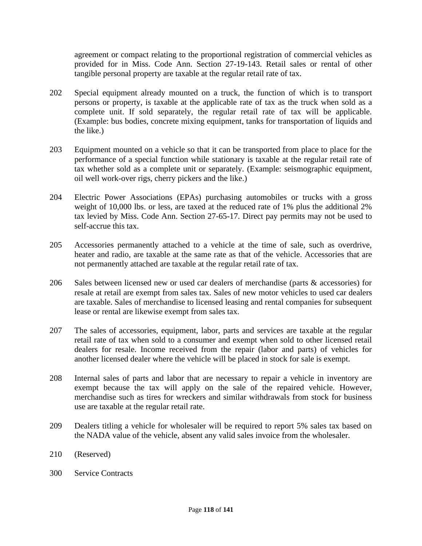agreement or compact relating to the proportional registration of commercial vehicles as provided for in Miss. Code Ann. Section 27-19-143. Retail sales or rental of other tangible personal property are taxable at the regular retail rate of tax.

- 202 Special equipment already mounted on a truck, the function of which is to transport persons or property, is taxable at the applicable rate of tax as the truck when sold as a complete unit. If sold separately, the regular retail rate of tax will be applicable. (Example: bus bodies, concrete mixing equipment, tanks for transportation of liquids and the like.)
- 203 Equipment mounted on a vehicle so that it can be transported from place to place for the performance of a special function while stationary is taxable at the regular retail rate of tax whether sold as a complete unit or separately. (Example: seismographic equipment, oil well work-over rigs, cherry pickers and the like.)
- 204 Electric Power Associations (EPAs) purchasing automobiles or trucks with a gross weight of 10,000 lbs. or less, are taxed at the reduced rate of 1% plus the additional 2% tax levied by Miss. Code Ann. Section 27-65-17. Direct pay permits may not be used to self-accrue this tax.
- 205 Accessories permanently attached to a vehicle at the time of sale, such as overdrive, heater and radio, are taxable at the same rate as that of the vehicle. Accessories that are not permanently attached are taxable at the regular retail rate of tax.
- 206 Sales between licensed new or used car dealers of merchandise (parts & accessories) for resale at retail are exempt from sales tax. Sales of new motor vehicles to used car dealers are taxable. Sales of merchandise to licensed leasing and rental companies for subsequent lease or rental are likewise exempt from sales tax.
- 207 The sales of accessories, equipment, labor, parts and services are taxable at the regular retail rate of tax when sold to a consumer and exempt when sold to other licensed retail dealers for resale. Income received from the repair (labor and parts) of vehicles for another licensed dealer where the vehicle will be placed in stock for sale is exempt.
- 208 Internal sales of parts and labor that are necessary to repair a vehicle in inventory are exempt because the tax will apply on the sale of the repaired vehicle. However, merchandise such as tires for wreckers and similar withdrawals from stock for business use are taxable at the regular retail rate.
- 209 Dealers titling a vehicle for wholesaler will be required to report 5% sales tax based on the NADA value of the vehicle, absent any valid sales invoice from the wholesaler.
- 210 (Reserved)
- 300 Service Contracts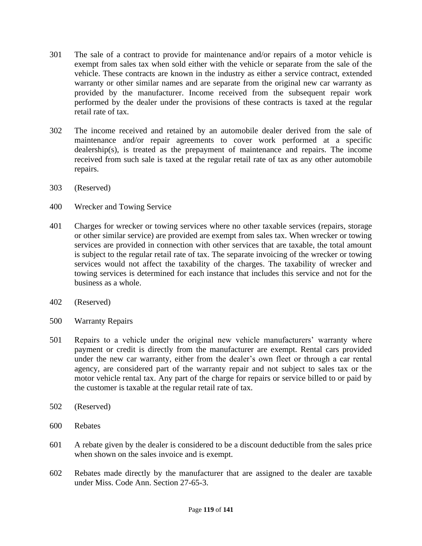- 301 The sale of a contract to provide for maintenance and/or repairs of a motor vehicle is exempt from sales tax when sold either with the vehicle or separate from the sale of the vehicle. These contracts are known in the industry as either a service contract, extended warranty or other similar names and are separate from the original new car warranty as provided by the manufacturer. Income received from the subsequent repair work performed by the dealer under the provisions of these contracts is taxed at the regular retail rate of tax.
- 302 The income received and retained by an automobile dealer derived from the sale of maintenance and/or repair agreements to cover work performed at a specific dealership(s), is treated as the prepayment of maintenance and repairs. The income received from such sale is taxed at the regular retail rate of tax as any other automobile repairs.
- 303 (Reserved)
- 400 Wrecker and Towing Service
- 401 Charges for wrecker or towing services where no other taxable services (repairs, storage or other similar service) are provided are exempt from sales tax. When wrecker or towing services are provided in connection with other services that are taxable, the total amount is subject to the regular retail rate of tax. The separate invoicing of the wrecker or towing services would not affect the taxability of the charges. The taxability of wrecker and towing services is determined for each instance that includes this service and not for the business as a whole.
- 402 (Reserved)
- 500 Warranty Repairs
- 501 Repairs to a vehicle under the original new vehicle manufacturers' warranty where payment or credit is directly from the manufacturer are exempt. Rental cars provided under the new car warranty, either from the dealer's own fleet or through a car rental agency, are considered part of the warranty repair and not subject to sales tax or the motor vehicle rental tax. Any part of the charge for repairs or service billed to or paid by the customer is taxable at the regular retail rate of tax.
- 502 (Reserved)
- 600 Rebates
- 601 A rebate given by the dealer is considered to be a discount deductible from the sales price when shown on the sales invoice and is exempt.
- 602 Rebates made directly by the manufacturer that are assigned to the dealer are taxable under Miss. Code Ann. Section 27-65-3.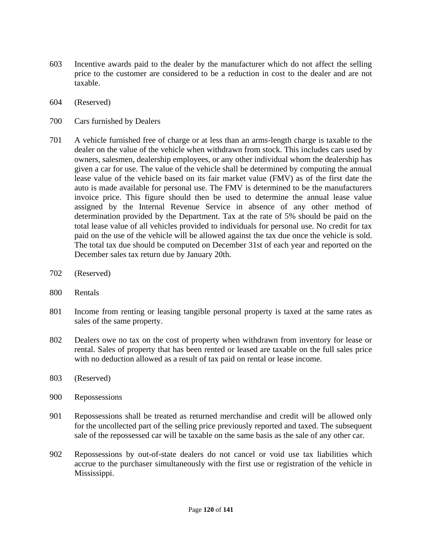- 603 Incentive awards paid to the dealer by the manufacturer which do not affect the selling price to the customer are considered to be a reduction in cost to the dealer and are not taxable.
- 604 (Reserved)
- 700 Cars furnished by Dealers
- 701 A vehicle furnished free of charge or at less than an arms-length charge is taxable to the dealer on the value of the vehicle when withdrawn from stock. This includes cars used by owners, salesmen, dealership employees, or any other individual whom the dealership has given a car for use. The value of the vehicle shall be determined by computing the annual lease value of the vehicle based on its fair market value (FMV) as of the first date the auto is made available for personal use. The FMV is determined to be the manufacturers invoice price. This figure should then be used to determine the annual lease value assigned by the Internal Revenue Service in absence of any other method of determination provided by the Department. Tax at the rate of 5% should be paid on the total lease value of all vehicles provided to individuals for personal use. No credit for tax paid on the use of the vehicle will be allowed against the tax due once the vehicle is sold. The total tax due should be computed on December 31st of each year and reported on the December sales tax return due by January 20th.
- 702 (Reserved)
- 800 Rentals
- 801 Income from renting or leasing tangible personal property is taxed at the same rates as sales of the same property.
- 802 Dealers owe no tax on the cost of property when withdrawn from inventory for lease or rental. Sales of property that has been rented or leased are taxable on the full sales price with no deduction allowed as a result of tax paid on rental or lease income.
- 803 (Reserved)
- 900 Repossessions
- 901 Repossessions shall be treated as returned merchandise and credit will be allowed only for the uncollected part of the selling price previously reported and taxed. The subsequent sale of the repossessed car will be taxable on the same basis as the sale of any other car.
- 902 Repossessions by out-of-state dealers do not cancel or void use tax liabilities which accrue to the purchaser simultaneously with the first use or registration of the vehicle in Mississippi.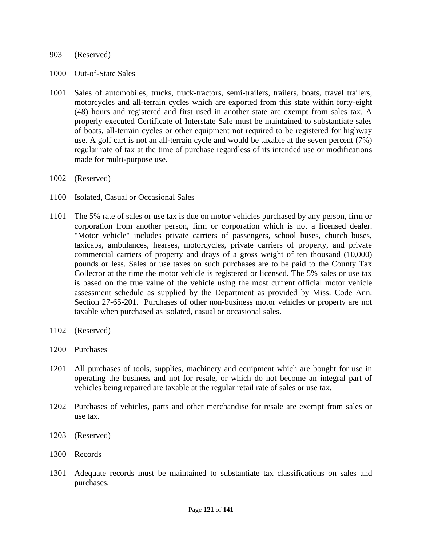#### 903 (Reserved)

- 1000 Out-of-State Sales
- 1001 Sales of automobiles, trucks, truck-tractors, semi-trailers, trailers, boats, travel trailers, motorcycles and all-terrain cycles which are exported from this state within forty-eight (48) hours and registered and first used in another state are exempt from sales tax. A properly executed Certificate of Interstate Sale must be maintained to substantiate sales of boats, all-terrain cycles or other equipment not required to be registered for highway use. A golf cart is not an all-terrain cycle and would be taxable at the seven percent (7%) regular rate of tax at the time of purchase regardless of its intended use or modifications made for multi-purpose use.
- 1002 (Reserved)
- 1100 Isolated, Casual or Occasional Sales
- 1101 The 5% rate of sales or use tax is due on motor vehicles purchased by any person, firm or corporation from another person, firm or corporation which is not a licensed dealer. "Motor vehicle" includes private carriers of passengers, school buses, church buses, taxicabs, ambulances, hearses, motorcycles, private carriers of property, and private commercial carriers of property and drays of a gross weight of ten thousand (10,000) pounds or less. Sales or use taxes on such purchases are to be paid to the County Tax Collector at the time the motor vehicle is registered or licensed. The 5% sales or use tax is based on the true value of the vehicle using the most current official motor vehicle assessment schedule as supplied by the Department as provided by Miss. Code Ann. Section 27-65-201. Purchases of other non-business motor vehicles or property are not taxable when purchased as isolated, casual or occasional sales.
- 1102 (Reserved)
- 1200 Purchases
- 1201 All purchases of tools, supplies, machinery and equipment which are bought for use in operating the business and not for resale, or which do not become an integral part of vehicles being repaired are taxable at the regular retail rate of sales or use tax.
- 1202 Purchases of vehicles, parts and other merchandise for resale are exempt from sales or use tax.
- 1203 (Reserved)
- 1300 Records
- 1301 Adequate records must be maintained to substantiate tax classifications on sales and purchases.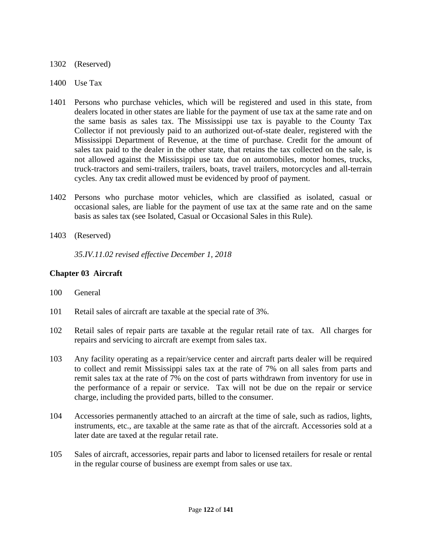## 1302 (Reserved)

- 1400 Use Tax
- 1401 Persons who purchase vehicles, which will be registered and used in this state, from dealers located in other states are liable for the payment of use tax at the same rate and on the same basis as sales tax. The Mississippi use tax is payable to the County Tax Collector if not previously paid to an authorized out-of-state dealer, registered with the Mississippi Department of Revenue, at the time of purchase. Credit for the amount of sales tax paid to the dealer in the other state, that retains the tax collected on the sale, is not allowed against the Mississippi use tax due on automobiles, motor homes, trucks, truck-tractors and semi-trailers, trailers, boats, travel trailers, motorcycles and all-terrain cycles. Any tax credit allowed must be evidenced by proof of payment.
- 1402 Persons who purchase motor vehicles, which are classified as isolated, casual or occasional sales, are liable for the payment of use tax at the same rate and on the same basis as sales tax (see Isolated, Casual or Occasional Sales in this Rule).
- 1403 (Reserved)

*35.IV.11.02 revised effective December 1, 2018*

# **Chapter 03 Aircraft**

- 100 General
- 101 Retail sales of aircraft are taxable at the special rate of 3%.
- 102 Retail sales of repair parts are taxable at the regular retail rate of tax. All charges for repairs and servicing to aircraft are exempt from sales tax.
- 103 Any facility operating as a repair/service center and aircraft parts dealer will be required to collect and remit Mississippi sales tax at the rate of 7% on all sales from parts and remit sales tax at the rate of 7% on the cost of parts withdrawn from inventory for use in the performance of a repair or service. Tax will not be due on the repair or service charge, including the provided parts, billed to the consumer.
- 104 Accessories permanently attached to an aircraft at the time of sale, such as radios, lights, instruments, etc., are taxable at the same rate as that of the aircraft. Accessories sold at a later date are taxed at the regular retail rate.
- 105 Sales of aircraft, accessories, repair parts and labor to licensed retailers for resale or rental in the regular course of business are exempt from sales or use tax.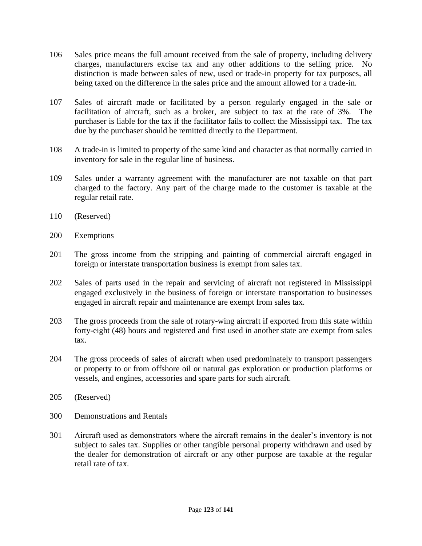- 106 Sales price means the full amount received from the sale of property, including delivery charges, manufacturers excise tax and any other additions to the selling price. No distinction is made between sales of new, used or trade-in property for tax purposes, all being taxed on the difference in the sales price and the amount allowed for a trade-in.
- 107 Sales of aircraft made or facilitated by a person regularly engaged in the sale or facilitation of aircraft, such as a broker, are subject to tax at the rate of 3%. The purchaser is liable for the tax if the facilitator fails to collect the Mississippi tax. The tax due by the purchaser should be remitted directly to the Department.
- 108 A trade-in is limited to property of the same kind and character as that normally carried in inventory for sale in the regular line of business.
- 109 Sales under a warranty agreement with the manufacturer are not taxable on that part charged to the factory. Any part of the charge made to the customer is taxable at the regular retail rate.
- 110 (Reserved)
- 200 Exemptions
- 201 The gross income from the stripping and painting of commercial aircraft engaged in foreign or interstate transportation business is exempt from sales tax.
- 202 Sales of parts used in the repair and servicing of aircraft not registered in Mississippi engaged exclusively in the business of foreign or interstate transportation to businesses engaged in aircraft repair and maintenance are exempt from sales tax.
- 203 The gross proceeds from the sale of rotary-wing aircraft if exported from this state within forty-eight (48) hours and registered and first used in another state are exempt from sales tax.
- 204 The gross proceeds of sales of aircraft when used predominately to transport passengers or property to or from offshore oil or natural gas exploration or production platforms or vessels, and engines, accessories and spare parts for such aircraft.
- 205 (Reserved)
- 300 Demonstrations and Rentals
- 301 Aircraft used as demonstrators where the aircraft remains in the dealer's inventory is not subject to sales tax. Supplies or other tangible personal property withdrawn and used by the dealer for demonstration of aircraft or any other purpose are taxable at the regular retail rate of tax.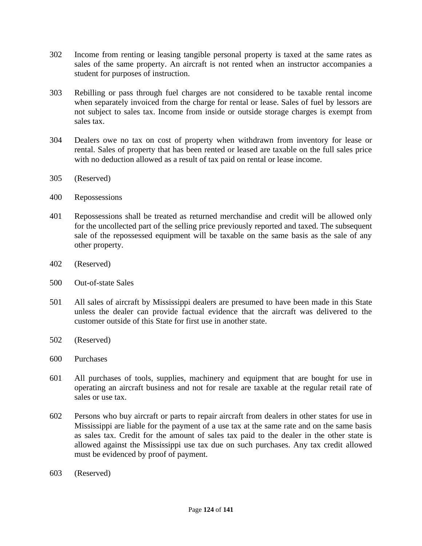- 302 Income from renting or leasing tangible personal property is taxed at the same rates as sales of the same property. An aircraft is not rented when an instructor accompanies a student for purposes of instruction.
- 303 Rebilling or pass through fuel charges are not considered to be taxable rental income when separately invoiced from the charge for rental or lease. Sales of fuel by lessors are not subject to sales tax. Income from inside or outside storage charges is exempt from sales tax.
- 304 Dealers owe no tax on cost of property when withdrawn from inventory for lease or rental. Sales of property that has been rented or leased are taxable on the full sales price with no deduction allowed as a result of tax paid on rental or lease income.
- 305 (Reserved)
- 400 Repossessions
- 401 Repossessions shall be treated as returned merchandise and credit will be allowed only for the uncollected part of the selling price previously reported and taxed. The subsequent sale of the repossessed equipment will be taxable on the same basis as the sale of any other property.
- 402 (Reserved)
- 500 Out-of-state Sales
- 501 All sales of aircraft by Mississippi dealers are presumed to have been made in this State unless the dealer can provide factual evidence that the aircraft was delivered to the customer outside of this State for first use in another state.
- 502 (Reserved)
- 600 Purchases
- 601 All purchases of tools, supplies, machinery and equipment that are bought for use in operating an aircraft business and not for resale are taxable at the regular retail rate of sales or use tax.
- 602 Persons who buy aircraft or parts to repair aircraft from dealers in other states for use in Mississippi are liable for the payment of a use tax at the same rate and on the same basis as sales tax. Credit for the amount of sales tax paid to the dealer in the other state is allowed against the Mississippi use tax due on such purchases. Any tax credit allowed must be evidenced by proof of payment.
- 603 (Reserved)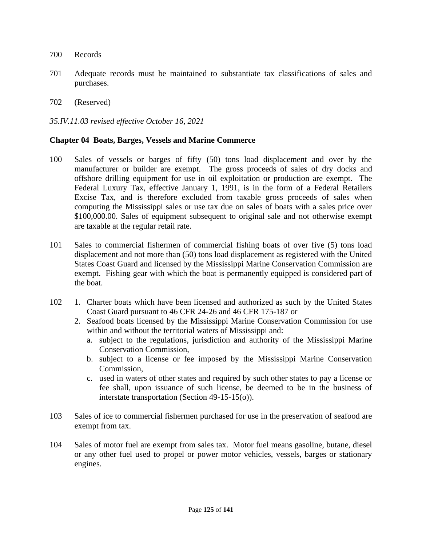- 700 Records
- 701 Adequate records must be maintained to substantiate tax classifications of sales and purchases.
- 702 (Reserved)

## *35.IV.11.03 revised effective October 16, 2021*

### **Chapter 04 Boats, Barges, Vessels and Marine Commerce**

- 100 Sales of vessels or barges of fifty (50) tons load displacement and over by the manufacturer or builder are exempt. The gross proceeds of sales of dry docks and offshore drilling equipment for use in oil exploitation or production are exempt. The Federal Luxury Tax, effective January 1, 1991, is in the form of a Federal Retailers Excise Tax, and is therefore excluded from taxable gross proceeds of sales when computing the Mississippi sales or use tax due on sales of boats with a sales price over \$100,000.00. Sales of equipment subsequent to original sale and not otherwise exempt are taxable at the regular retail rate.
- 101 Sales to commercial fishermen of commercial fishing boats of over five (5) tons load displacement and not more than (50) tons load displacement as registered with the United States Coast Guard and licensed by the Mississippi Marine Conservation Commission are exempt. Fishing gear with which the boat is permanently equipped is considered part of the boat.
- 102 1. Charter boats which have been licensed and authorized as such by the United States Coast Guard pursuant to 46 CFR 24-26 and 46 CFR 175-187 or
	- 2. Seafood boats licensed by the Mississippi Marine Conservation Commission for use within and without the territorial waters of Mississippi and:
		- a. subject to the regulations, jurisdiction and authority of the Mississippi Marine Conservation Commission,
		- b. subject to a license or fee imposed by the Mississippi Marine Conservation Commission,
		- c. used in waters of other states and required by such other states to pay a license or fee shall, upon issuance of such license, be deemed to be in the business of interstate transportation (Section 49-15-15(o)).
- 103 Sales of ice to commercial fishermen purchased for use in the preservation of seafood are exempt from tax.
- 104 Sales of motor fuel are exempt from sales tax. Motor fuel means gasoline, butane, diesel or any other fuel used to propel or power motor vehicles, vessels, barges or stationary engines.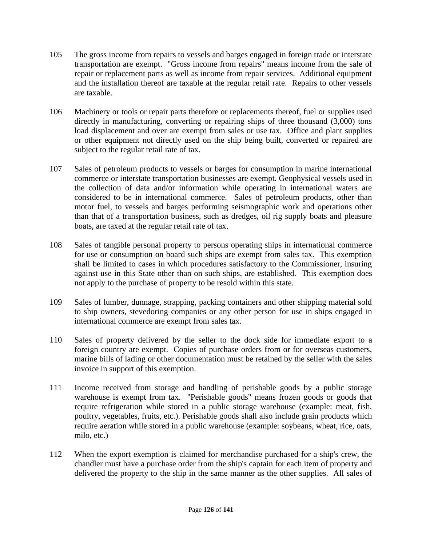- 105 The gross income from repairs to vessels and barges engaged in foreign trade or interstate transportation are exempt. "Gross income from repairs" means income from the sale of repair or replacement parts as well as income from repair services. Additional equipment and the installation thereof are taxable at the regular retail rate. Repairs to other vessels are taxable.
- 106 Machinery or tools or repair parts therefore or replacements thereof, fuel or supplies used directly in manufacturing, converting or repairing ships of three thousand (3,000) tons load displacement and over are exempt from sales or use tax. Office and plant supplies or other equipment not directly used on the ship being built, converted or repaired are subject to the regular retail rate of tax.
- 107 Sales of petroleum products to vessels or barges for consumption in marine international commerce or interstate transportation businesses are exempt. Geophysical vessels used in the collection of data and/or information while operating in international waters are considered to be in international commerce. Sales of petroleum products, other than motor fuel, to vessels and barges performing seismographic work and operations other than that of a transportation business, such as dredges, oil rig supply boats and pleasure boats, are taxed at the regular retail rate of tax.
- 108 Sales of tangible personal property to persons operating ships in international commerce for use or consumption on board such ships are exempt from sales tax. This exemption shall be limited to cases in which procedures satisfactory to the Commissioner, insuring against use in this State other than on such ships, are established. This exemption does not apply to the purchase of property to be resold within this state.
- 109 Sales of lumber, dunnage, strapping, packing containers and other shipping material sold to ship owners, stevedoring companies or any other person for use in ships engaged in international commerce are exempt from sales tax.
- 110 Sales of property delivered by the seller to the dock side for immediate export to a foreign country are exempt. Copies of purchase orders from or for overseas customers, marine bills of lading or other documentation must be retained by the seller with the sales invoice in support of this exemption.
- 111 Income received from storage and handling of perishable goods by a public storage warehouse is exempt from tax. "Perishable goods" means frozen goods or goods that require refrigeration while stored in a public storage warehouse (example: meat, fish, poultry, vegetables, fruits, etc.). Perishable goods shall also include grain products which require aeration while stored in a public warehouse (example: soybeans, wheat, rice, oats, milo, etc.)
- 112 When the export exemption is claimed for merchandise purchased for a ship's crew, the chandler must have a purchase order from the ship's captain for each item of property and delivered the property to the ship in the same manner as the other supplies. All sales of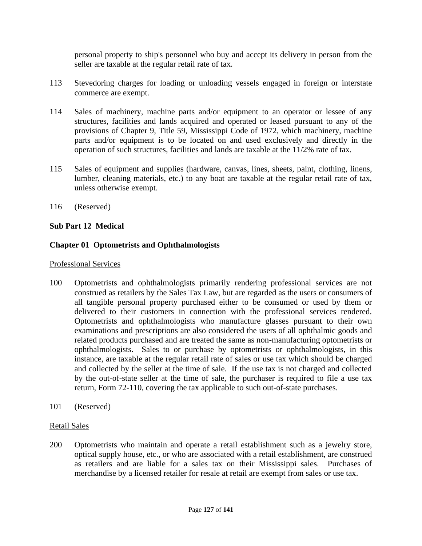personal property to ship's personnel who buy and accept its delivery in person from the seller are taxable at the regular retail rate of tax.

- 113 Stevedoring charges for loading or unloading vessels engaged in foreign or interstate commerce are exempt.
- 114 Sales of machinery, machine parts and/or equipment to an operator or lessee of any structures, facilities and lands acquired and operated or leased pursuant to any of the provisions of Chapter 9, Title 59, Mississippi Code of 1972, which machinery, machine parts and/or equipment is to be located on and used exclusively and directly in the operation of such structures, facilities and lands are taxable at the 11/2% rate of tax.
- 115 Sales of equipment and supplies (hardware, canvas, lines, sheets, paint, clothing, linens, lumber, cleaning materials, etc.) to any boat are taxable at the regular retail rate of tax, unless otherwise exempt.
- 116 (Reserved)

# **Sub Part 12 Medical**

# **Chapter 01 Optometrists and Ophthalmologists**

### Professional Services

- 100 Optometrists and ophthalmologists primarily rendering professional services are not construed as retailers by the Sales Tax Law, but are regarded as the users or consumers of all tangible personal property purchased either to be consumed or used by them or delivered to their customers in connection with the professional services rendered. Optometrists and ophthalmologists who manufacture glasses pursuant to their own examinations and prescriptions are also considered the users of all ophthalmic goods and related products purchased and are treated the same as non-manufacturing optometrists or ophthalmologists. Sales to or purchase by optometrists or ophthalmologists, in this instance, are taxable at the regular retail rate of sales or use tax which should be charged and collected by the seller at the time of sale. If the use tax is not charged and collected by the out-of-state seller at the time of sale, the purchaser is required to file a use tax return, Form 72-110, covering the tax applicable to such out-of-state purchases.
- 101 (Reserved)

### Retail Sales

200 Optometrists who maintain and operate a retail establishment such as a jewelry store, optical supply house, etc., or who are associated with a retail establishment, are construed as retailers and are liable for a sales tax on their Mississippi sales. Purchases of merchandise by a licensed retailer for resale at retail are exempt from sales or use tax.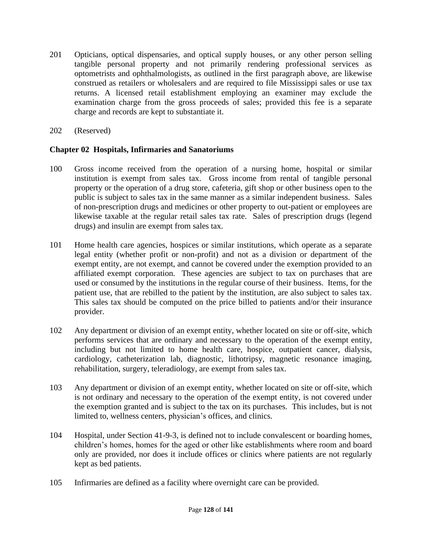- 201 Opticians, optical dispensaries, and optical supply houses, or any other person selling tangible personal property and not primarily rendering professional services as optometrists and ophthalmologists, as outlined in the first paragraph above, are likewise construed as retailers or wholesalers and are required to file Mississippi sales or use tax returns. A licensed retail establishment employing an examiner may exclude the examination charge from the gross proceeds of sales; provided this fee is a separate charge and records are kept to substantiate it.
- 202 (Reserved)

# **Chapter 02 Hospitals, Infirmaries and Sanatoriums**

- 100 Gross income received from the operation of a nursing home, hospital or similar institution is exempt from sales tax. Gross income from rental of tangible personal property or the operation of a drug store, cafeteria, gift shop or other business open to the public is subject to sales tax in the same manner as a similar independent business. Sales of non-prescription drugs and medicines or other property to out-patient or employees are likewise taxable at the regular retail sales tax rate. Sales of prescription drugs (legend drugs) and insulin are exempt from sales tax.
- 101 Home health care agencies, hospices or similar institutions, which operate as a separate legal entity (whether profit or non-profit) and not as a division or department of the exempt entity, are not exempt, and cannot be covered under the exemption provided to an affiliated exempt corporation. These agencies are subject to tax on purchases that are used or consumed by the institutions in the regular course of their business. Items, for the patient use, that are rebilled to the patient by the institution, are also subject to sales tax. This sales tax should be computed on the price billed to patients and/or their insurance provider.
- 102 Any department or division of an exempt entity, whether located on site or off-site, which performs services that are ordinary and necessary to the operation of the exempt entity, including but not limited to home health care, hospice, outpatient cancer, dialysis, cardiology, catheterization lab, diagnostic, lithotripsy, magnetic resonance imaging, rehabilitation, surgery, teleradiology, are exempt from sales tax.
- 103 Any department or division of an exempt entity, whether located on site or off-site, which is not ordinary and necessary to the operation of the exempt entity, is not covered under the exemption granted and is subject to the tax on its purchases. This includes, but is not limited to, wellness centers, physician's offices, and clinics.
- 104 Hospital, under Section 41-9-3, is defined not to include convalescent or boarding homes, children's homes, homes for the aged or other like establishments where room and board only are provided, nor does it include offices or clinics where patients are not regularly kept as bed patients.
- 105 Infirmaries are defined as a facility where overnight care can be provided.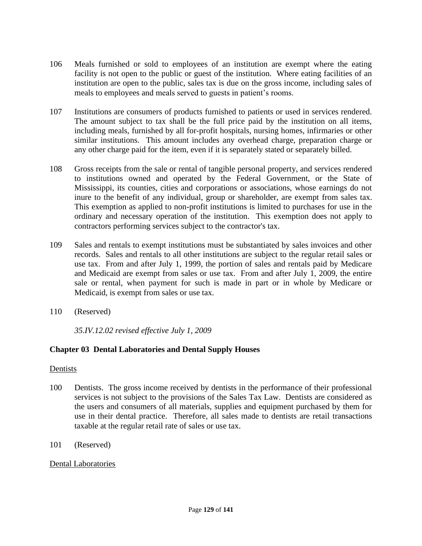- 106 Meals furnished or sold to employees of an institution are exempt where the eating facility is not open to the public or guest of the institution. Where eating facilities of an institution are open to the public, sales tax is due on the gross income, including sales of meals to employees and meals served to guests in patient's rooms.
- 107 Institutions are consumers of products furnished to patients or used in services rendered. The amount subject to tax shall be the full price paid by the institution on all items, including meals, furnished by all for-profit hospitals, nursing homes, infirmaries or other similar institutions. This amount includes any overhead charge, preparation charge or any other charge paid for the item, even if it is separately stated or separately billed.
- 108 Gross receipts from the sale or rental of tangible personal property, and services rendered to institutions owned and operated by the Federal Government, or the State of Mississippi, its counties, cities and corporations or associations, whose earnings do not inure to the benefit of any individual, group or shareholder, are exempt from sales tax. This exemption as applied to non-profit institutions is limited to purchases for use in the ordinary and necessary operation of the institution. This exemption does not apply to contractors performing services subject to the contractor's tax.
- 109 Sales and rentals to exempt institutions must be substantiated by sales invoices and other records. Sales and rentals to all other institutions are subject to the regular retail sales or use tax. From and after July 1, 1999, the portion of sales and rentals paid by Medicare and Medicaid are exempt from sales or use tax. From and after July 1, 2009, the entire sale or rental, when payment for such is made in part or in whole by Medicare or Medicaid, is exempt from sales or use tax.
- 110 (Reserved)

*35.IV.12.02 revised effective July 1, 2009*

# **Chapter 03 Dental Laboratories and Dental Supply Houses**

### Dentists

- 100 Dentists. The gross income received by dentists in the performance of their professional services is not subject to the provisions of the Sales Tax Law. Dentists are considered as the users and consumers of all materials, supplies and equipment purchased by them for use in their dental practice. Therefore, all sales made to dentists are retail transactions taxable at the regular retail rate of sales or use tax.
- 101 (Reserved)

# Dental Laboratories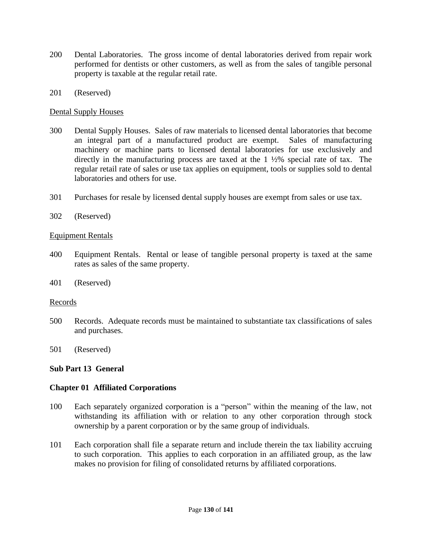- 200 Dental Laboratories. The gross income of dental laboratories derived from repair work performed for dentists or other customers, as well as from the sales of tangible personal property is taxable at the regular retail rate.
- 201 (Reserved)

# Dental Supply Houses

- 300 Dental Supply Houses. Sales of raw materials to licensed dental laboratories that become an integral part of a manufactured product are exempt. Sales of manufacturing machinery or machine parts to licensed dental laboratories for use exclusively and directly in the manufacturing process are taxed at the 1 ½% special rate of tax. The regular retail rate of sales or use tax applies on equipment, tools or supplies sold to dental laboratories and others for use.
- 301 Purchases for resale by licensed dental supply houses are exempt from sales or use tax.
- 302 (Reserved)

### Equipment Rentals

- 400 Equipment Rentals. Rental or lease of tangible personal property is taxed at the same rates as sales of the same property.
- 401 (Reserved)

### Records

- 500 Records. Adequate records must be maintained to substantiate tax classifications of sales and purchases.
- 501 (Reserved)

# **Sub Part 13 General**

### **Chapter 01 Affiliated Corporations**

- 100 Each separately organized corporation is a "person" within the meaning of the law, not withstanding its affiliation with or relation to any other corporation through stock ownership by a parent corporation or by the same group of individuals.
- 101 Each corporation shall file a separate return and include therein the tax liability accruing to such corporation. This applies to each corporation in an affiliated group, as the law makes no provision for filing of consolidated returns by affiliated corporations.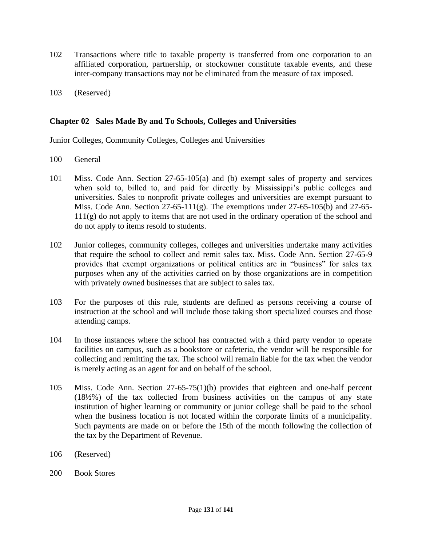- 102 Transactions where title to taxable property is transferred from one corporation to an affiliated corporation, partnership, or stockowner constitute taxable events, and these inter-company transactions may not be eliminated from the measure of tax imposed.
- 103 (Reserved)

# **Chapter 02 Sales Made By and To Schools, Colleges and Universities**

Junior Colleges, Community Colleges, Colleges and Universities

- 100 General
- 101 Miss. Code Ann. Section 27-65-105(a) and (b) exempt sales of property and services when sold to, billed to, and paid for directly by Mississippi's public colleges and universities. Sales to nonprofit private colleges and universities are exempt pursuant to Miss. Code Ann. Section  $27-65-111(g)$ . The exemptions under  $27-65-105(b)$  and  $27-65 111(g)$  do not apply to items that are not used in the ordinary operation of the school and do not apply to items resold to students.
- 102 Junior colleges, community colleges, colleges and universities undertake many activities that require the school to collect and remit sales tax. Miss. Code Ann. Section 27-65-9 provides that exempt organizations or political entities are in "business" for sales tax purposes when any of the activities carried on by those organizations are in competition with privately owned businesses that are subject to sales tax.
- 103 For the purposes of this rule, students are defined as persons receiving a course of instruction at the school and will include those taking short specialized courses and those attending camps.
- 104 In those instances where the school has contracted with a third party vendor to operate facilities on campus, such as a bookstore or cafeteria, the vendor will be responsible for collecting and remitting the tax. The school will remain liable for the tax when the vendor is merely acting as an agent for and on behalf of the school.
- 105 Miss. Code Ann. Section 27-65-75(1)(b) provides that eighteen and one-half percent (18½%) of the tax collected from business activities on the campus of any state institution of higher learning or community or junior college shall be paid to the school when the business location is not located within the corporate limits of a municipality. Such payments are made on or before the 15th of the month following the collection of the tax by the Department of Revenue.
- 106 (Reserved)
- 200 Book Stores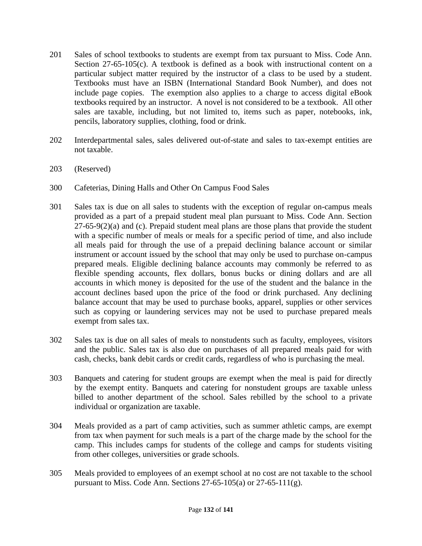- 201 Sales of school textbooks to students are exempt from tax pursuant to Miss. Code Ann. Section 27-65-105(c). A textbook is defined as a book with instructional content on a particular subject matter required by the instructor of a class to be used by a student. Textbooks must have an ISBN (International Standard Book Number), and does not include page copies. The exemption also applies to a charge to access digital eBook textbooks required by an instructor. A novel is not considered to be a textbook. All other sales are taxable, including, but not limited to, items such as paper, notebooks, ink, pencils, laboratory supplies, clothing, food or drink.
- 202 Interdepartmental sales, sales delivered out-of-state and sales to tax-exempt entities are not taxable.
- 203 (Reserved)
- 300 Cafeterias, Dining Halls and Other On Campus Food Sales
- 301 Sales tax is due on all sales to students with the exception of regular on-campus meals provided as a part of a prepaid student meal plan pursuant to Miss. Code Ann. Section 27-65-9(2)(a) and (c). Prepaid student meal plans are those plans that provide the student with a specific number of meals or meals for a specific period of time, and also include all meals paid for through the use of a prepaid declining balance account or similar instrument or account issued by the school that may only be used to purchase on-campus prepared meals. Eligible declining balance accounts may commonly be referred to as flexible spending accounts, flex dollars, bonus bucks or dining dollars and are all accounts in which money is deposited for the use of the student and the balance in the account declines based upon the price of the food or drink purchased. Any declining balance account that may be used to purchase books, apparel, supplies or other services such as copying or laundering services may not be used to purchase prepared meals exempt from sales tax.
- 302 Sales tax is due on all sales of meals to nonstudents such as faculty, employees, visitors and the public. Sales tax is also due on purchases of all prepared meals paid for with cash, checks, bank debit cards or credit cards, regardless of who is purchasing the meal.
- 303 Banquets and catering for student groups are exempt when the meal is paid for directly by the exempt entity. Banquets and catering for nonstudent groups are taxable unless billed to another department of the school. Sales rebilled by the school to a private individual or organization are taxable.
- 304 Meals provided as a part of camp activities, such as summer athletic camps, are exempt from tax when payment for such meals is a part of the charge made by the school for the camp. This includes camps for students of the college and camps for students visiting from other colleges, universities or grade schools.
- 305 Meals provided to employees of an exempt school at no cost are not taxable to the school pursuant to Miss. Code Ann. Sections  $27-65-105(a)$  or  $27-65-111(g)$ .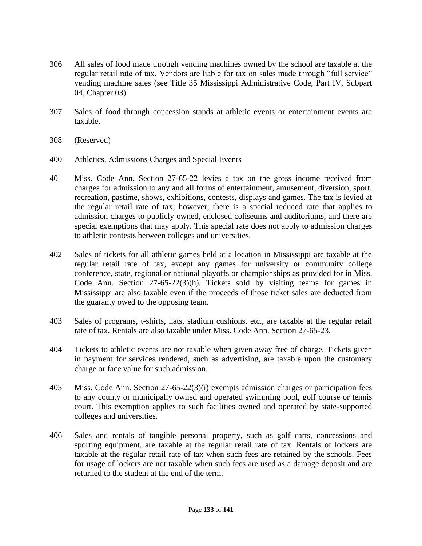- 306 All sales of food made through vending machines owned by the school are taxable at the regular retail rate of tax. Vendors are liable for tax on sales made through "full service" vending machine sales (see Title 35 Mississippi Administrative Code, Part IV, Subpart 04, Chapter 03).
- 307 Sales of food through concession stands at athletic events or entertainment events are taxable.
- 308 (Reserved)
- 400 Athletics, Admissions Charges and Special Events
- 401 Miss. Code Ann. Section 27-65-22 levies a tax on the gross income received from charges for admission to any and all forms of entertainment, amusement, diversion, sport, recreation, pastime, shows, exhibitions, contests, displays and games. The tax is levied at the regular retail rate of tax; however, there is a special reduced rate that applies to admission charges to publicly owned, enclosed coliseums and auditoriums, and there are special exemptions that may apply. This special rate does not apply to admission charges to athletic contests between colleges and universities.
- 402 Sales of tickets for all athletic games held at a location in Mississippi are taxable at the regular retail rate of tax, except any games for university or community college conference, state, regional or national playoffs or championships as provided for in Miss. Code Ann. Section 27-65-22(3)(h). Tickets sold by visiting teams for games in Mississippi are also taxable even if the proceeds of those ticket sales are deducted from the guaranty owed to the opposing team.
- 403 Sales of programs, t-shirts, hats, stadium cushions, etc., are taxable at the regular retail rate of tax. Rentals are also taxable under Miss. Code Ann. Section 27-65-23.
- 404 Tickets to athletic events are not taxable when given away free of charge. Tickets given in payment for services rendered, such as advertising, are taxable upon the customary charge or face value for such admission.
- 405 Miss. Code Ann. Section 27-65-22(3)(i) exempts admission charges or participation fees to any county or municipally owned and operated swimming pool, golf course or tennis court. This exemption applies to such facilities owned and operated by state-supported colleges and universities.
- 406 Sales and rentals of tangible personal property, such as golf carts, concessions and sporting equipment, are taxable at the regular retail rate of tax. Rentals of lockers are taxable at the regular retail rate of tax when such fees are retained by the schools. Fees for usage of lockers are not taxable when such fees are used as a damage deposit and are returned to the student at the end of the term.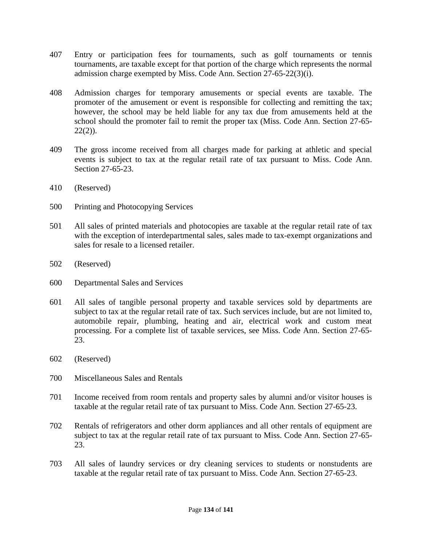- 407 Entry or participation fees for tournaments, such as golf tournaments or tennis tournaments, are taxable except for that portion of the charge which represents the normal admission charge exempted by Miss. Code Ann. Section 27-65-22(3)(i).
- 408 Admission charges for temporary amusements or special events are taxable. The promoter of the amusement or event is responsible for collecting and remitting the tax; however, the school may be held liable for any tax due from amusements held at the school should the promoter fail to remit the proper tax (Miss. Code Ann. Section 27-65-  $22(2)$ ).
- 409 The gross income received from all charges made for parking at athletic and special events is subject to tax at the regular retail rate of tax pursuant to Miss. Code Ann. Section 27-65-23.
- 410 (Reserved)
- 500 Printing and Photocopying Services
- 501 All sales of printed materials and photocopies are taxable at the regular retail rate of tax with the exception of interdepartmental sales, sales made to tax-exempt organizations and sales for resale to a licensed retailer.
- 502 (Reserved)
- 600 Departmental Sales and Services
- 601 All sales of tangible personal property and taxable services sold by departments are subject to tax at the regular retail rate of tax. Such services include, but are not limited to, automobile repair, plumbing, heating and air, electrical work and custom meat processing. For a complete list of taxable services, see Miss. Code Ann. Section 27-65- 23.
- 602 (Reserved)
- 700 Miscellaneous Sales and Rentals
- 701 Income received from room rentals and property sales by alumni and/or visitor houses is taxable at the regular retail rate of tax pursuant to Miss. Code Ann. Section 27-65-23.
- 702 Rentals of refrigerators and other dorm appliances and all other rentals of equipment are subject to tax at the regular retail rate of tax pursuant to Miss. Code Ann. Section 27-65- 23.
- 703 All sales of laundry services or dry cleaning services to students or nonstudents are taxable at the regular retail rate of tax pursuant to Miss. Code Ann. Section 27-65-23.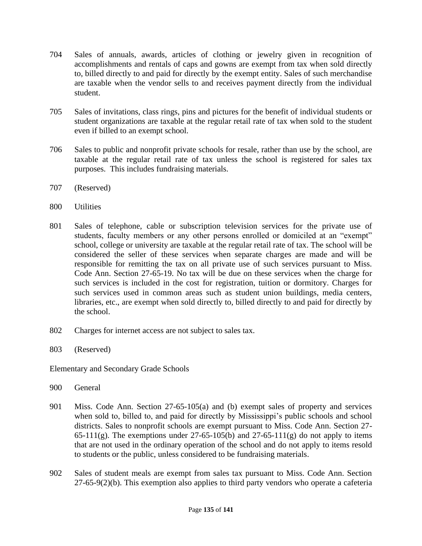- 704 Sales of annuals, awards, articles of clothing or jewelry given in recognition of accomplishments and rentals of caps and gowns are exempt from tax when sold directly to, billed directly to and paid for directly by the exempt entity. Sales of such merchandise are taxable when the vendor sells to and receives payment directly from the individual student.
- 705 Sales of invitations, class rings, pins and pictures for the benefit of individual students or student organizations are taxable at the regular retail rate of tax when sold to the student even if billed to an exempt school.
- 706 Sales to public and nonprofit private schools for resale, rather than use by the school, are taxable at the regular retail rate of tax unless the school is registered for sales tax purposes. This includes fundraising materials.
- 707 (Reserved)
- 800 Utilities
- 801 Sales of telephone, cable or subscription television services for the private use of students, faculty members or any other persons enrolled or domiciled at an "exempt" school, college or university are taxable at the regular retail rate of tax. The school will be considered the seller of these services when separate charges are made and will be responsible for remitting the tax on all private use of such services pursuant to Miss. Code Ann. Section 27-65-19. No tax will be due on these services when the charge for such services is included in the cost for registration, tuition or dormitory. Charges for such services used in common areas such as student union buildings, media centers, libraries, etc., are exempt when sold directly to, billed directly to and paid for directly by the school.
- 802 Charges for internet access are not subject to sales tax.
- 803 (Reserved)

Elementary and Secondary Grade Schools

- 900 General
- 901 Miss. Code Ann. Section 27-65-105(a) and (b) exempt sales of property and services when sold to, billed to, and paid for directly by Mississippi's public schools and school districts. Sales to nonprofit schools are exempt pursuant to Miss. Code Ann. Section 27- 65-111(g). The exemptions under 27-65-105(b) and 27-65-111(g) do not apply to items that are not used in the ordinary operation of the school and do not apply to items resold to students or the public, unless considered to be fundraising materials.
- 902 Sales of student meals are exempt from sales tax pursuant to Miss. Code Ann. Section 27-65-9(2)(b). This exemption also applies to third party vendors who operate a cafeteria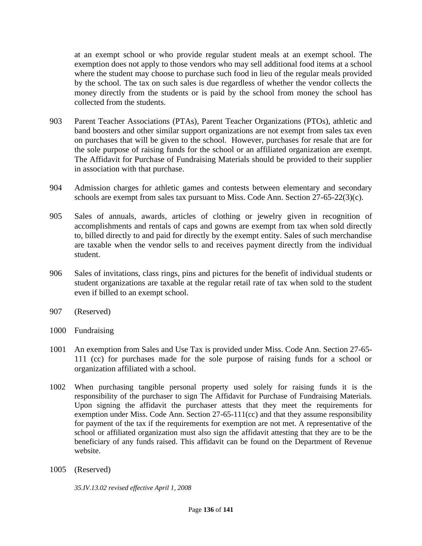at an exempt school or who provide regular student meals at an exempt school. The exemption does not apply to those vendors who may sell additional food items at a school where the student may choose to purchase such food in lieu of the regular meals provided by the school. The tax on such sales is due regardless of whether the vendor collects the money directly from the students or is paid by the school from money the school has collected from the students.

- 903 Parent Teacher Associations (PTAs), Parent Teacher Organizations (PTOs), athletic and band boosters and other similar support organizations are not exempt from sales tax even on purchases that will be given to the school. However, purchases for resale that are for the sole purpose of raising funds for the school or an affiliated organization are exempt. The Affidavit for Purchase of Fundraising Materials should be provided to their supplier in association with that purchase.
- 904 Admission charges for athletic games and contests between elementary and secondary schools are exempt from sales tax pursuant to Miss. Code Ann. Section 27-65-22(3)(c).
- 905 Sales of annuals, awards, articles of clothing or jewelry given in recognition of accomplishments and rentals of caps and gowns are exempt from tax when sold directly to, billed directly to and paid for directly by the exempt entity. Sales of such merchandise are taxable when the vendor sells to and receives payment directly from the individual student.
- 906 Sales of invitations, class rings, pins and pictures for the benefit of individual students or student organizations are taxable at the regular retail rate of tax when sold to the student even if billed to an exempt school.
- 907 (Reserved)
- 1000 Fundraising
- 1001 An exemption from Sales and Use Tax is provided under Miss. Code Ann. Section 27-65- 111 (cc) for purchases made for the sole purpose of raising funds for a school or organization affiliated with a school.
- 1002 When purchasing tangible personal property used solely for raising funds it is the responsibility of the purchaser to sign The Affidavit for Purchase of Fundraising Materials. Upon signing the affidavit the purchaser attests that they meet the requirements for exemption under Miss. Code Ann. Section  $27-65-111$  (cc) and that they assume responsibility for payment of the tax if the requirements for exemption are not met. A representative of the school or affiliated organization must also sign the affidavit attesting that they are to be the beneficiary of any funds raised. This affidavit can be found on the Department of Revenue website.
- 1005 (Reserved)

*35.IV.13.02 revised effective April 1, 2008*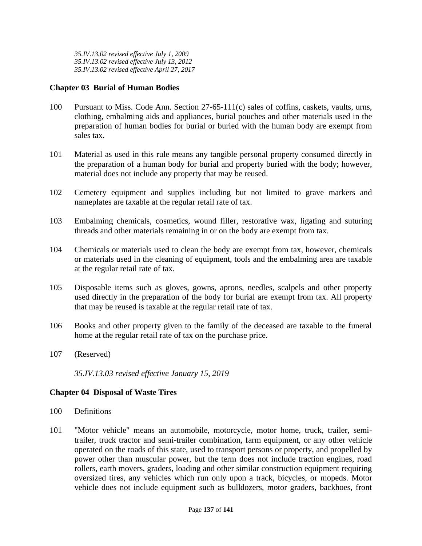*35.IV.13.02 revised effective July 1, 2009 35.IV.13.02 revised effective July 13, 2012 35.IV.13.02 revised effective April 27, 2017*

# **Chapter 03 Burial of Human Bodies**

- 100 Pursuant to Miss. Code Ann. Section 27-65-111(c) sales of coffins, caskets, vaults, urns, clothing, embalming aids and appliances, burial pouches and other materials used in the preparation of human bodies for burial or buried with the human body are exempt from sales tax.
- 101 Material as used in this rule means any tangible personal property consumed directly in the preparation of a human body for burial and property buried with the body; however, material does not include any property that may be reused.
- 102 Cemetery equipment and supplies including but not limited to grave markers and nameplates are taxable at the regular retail rate of tax.
- 103 Embalming chemicals, cosmetics, wound filler, restorative wax, ligating and suturing threads and other materials remaining in or on the body are exempt from tax.
- 104 Chemicals or materials used to clean the body are exempt from tax, however, chemicals or materials used in the cleaning of equipment, tools and the embalming area are taxable at the regular retail rate of tax.
- 105 Disposable items such as gloves, gowns, aprons, needles, scalpels and other property used directly in the preparation of the body for burial are exempt from tax. All property that may be reused is taxable at the regular retail rate of tax.
- 106 Books and other property given to the family of the deceased are taxable to the funeral home at the regular retail rate of tax on the purchase price.
- 107 (Reserved)

*35.IV.13.03 revised effective January 15, 2019*

### **Chapter 04 Disposal of Waste Tires**

- 100 Definitions
- 101 "Motor vehicle" means an automobile, motorcycle, motor home, truck, trailer, semitrailer, truck tractor and semi-trailer combination, farm equipment, or any other vehicle operated on the roads of this state, used to transport persons or property, and propelled by power other than muscular power, but the term does not include traction engines, road rollers, earth movers, graders, loading and other similar construction equipment requiring oversized tires, any vehicles which run only upon a track, bicycles, or mopeds. Motor vehicle does not include equipment such as bulldozers, motor graders, backhoes, front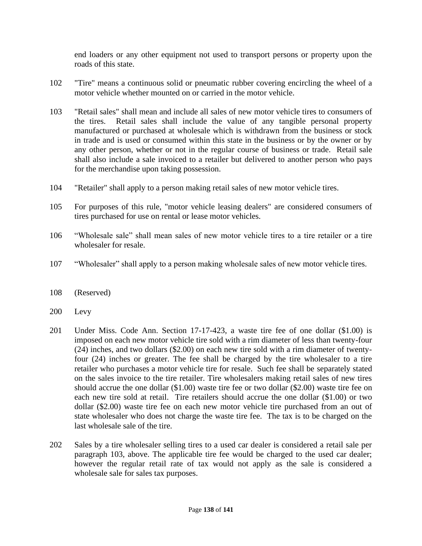end loaders or any other equipment not used to transport persons or property upon the roads of this state.

- 102 "Tire" means a continuous solid or pneumatic rubber covering encircling the wheel of a motor vehicle whether mounted on or carried in the motor vehicle.
- 103 "Retail sales" shall mean and include all sales of new motor vehicle tires to consumers of the tires. Retail sales shall include the value of any tangible personal property manufactured or purchased at wholesale which is withdrawn from the business or stock in trade and is used or consumed within this state in the business or by the owner or by any other person, whether or not in the regular course of business or trade. Retail sale shall also include a sale invoiced to a retailer but delivered to another person who pays for the merchandise upon taking possession.
- 104 "Retailer" shall apply to a person making retail sales of new motor vehicle tires.
- 105 For purposes of this rule, "motor vehicle leasing dealers" are considered consumers of tires purchased for use on rental or lease motor vehicles.
- 106 "Wholesale sale" shall mean sales of new motor vehicle tires to a tire retailer or a tire wholesaler for resale.
- 107 "Wholesaler" shall apply to a person making wholesale sales of new motor vehicle tires.
- 108 (Reserved)
- 200 Levy
- 201 Under Miss. Code Ann. Section 17-17-423, a waste tire fee of one dollar (\$1.00) is imposed on each new motor vehicle tire sold with a rim diameter of less than twenty-four (24) inches, and two dollars (\$2.00) on each new tire sold with a rim diameter of twentyfour (24) inches or greater. The fee shall be charged by the tire wholesaler to a tire retailer who purchases a motor vehicle tire for resale. Such fee shall be separately stated on the sales invoice to the tire retailer. Tire wholesalers making retail sales of new tires should accrue the one dollar (\$1.00) waste tire fee or two dollar (\$2.00) waste tire fee on each new tire sold at retail. Tire retailers should accrue the one dollar (\$1.00) or two dollar (\$2.00) waste tire fee on each new motor vehicle tire purchased from an out of state wholesaler who does not charge the waste tire fee. The tax is to be charged on the last wholesale sale of the tire.
- 202 Sales by a tire wholesaler selling tires to a used car dealer is considered a retail sale per paragraph 103, above. The applicable tire fee would be charged to the used car dealer; however the regular retail rate of tax would not apply as the sale is considered a wholesale sale for sales tax purposes.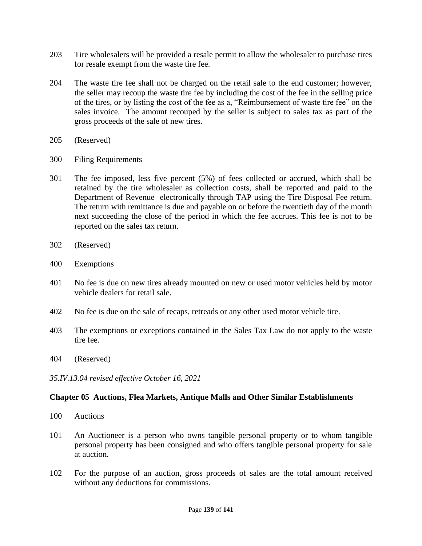- 203 Tire wholesalers will be provided a resale permit to allow the wholesaler to purchase tires for resale exempt from the waste tire fee.
- 204 The waste tire fee shall not be charged on the retail sale to the end customer; however, the seller may recoup the waste tire fee by including the cost of the fee in the selling price of the tires, or by listing the cost of the fee as a, "Reimbursement of waste tire fee" on the sales invoice. The amount recouped by the seller is subject to sales tax as part of the gross proceeds of the sale of new tires.
- 205 (Reserved)
- 300 Filing Requirements
- 301 The fee imposed, less five percent (5%) of fees collected or accrued, which shall be retained by the tire wholesaler as collection costs, shall be reported and paid to the Department of Revenue electronically through TAP using the Tire Disposal Fee return. The return with remittance is due and payable on or before the twentieth day of the month next succeeding the close of the period in which the fee accrues. This fee is not to be reported on the sales tax return.
- 302 (Reserved)
- 400 Exemptions
- 401 No fee is due on new tires already mounted on new or used motor vehicles held by motor vehicle dealers for retail sale.
- 402 No fee is due on the sale of recaps, retreads or any other used motor vehicle tire.
- 403 The exemptions or exceptions contained in the Sales Tax Law do not apply to the waste tire fee.
- 404 (Reserved)
- *35.IV.13.04 revised effective October 16, 2021*

# **Chapter 05 Auctions, Flea Markets, Antique Malls and Other Similar Establishments**

- 100 Auctions
- 101 An Auctioneer is a person who owns tangible personal property or to whom tangible personal property has been consigned and who offers tangible personal property for sale at auction.
- 102 For the purpose of an auction, gross proceeds of sales are the total amount received without any deductions for commissions.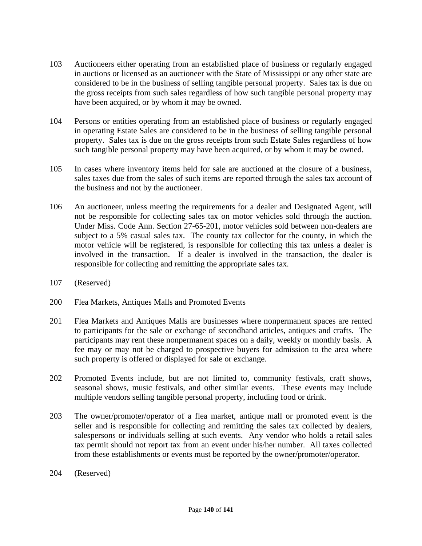- 103 Auctioneers either operating from an established place of business or regularly engaged in auctions or licensed as an auctioneer with the State of Mississippi or any other state are considered to be in the business of selling tangible personal property. Sales tax is due on the gross receipts from such sales regardless of how such tangible personal property may have been acquired, or by whom it may be owned.
- 104 Persons or entities operating from an established place of business or regularly engaged in operating Estate Sales are considered to be in the business of selling tangible personal property. Sales tax is due on the gross receipts from such Estate Sales regardless of how such tangible personal property may have been acquired, or by whom it may be owned.
- 105 In cases where inventory items held for sale are auctioned at the closure of a business, sales taxes due from the sales of such items are reported through the sales tax account of the business and not by the auctioneer.
- 106 An auctioneer, unless meeting the requirements for a dealer and Designated Agent, will not be responsible for collecting sales tax on motor vehicles sold through the auction. Under Miss. Code Ann. Section 27-65-201, motor vehicles sold between non-dealers are subject to a 5% casual sales tax. The county tax collector for the county, in which the motor vehicle will be registered, is responsible for collecting this tax unless a dealer is involved in the transaction. If a dealer is involved in the transaction, the dealer is responsible for collecting and remitting the appropriate sales tax.
- 107 (Reserved)
- 200 Flea Markets, Antiques Malls and Promoted Events
- 201 Flea Markets and Antiques Malls are businesses where nonpermanent spaces are rented to participants for the sale or exchange of secondhand articles, antiques and crafts. The participants may rent these nonpermanent spaces on a daily, weekly or monthly basis. A fee may or may not be charged to prospective buyers for admission to the area where such property is offered or displayed for sale or exchange.
- 202 Promoted Events include, but are not limited to, community festivals, craft shows, seasonal shows, music festivals, and other similar events. These events may include multiple vendors selling tangible personal property, including food or drink.
- 203 The owner/promoter/operator of a flea market, antique mall or promoted event is the seller and is responsible for collecting and remitting the sales tax collected by dealers, salespersons or individuals selling at such events. Any vendor who holds a retail sales tax permit should not report tax from an event under his/her number. All taxes collected from these establishments or events must be reported by the owner/promoter/operator.
- 204 (Reserved)